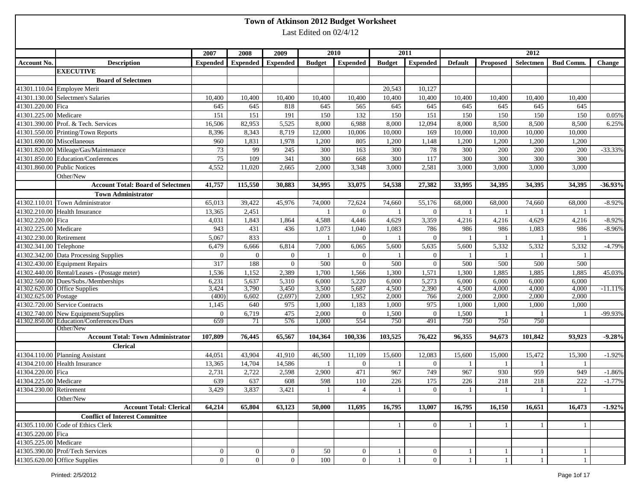|                         |                                               |                 |                 |                 |                        | Town of Atkinson 2012 Budget Worksheet |               |                  |                |              |                |                  |               |
|-------------------------|-----------------------------------------------|-----------------|-----------------|-----------------|------------------------|----------------------------------------|---------------|------------------|----------------|--------------|----------------|------------------|---------------|
|                         |                                               |                 |                 |                 | Last Edited on 02/4/12 |                                        |               |                  |                |              |                |                  |               |
|                         |                                               |                 |                 |                 |                        |                                        |               |                  |                |              |                |                  |               |
|                         |                                               | 2007            | 2008            |                 |                        | 2010                                   |               | 2011             |                |              | 2012           |                  |               |
| Account No.             |                                               |                 |                 | 2009            | <b>Budget</b>          |                                        | <b>Budget</b> |                  | <b>Default</b> | Proposed     | Selectmen      | <b>Bud Comm.</b> | <b>Change</b> |
|                         | <b>Description</b>                            | <b>Expended</b> | <b>Expended</b> | <b>Expended</b> |                        | <b>Expended</b>                        |               | <b>Expended</b>  |                |              |                |                  |               |
|                         | <b>EXECUTIVE</b><br><b>Board of Selectmen</b> |                 |                 |                 |                        |                                        |               |                  |                |              |                |                  |               |
|                         | 41301.110.04 Employee Merit                   |                 |                 |                 |                        |                                        | 20,543        | 10,127           |                |              |                |                  |               |
|                         | 41301.130.00 Selectmen's Salaries             | 10,400          | 10,400          | 10,400          | 10,400                 | 10,400                                 | 10,400        | 10,400           | 10,400         | 10,400       | 10,400         | 10,400           |               |
| 41301.220.00 Fica       |                                               | 645             | 645             | 818             | 645                    | 565                                    | 645           | 645              | 645            | 645          | 645            | 645              |               |
| 41301.225.00 Medicare   |                                               | 151             | 151             | 191             | 150                    | 132                                    | 150           | 151              | 150            | 150          | 150            | 150              | 0.05%         |
|                         | 41301.390.00 Prof. & Tech. Services           | 16,506          | 82,953          | 5,525           | 8,000                  | 6,988                                  | 8,000         | 12,094           | 8,000          | 8,500        | 8,500          | 8,500            | 6.25%         |
|                         | 41301.550.00 Printing/Town Reports            | 8,396           | 8,343           | 8,719           | 12,000                 | 10,006                                 | 10,000        | 169              | 10,000         | 10,000       | 10,000         | 10,000           |               |
|                         | 41301.690.00 Miscellaneous                    | 960             | 1,831           | 1,978           | 1,200                  | 805                                    | 1,200         | 1,148            | 1,200          | 1,200        | 1,200          | 1,200            |               |
|                         | 41301.820.00 Mileage/Gas/Maintenance          | 73              | 99              | 245             | 300                    | 163                                    | 300           | 78               | 300            | 200          | 200            | 200              | $-33.33%$     |
|                         | 41301.850.00 Education/Conferences            | $75\,$          | 109             | 341             | 300                    | 668                                    | 300           | 117              | 300            | 300          | 300            | 300              |               |
|                         | 41301.860.00 Public Notices                   | 4,552           | 11,020          | 2,665           | 2,000                  | 3,348                                  | 3,000         | 2,581            | 3,000          | 3,000        | 3,000          | 3,000            |               |
|                         | Other/New                                     |                 |                 |                 |                        |                                        |               |                  |                |              |                |                  |               |
|                         | <b>Account Total: Board of Selectmen</b>      | 41,757          | 115,550         | 30,883          | 34,995                 | 33,075                                 | 54,538        | 27,382           | 33,995         | 34,395       | 34,395         | 34,395           | $-36.93%$     |
|                         | <b>Town Administrator</b>                     |                 |                 |                 |                        |                                        |               |                  |                |              |                |                  |               |
|                         | 41302.110.01 Town Administrator               | 65,013          | 39,422          | 45,976          | 74,000                 | 72,624                                 | 74,660        | 55,176           | 68,000         | 68,000       | 74,660         | 68,000           | $-8.92%$      |
|                         | 41302.210.00 Health Insurance                 | 13,365          | 2,451           |                 | $\mathbf{1}$           | $\overline{0}$                         |               | $\overline{0}$   |                |              | $\mathbf{1}$   |                  |               |
| 41302.220.00 Fica       |                                               | 4,031           | 1,843           | 1,864           | 4,588                  | 4,446                                  | 4,629         | 3,359            | 4,216          | 4,216        | 4,629          | 4,216            | $-8.92%$      |
| 41302.225.00 Medicare   |                                               | 943             | 431             | 436             | 1,073                  | 1,040                                  | 1,083         | 786              | 986            | 986          | 1,083          | 986              | $-8.96%$      |
| 41302.230.00 Retirement |                                               | 5,067           | 833             |                 |                        | $\Omega$                               |               | $\overline{0}$   |                |              |                |                  |               |
| 41302.341.00 Telephone  |                                               | 6,479           | 6,666           | 6,814           | 7,000                  | 6,065                                  | 5,600         | 5,635            | 5,600          | 5,332        | 5,332          | 5,332            | $-4.79%$      |
|                         | 41302.342.00 Data Processing Supplies         | $\overline{0}$  | $\overline{0}$  | $\mathbf{0}$    |                        | $\overline{0}$                         |               | $\overline{0}$   |                |              | -1             |                  |               |
|                         | 41302.430.00 Equipment Repairs                | 317             | 188             | $\mathbf{0}$    | 500                    | $\overline{0}$                         | 500           | $\mathbf{0}$     | 500            | 500          | 500            | 500              |               |
|                         | 41302.440.00 Rental/Leases - (Postage meter)  | 1,536           | 1,152           | 2,389           | 1,700                  | 1,566                                  | 1,300         | 1,571            | 1,300          | 1,885        | 1,885          | 1,885            | 45.03%        |
|                         | 41302.560.00 Dues/Subs./Memberships           | 6,231           | 5,637           | 5,310           | 6,000                  | 5,220                                  | 6,000         | 5,273            | 6,000          | 6,000        | 6,000          | 6,000            |               |
|                         | 41302.620.00 Office Supplies                  | 3,424           | 3,790           | 3,450           | 3,500                  | 5,687                                  | 4,500         | 2,390            | 4,500          | 4,000        | 4,000          | 4,000            | $-11.11%$     |
| 41302.625.00 Postage    |                                               | (400)           | 6,602           | (2, 697)        | 2,000                  | 1,952                                  | 2,000         | 766              | 2,000          | 2,000        | 2,000          | 2,000            |               |
|                         | 41302.720.00 Service Contracts                | 1,145           | 640             | 975             | 1,000                  | 1,183                                  | 1,000         | 975              | 1,000          | 1,000        | 1,000          | 1,000            |               |
|                         | 41302.740.00 New Equipment/Supplies           | $\overline{0}$  | 6,719           | 475             | 2,000                  | $\overline{0}$                         | 1,500         | $\overline{0}$   | 1,500          |              | $\overline{1}$ | - 1              | -99.93%       |
|                         | 41302.850.00 Education/Conferences/Dues       | 659             | 71              | 576             | 1,000                  | 554                                    | 750           | 491              | 750            | 750          | 750            |                  |               |
|                         | Other/New                                     |                 |                 |                 |                        |                                        |               |                  |                |              |                |                  |               |
|                         | <b>Account Total: Town Administrator</b>      | 107,809         | 76,445          | 65,567          | 104,364                | 100,336                                | 103,525       | 76,422           | 96,355         | 94,673       | 101,842        | 93,923           | -9.28%        |
|                         | <b>Clerical</b>                               |                 |                 |                 |                        |                                        |               |                  |                |              |                |                  |               |
|                         | 41304.110.00 Planning Assistant               | 44,051          | 43,904          | 41,910          | 46,500                 | 11,109                                 | 15,600        | 12,083           | 15,600         | 15,000       | 15,472         | 15,300           | $-1.92%$      |
|                         | 41304.210.00 Health Insurance                 | 13,365          | 14,704          | 14,586          | 1                      | $\overline{0}$                         | -1            | $\overline{0}$   |                |              | -1             | - 1              |               |
| 41304.220.00 Fica       |                                               | 2,731           | 2,722           | 2,598           | 2,900                  | 471                                    | 967           | 749              | 967            | 930          | 959            | 949              | $-1.86%$      |
| 41304.225.00 Medicare   |                                               | 639             | 637             | 608             | 598                    | $110$                                  | 226           | 175              | 226            | 218          | 218            | 222              | $-1.77%$      |
| 41304.230.00 Retirement |                                               | 3,429           | 3,837           | 3,421           |                        | $\overline{4}$                         |               | $\overline{0}$   |                |              | $\overline{1}$ |                  |               |
|                         | Other/New                                     |                 |                 |                 |                        |                                        |               |                  |                |              |                |                  |               |
|                         | <b>Account Total: Clerical</b>                | 64,214          | 65,804          | 63,123          | 50,000                 | 11,695                                 | 16,795        | 13,007           | 16,795         | 16,150       | 16,651         | 16,473           | $-1.92%$      |
|                         | <b>Conflict of Interest Committee</b>         |                 |                 |                 |                        |                                        |               |                  |                |              |                |                  |               |
|                         | 41305.110.00 Code of Ethics Clerk             |                 |                 |                 |                        |                                        |               | $\overline{0}$   |                |              | -1             | $\mathbf{1}$     |               |
| 41305.220.00 Fica       |                                               |                 |                 |                 |                        |                                        |               |                  |                |              |                |                  |               |
| 41305.225.00 Medicare   |                                               |                 |                 |                 |                        |                                        |               |                  |                |              |                |                  |               |
|                         | 41305.390.00 Prof/Tech Services               | $\overline{0}$  | $\overline{0}$  | $\overline{0}$  | 50                     | $\overline{0}$                         | -1            | $\boldsymbol{0}$ |                | -1           | -1             | -1               |               |
|                         | 41305.620.00 Office Supplies                  | $\overline{0}$  | $\overline{0}$  | $\overline{0}$  | 100                    | $\overline{0}$                         | $\mathbf{1}$  | $\mathbf{0}$     |                | $\mathbf{1}$ | $\mathbf{1}$   | $\mathbf{1}$     |               |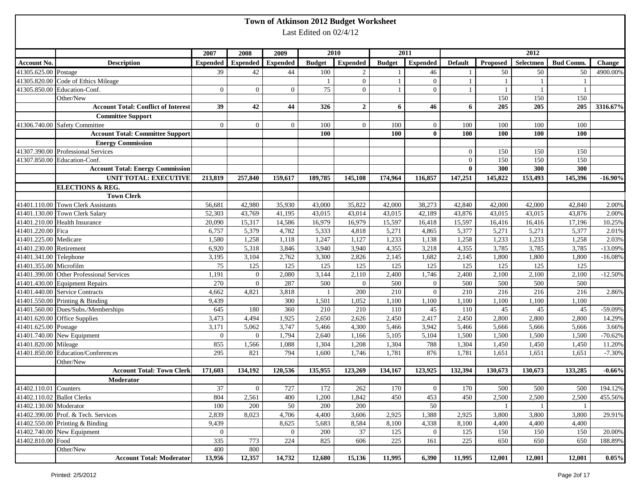| Last Edited on 02/4/12<br>2012<br>2010<br>2011<br>2007<br>2008<br>2009<br><b>Expended</b><br><b>Expended</b><br>Selectmen<br><b>Bud Comm.</b><br>Account No.<br><b>Description</b><br><b>Expended</b><br><b>Expended</b><br><b>Budget</b><br><b>Budget</b><br><b>Default</b><br>Proposed<br>Change<br><b>Expended</b><br>41305.625.00 Postage<br>39<br>42<br>44<br>100<br>50<br>50<br>2<br>46<br>50<br>41305.820.00 Code of Ethics Mileage<br>$\overline{0}$<br>$\mathbf{0}$<br>-1<br>1<br>-1<br>41305.850.00 Education-Conf.<br>75<br>$\overline{0}$<br>$\overline{0}$<br>$\overline{0}$<br>$\overline{0}$<br>$\overline{0}$<br>$\mathbf{1}$<br>$\mathbf{1}$<br>1<br>150<br>150<br>150<br>Other/New<br>42<br>44<br><b>Account Total: Conflict of Interest</b><br>39<br>326<br>46<br>205<br>205<br>205<br>$\overline{2}$<br>6<br>6<br><b>Committee Support</b><br>41306.740.00 Safety Committee<br>$\overline{0}$<br>$\overline{0}$<br>$\overline{0}$<br>100<br>100<br>$\overline{0}$<br>100<br>100<br>100<br>100<br>$\overline{0}$<br>100<br>100<br>100<br>100<br>100<br><b>Account Total: Committee Support</b><br>$\bf{0}$<br>100<br><b>Energy Commission</b><br>41307.390.00 Professional Services<br>$\theta$<br>150<br>150<br>150<br>41307.850.00 Education-Conf.<br>150<br>$\overline{0}$<br>150<br>150<br>300<br><b>Account Total: Energy Commission</b><br>300<br>300<br>$\mathbf{0}$<br><b>UNIT TOTAL: EXECUTIVE</b><br>213,819<br>145,822<br>153,493<br>257,840<br>159,617<br>189,785<br>145,108<br>174,964<br>116,857<br>147,251<br>145,396<br><b>ELECTIONS &amp; REG.</b><br><b>Town Clerk</b><br>41401.110.00 Town Clerk Assistants<br>35,930<br>43,000<br>35,822<br>42,000<br>56,681<br>42,980<br>42,000<br>38,273<br>42,840<br>42,000<br>42,840<br>2.00%<br>41401.130.00 Town Clerk Salary<br>52,303<br>41,195<br>43,015<br>43,014<br>43,015<br>43,876<br>43,015<br>43,015<br>43,876<br>43,769<br>42,189<br>2.00%<br>41401.210.00 Health Insurance<br>10.25%<br>20,090<br>15,317<br>14,586<br>16,979<br>16,979<br>15,597<br>16,418<br>15,597<br>16,416<br>16,416<br>17,196<br>4,782<br>41401.220.00 Fica<br>5,379<br>5,333<br>4,818<br>5,271<br>4,865<br>5,377<br>5,271<br>5,271<br>5,377<br>6,757<br>2.01%<br>41401.225.00 Medicare<br>1,580<br>1,258<br>1,247<br>1,127<br>1,233<br>1,138<br>1,258<br>1,233<br>1,233<br>1,258<br>1,118<br>2.03%<br>41401.230.00 Retirement<br>4,355<br>3,785<br>3,785<br>6,920<br>5,318<br>3,846<br>3,940<br>3,940<br>4,355<br>3,218<br>3,785<br>$-13.09%$<br>41401.341.00 Telephone<br>2,762<br>3,300<br>2,826<br>1,682<br>2,145<br>3,195<br>3,104<br>2,145<br>1,800<br>1,800<br>1,800<br>$-16.08%$<br>41401.355.00 Microfilm<br>75<br>125<br>125<br>125<br>125<br>125<br>125<br>125<br>125<br>125<br>125<br>41401.390.00 Other Professional Services<br>1,191<br>$\mathbf{0}$<br>2,080<br>3,144<br>2,110<br>2,400<br>1,746<br>2,400<br>2,100<br>2,100<br>2,100<br>41401.430.00 Equipment Repairs<br>500<br>500<br>270<br>$\overline{0}$<br>287<br>500<br>500<br>500<br>500<br>$\overline{0}$<br>$\mathbf{0}$<br>41401.440.00 Service Contracts<br>200<br>210<br>210<br>216<br>4,662<br>4,821<br>3,818<br>$\mathbf{0}$<br>216<br>216<br>2.86%<br>41401.550.00 Printing & Binding<br>300<br>1,501<br>1,052<br>1,100<br>1,100<br>1,100<br>1,100<br>1,100<br>9,439<br>1,100<br>41401.560.00 Dues/Subs./Memberships<br>645<br>180<br>360<br>210<br>210<br>110<br>45<br>110<br>45<br>45<br>-59.09%<br>45<br>1,925<br>2,650<br>2,417<br>2,450<br>2,800<br>41401.620.00 Office Supplies<br>3,473<br>4,494<br>2,626<br>2,450<br>2,800<br>2,800<br>14.29%<br>41401.625.00 Postage<br>3,171<br>5,062<br>3,747<br>5,466<br>4,300<br>5,466<br>3,942<br>5,466<br>5,666<br>5,666<br>5,666<br>3.66%<br>41401.740.00 New Equipment<br>$\overline{0}$<br>$\overline{0}$<br>1,794<br>2,640<br>1,166<br>5,105<br>5,104<br>1,500<br>1,500<br>1,500<br>1,500<br>$-70.62%$<br>41401.820.00 Mileage<br>855<br>1,304<br>788<br>1,566<br>1,088<br>1,208<br>1,304<br>1,304<br>1,450<br>1,450<br>1,450<br>11.20%<br>41401.850.00 Education/Conferences<br>295<br>821<br>794<br>1,600<br>1,746<br>1,781<br>876<br>1,781<br>$-7.30%$<br>1,651<br>1,651<br>1,651<br>Other/New<br>120,536<br>171,603<br>134,192<br>135,955<br>123,269<br>134,167<br>123,925<br>132,394<br>130,673<br>130,673<br>133,285<br><b>Account Total: Town Clerk</b><br>Moderator<br>41402.110.01 Counters<br>37<br>$\overline{0}$<br>727<br>172<br>262<br>170<br>$\boldsymbol{0}$<br>170<br>500<br>500<br>500<br>41402.110.02 Ballot Clerks<br>804<br>2,561<br>400<br>1,200<br>1,842<br>450<br>453<br>450<br>2,500<br>2,500<br>2,500<br>455.56%<br>41402.130.00 Moderator<br>50<br>50<br>100<br>200<br>200<br>200<br>$\mathbf{1}$<br>1<br>41402.390.00 Prof. & Tech. Services<br>1,388<br>2,839<br>8,023<br>4,706<br>4,400<br>3,606<br>2,925<br>2,925<br>3,800<br>3,800<br>3,800<br>29.91%<br>41402.550.00 Printing & Binding<br>9,439<br>8,625<br>5,683<br>8,584<br>8,100<br>4,338<br>8,100<br>4,400<br>4,400<br>4,400<br>41402.740.00 New Equipment<br>$\mathbf{0}$<br>$\overline{0}$<br>200<br>37<br>125<br>$\boldsymbol{0}$<br>125<br>150<br>150<br>150<br>20.00%<br>41402.810.00 Food<br>335<br>773<br>224<br>825<br>225<br>161<br>225<br>606<br>650<br>650<br>650<br>188.89%<br>Other/New<br>400<br>800 |                                 |        |        |        |        | Town of Atkinson 2012 Budget Worksheet |        |       |        |        |        |        |       |
|----------------------------------------------------------------------------------------------------------------------------------------------------------------------------------------------------------------------------------------------------------------------------------------------------------------------------------------------------------------------------------------------------------------------------------------------------------------------------------------------------------------------------------------------------------------------------------------------------------------------------------------------------------------------------------------------------------------------------------------------------------------------------------------------------------------------------------------------------------------------------------------------------------------------------------------------------------------------------------------------------------------------------------------------------------------------------------------------------------------------------------------------------------------------------------------------------------------------------------------------------------------------------------------------------------------------------------------------------------------------------------------------------------------------------------------------------------------------------------------------------------------------------------------------------------------------------------------------------------------------------------------------------------------------------------------------------------------------------------------------------------------------------------------------------------------------------------------------------------------------------------------------------------------------------------------------------------------------------------------------------------------------------------------------------------------------------------------------------------------------------------------------------------------------------------------------------------------------------------------------------------------------------------------------------------------------------------------------------------------------------------------------------------------------------------------------------------------------------------------------------------------------------------------------------------------------------------------------------------------------------------------------------------------------------------------------------------------------------------------------------------------------------------------------------------------------------------------------------------------------------------------------------------------------------------------------------------------------------------------------------------------------------------------------------------------------------------------------------------------------------------------------------------------------------------------------------------------------------------------------------------------------------------------------------------------------------------------------------------------------------------------------------------------------------------------------------------------------------------------------------------------------------------------------------------------------------------------------------------------------------------------------------------------------------------------------------------------------------------------------------------------------------------------------------------------------------------------------------------------------------------------------------------------------------------------------------------------------------------------------------------------------------------------------------------------------------------------------------------------------------------------------------------------------------------------------------------------------------------------------------------------------------------------------------------------------------------------------------------------------------------------------------------------------------------------------------------------------------------------------------------------------------------------------------------------------------------------------------------------------------------------------------------------------------------------------------------------------------------------------------------------------------------------------------------------------------------------------------------------------------------------------------------------------------------------------------------------------------------------------------------------------------------------------------------------------------------------------------------------------------------------------------------------------------------------------------------------------------------------------------------------------------------------------------------|---------------------------------|--------|--------|--------|--------|----------------------------------------|--------|-------|--------|--------|--------|--------|-------|
|                                                                                                                                                                                                                                                                                                                                                                                                                                                                                                                                                                                                                                                                                                                                                                                                                                                                                                                                                                                                                                                                                                                                                                                                                                                                                                                                                                                                                                                                                                                                                                                                                                                                                                                                                                                                                                                                                                                                                                                                                                                                                                                                                                                                                                                                                                                                                                                                                                                                                                                                                                                                                                                                                                                                                                                                                                                                                                                                                                                                                                                                                                                                                                                                                                                                                                                                                                                                                                                                                                                                                                                                                                                                                                                                                                                                                                                                                                                                                                                                                                                                                                                                                                                                                                                                                                                                                                                                                                                                                                                                                                                                                                                                                                                                                                                                                                                                                                                                                                                                                                                                                                                                                                                                                                                                                                          |                                 |        |        |        |        |                                        |        |       |        |        |        |        |       |
| $-16.90\%$<br>$-12.50%$<br>$-0.66%$<br>194.12%                                                                                                                                                                                                                                                                                                                                                                                                                                                                                                                                                                                                                                                                                                                                                                                                                                                                                                                                                                                                                                                                                                                                                                                                                                                                                                                                                                                                                                                                                                                                                                                                                                                                                                                                                                                                                                                                                                                                                                                                                                                                                                                                                                                                                                                                                                                                                                                                                                                                                                                                                                                                                                                                                                                                                                                                                                                                                                                                                                                                                                                                                                                                                                                                                                                                                                                                                                                                                                                                                                                                                                                                                                                                                                                                                                                                                                                                                                                                                                                                                                                                                                                                                                                                                                                                                                                                                                                                                                                                                                                                                                                                                                                                                                                                                                                                                                                                                                                                                                                                                                                                                                                                                                                                                                                           |                                 |        |        |        |        |                                        |        |       |        |        |        |        |       |
| 4900.00%<br>3316.67%                                                                                                                                                                                                                                                                                                                                                                                                                                                                                                                                                                                                                                                                                                                                                                                                                                                                                                                                                                                                                                                                                                                                                                                                                                                                                                                                                                                                                                                                                                                                                                                                                                                                                                                                                                                                                                                                                                                                                                                                                                                                                                                                                                                                                                                                                                                                                                                                                                                                                                                                                                                                                                                                                                                                                                                                                                                                                                                                                                                                                                                                                                                                                                                                                                                                                                                                                                                                                                                                                                                                                                                                                                                                                                                                                                                                                                                                                                                                                                                                                                                                                                                                                                                                                                                                                                                                                                                                                                                                                                                                                                                                                                                                                                                                                                                                                                                                                                                                                                                                                                                                                                                                                                                                                                                                                     |                                 |        |        |        |        |                                        |        |       |        |        |        |        |       |
|                                                                                                                                                                                                                                                                                                                                                                                                                                                                                                                                                                                                                                                                                                                                                                                                                                                                                                                                                                                                                                                                                                                                                                                                                                                                                                                                                                                                                                                                                                                                                                                                                                                                                                                                                                                                                                                                                                                                                                                                                                                                                                                                                                                                                                                                                                                                                                                                                                                                                                                                                                                                                                                                                                                                                                                                                                                                                                                                                                                                                                                                                                                                                                                                                                                                                                                                                                                                                                                                                                                                                                                                                                                                                                                                                                                                                                                                                                                                                                                                                                                                                                                                                                                                                                                                                                                                                                                                                                                                                                                                                                                                                                                                                                                                                                                                                                                                                                                                                                                                                                                                                                                                                                                                                                                                                                          |                                 |        |        |        |        |                                        |        |       |        |        |        |        |       |
|                                                                                                                                                                                                                                                                                                                                                                                                                                                                                                                                                                                                                                                                                                                                                                                                                                                                                                                                                                                                                                                                                                                                                                                                                                                                                                                                                                                                                                                                                                                                                                                                                                                                                                                                                                                                                                                                                                                                                                                                                                                                                                                                                                                                                                                                                                                                                                                                                                                                                                                                                                                                                                                                                                                                                                                                                                                                                                                                                                                                                                                                                                                                                                                                                                                                                                                                                                                                                                                                                                                                                                                                                                                                                                                                                                                                                                                                                                                                                                                                                                                                                                                                                                                                                                                                                                                                                                                                                                                                                                                                                                                                                                                                                                                                                                                                                                                                                                                                                                                                                                                                                                                                                                                                                                                                                                          |                                 |        |        |        |        |                                        |        |       |        |        |        |        |       |
|                                                                                                                                                                                                                                                                                                                                                                                                                                                                                                                                                                                                                                                                                                                                                                                                                                                                                                                                                                                                                                                                                                                                                                                                                                                                                                                                                                                                                                                                                                                                                                                                                                                                                                                                                                                                                                                                                                                                                                                                                                                                                                                                                                                                                                                                                                                                                                                                                                                                                                                                                                                                                                                                                                                                                                                                                                                                                                                                                                                                                                                                                                                                                                                                                                                                                                                                                                                                                                                                                                                                                                                                                                                                                                                                                                                                                                                                                                                                                                                                                                                                                                                                                                                                                                                                                                                                                                                                                                                                                                                                                                                                                                                                                                                                                                                                                                                                                                                                                                                                                                                                                                                                                                                                                                                                                                          |                                 |        |        |        |        |                                        |        |       |        |        |        |        |       |
|                                                                                                                                                                                                                                                                                                                                                                                                                                                                                                                                                                                                                                                                                                                                                                                                                                                                                                                                                                                                                                                                                                                                                                                                                                                                                                                                                                                                                                                                                                                                                                                                                                                                                                                                                                                                                                                                                                                                                                                                                                                                                                                                                                                                                                                                                                                                                                                                                                                                                                                                                                                                                                                                                                                                                                                                                                                                                                                                                                                                                                                                                                                                                                                                                                                                                                                                                                                                                                                                                                                                                                                                                                                                                                                                                                                                                                                                                                                                                                                                                                                                                                                                                                                                                                                                                                                                                                                                                                                                                                                                                                                                                                                                                                                                                                                                                                                                                                                                                                                                                                                                                                                                                                                                                                                                                                          |                                 |        |        |        |        |                                        |        |       |        |        |        |        |       |
|                                                                                                                                                                                                                                                                                                                                                                                                                                                                                                                                                                                                                                                                                                                                                                                                                                                                                                                                                                                                                                                                                                                                                                                                                                                                                                                                                                                                                                                                                                                                                                                                                                                                                                                                                                                                                                                                                                                                                                                                                                                                                                                                                                                                                                                                                                                                                                                                                                                                                                                                                                                                                                                                                                                                                                                                                                                                                                                                                                                                                                                                                                                                                                                                                                                                                                                                                                                                                                                                                                                                                                                                                                                                                                                                                                                                                                                                                                                                                                                                                                                                                                                                                                                                                                                                                                                                                                                                                                                                                                                                                                                                                                                                                                                                                                                                                                                                                                                                                                                                                                                                                                                                                                                                                                                                                                          |                                 |        |        |        |        |                                        |        |       |        |        |        |        |       |
|                                                                                                                                                                                                                                                                                                                                                                                                                                                                                                                                                                                                                                                                                                                                                                                                                                                                                                                                                                                                                                                                                                                                                                                                                                                                                                                                                                                                                                                                                                                                                                                                                                                                                                                                                                                                                                                                                                                                                                                                                                                                                                                                                                                                                                                                                                                                                                                                                                                                                                                                                                                                                                                                                                                                                                                                                                                                                                                                                                                                                                                                                                                                                                                                                                                                                                                                                                                                                                                                                                                                                                                                                                                                                                                                                                                                                                                                                                                                                                                                                                                                                                                                                                                                                                                                                                                                                                                                                                                                                                                                                                                                                                                                                                                                                                                                                                                                                                                                                                                                                                                                                                                                                                                                                                                                                                          |                                 |        |        |        |        |                                        |        |       |        |        |        |        |       |
|                                                                                                                                                                                                                                                                                                                                                                                                                                                                                                                                                                                                                                                                                                                                                                                                                                                                                                                                                                                                                                                                                                                                                                                                                                                                                                                                                                                                                                                                                                                                                                                                                                                                                                                                                                                                                                                                                                                                                                                                                                                                                                                                                                                                                                                                                                                                                                                                                                                                                                                                                                                                                                                                                                                                                                                                                                                                                                                                                                                                                                                                                                                                                                                                                                                                                                                                                                                                                                                                                                                                                                                                                                                                                                                                                                                                                                                                                                                                                                                                                                                                                                                                                                                                                                                                                                                                                                                                                                                                                                                                                                                                                                                                                                                                                                                                                                                                                                                                                                                                                                                                                                                                                                                                                                                                                                          |                                 |        |        |        |        |                                        |        |       |        |        |        |        |       |
|                                                                                                                                                                                                                                                                                                                                                                                                                                                                                                                                                                                                                                                                                                                                                                                                                                                                                                                                                                                                                                                                                                                                                                                                                                                                                                                                                                                                                                                                                                                                                                                                                                                                                                                                                                                                                                                                                                                                                                                                                                                                                                                                                                                                                                                                                                                                                                                                                                                                                                                                                                                                                                                                                                                                                                                                                                                                                                                                                                                                                                                                                                                                                                                                                                                                                                                                                                                                                                                                                                                                                                                                                                                                                                                                                                                                                                                                                                                                                                                                                                                                                                                                                                                                                                                                                                                                                                                                                                                                                                                                                                                                                                                                                                                                                                                                                                                                                                                                                                                                                                                                                                                                                                                                                                                                                                          |                                 |        |        |        |        |                                        |        |       |        |        |        |        |       |
|                                                                                                                                                                                                                                                                                                                                                                                                                                                                                                                                                                                                                                                                                                                                                                                                                                                                                                                                                                                                                                                                                                                                                                                                                                                                                                                                                                                                                                                                                                                                                                                                                                                                                                                                                                                                                                                                                                                                                                                                                                                                                                                                                                                                                                                                                                                                                                                                                                                                                                                                                                                                                                                                                                                                                                                                                                                                                                                                                                                                                                                                                                                                                                                                                                                                                                                                                                                                                                                                                                                                                                                                                                                                                                                                                                                                                                                                                                                                                                                                                                                                                                                                                                                                                                                                                                                                                                                                                                                                                                                                                                                                                                                                                                                                                                                                                                                                                                                                                                                                                                                                                                                                                                                                                                                                                                          |                                 |        |        |        |        |                                        |        |       |        |        |        |        |       |
|                                                                                                                                                                                                                                                                                                                                                                                                                                                                                                                                                                                                                                                                                                                                                                                                                                                                                                                                                                                                                                                                                                                                                                                                                                                                                                                                                                                                                                                                                                                                                                                                                                                                                                                                                                                                                                                                                                                                                                                                                                                                                                                                                                                                                                                                                                                                                                                                                                                                                                                                                                                                                                                                                                                                                                                                                                                                                                                                                                                                                                                                                                                                                                                                                                                                                                                                                                                                                                                                                                                                                                                                                                                                                                                                                                                                                                                                                                                                                                                                                                                                                                                                                                                                                                                                                                                                                                                                                                                                                                                                                                                                                                                                                                                                                                                                                                                                                                                                                                                                                                                                                                                                                                                                                                                                                                          |                                 |        |        |        |        |                                        |        |       |        |        |        |        |       |
|                                                                                                                                                                                                                                                                                                                                                                                                                                                                                                                                                                                                                                                                                                                                                                                                                                                                                                                                                                                                                                                                                                                                                                                                                                                                                                                                                                                                                                                                                                                                                                                                                                                                                                                                                                                                                                                                                                                                                                                                                                                                                                                                                                                                                                                                                                                                                                                                                                                                                                                                                                                                                                                                                                                                                                                                                                                                                                                                                                                                                                                                                                                                                                                                                                                                                                                                                                                                                                                                                                                                                                                                                                                                                                                                                                                                                                                                                                                                                                                                                                                                                                                                                                                                                                                                                                                                                                                                                                                                                                                                                                                                                                                                                                                                                                                                                                                                                                                                                                                                                                                                                                                                                                                                                                                                                                          |                                 |        |        |        |        |                                        |        |       |        |        |        |        |       |
|                                                                                                                                                                                                                                                                                                                                                                                                                                                                                                                                                                                                                                                                                                                                                                                                                                                                                                                                                                                                                                                                                                                                                                                                                                                                                                                                                                                                                                                                                                                                                                                                                                                                                                                                                                                                                                                                                                                                                                                                                                                                                                                                                                                                                                                                                                                                                                                                                                                                                                                                                                                                                                                                                                                                                                                                                                                                                                                                                                                                                                                                                                                                                                                                                                                                                                                                                                                                                                                                                                                                                                                                                                                                                                                                                                                                                                                                                                                                                                                                                                                                                                                                                                                                                                                                                                                                                                                                                                                                                                                                                                                                                                                                                                                                                                                                                                                                                                                                                                                                                                                                                                                                                                                                                                                                                                          |                                 |        |        |        |        |                                        |        |       |        |        |        |        |       |
|                                                                                                                                                                                                                                                                                                                                                                                                                                                                                                                                                                                                                                                                                                                                                                                                                                                                                                                                                                                                                                                                                                                                                                                                                                                                                                                                                                                                                                                                                                                                                                                                                                                                                                                                                                                                                                                                                                                                                                                                                                                                                                                                                                                                                                                                                                                                                                                                                                                                                                                                                                                                                                                                                                                                                                                                                                                                                                                                                                                                                                                                                                                                                                                                                                                                                                                                                                                                                                                                                                                                                                                                                                                                                                                                                                                                                                                                                                                                                                                                                                                                                                                                                                                                                                                                                                                                                                                                                                                                                                                                                                                                                                                                                                                                                                                                                                                                                                                                                                                                                                                                                                                                                                                                                                                                                                          |                                 |        |        |        |        |                                        |        |       |        |        |        |        |       |
|                                                                                                                                                                                                                                                                                                                                                                                                                                                                                                                                                                                                                                                                                                                                                                                                                                                                                                                                                                                                                                                                                                                                                                                                                                                                                                                                                                                                                                                                                                                                                                                                                                                                                                                                                                                                                                                                                                                                                                                                                                                                                                                                                                                                                                                                                                                                                                                                                                                                                                                                                                                                                                                                                                                                                                                                                                                                                                                                                                                                                                                                                                                                                                                                                                                                                                                                                                                                                                                                                                                                                                                                                                                                                                                                                                                                                                                                                                                                                                                                                                                                                                                                                                                                                                                                                                                                                                                                                                                                                                                                                                                                                                                                                                                                                                                                                                                                                                                                                                                                                                                                                                                                                                                                                                                                                                          |                                 |        |        |        |        |                                        |        |       |        |        |        |        |       |
|                                                                                                                                                                                                                                                                                                                                                                                                                                                                                                                                                                                                                                                                                                                                                                                                                                                                                                                                                                                                                                                                                                                                                                                                                                                                                                                                                                                                                                                                                                                                                                                                                                                                                                                                                                                                                                                                                                                                                                                                                                                                                                                                                                                                                                                                                                                                                                                                                                                                                                                                                                                                                                                                                                                                                                                                                                                                                                                                                                                                                                                                                                                                                                                                                                                                                                                                                                                                                                                                                                                                                                                                                                                                                                                                                                                                                                                                                                                                                                                                                                                                                                                                                                                                                                                                                                                                                                                                                                                                                                                                                                                                                                                                                                                                                                                                                                                                                                                                                                                                                                                                                                                                                                                                                                                                                                          |                                 |        |        |        |        |                                        |        |       |        |        |        |        |       |
|                                                                                                                                                                                                                                                                                                                                                                                                                                                                                                                                                                                                                                                                                                                                                                                                                                                                                                                                                                                                                                                                                                                                                                                                                                                                                                                                                                                                                                                                                                                                                                                                                                                                                                                                                                                                                                                                                                                                                                                                                                                                                                                                                                                                                                                                                                                                                                                                                                                                                                                                                                                                                                                                                                                                                                                                                                                                                                                                                                                                                                                                                                                                                                                                                                                                                                                                                                                                                                                                                                                                                                                                                                                                                                                                                                                                                                                                                                                                                                                                                                                                                                                                                                                                                                                                                                                                                                                                                                                                                                                                                                                                                                                                                                                                                                                                                                                                                                                                                                                                                                                                                                                                                                                                                                                                                                          |                                 |        |        |        |        |                                        |        |       |        |        |        |        |       |
|                                                                                                                                                                                                                                                                                                                                                                                                                                                                                                                                                                                                                                                                                                                                                                                                                                                                                                                                                                                                                                                                                                                                                                                                                                                                                                                                                                                                                                                                                                                                                                                                                                                                                                                                                                                                                                                                                                                                                                                                                                                                                                                                                                                                                                                                                                                                                                                                                                                                                                                                                                                                                                                                                                                                                                                                                                                                                                                                                                                                                                                                                                                                                                                                                                                                                                                                                                                                                                                                                                                                                                                                                                                                                                                                                                                                                                                                                                                                                                                                                                                                                                                                                                                                                                                                                                                                                                                                                                                                                                                                                                                                                                                                                                                                                                                                                                                                                                                                                                                                                                                                                                                                                                                                                                                                                                          |                                 |        |        |        |        |                                        |        |       |        |        |        |        |       |
|                                                                                                                                                                                                                                                                                                                                                                                                                                                                                                                                                                                                                                                                                                                                                                                                                                                                                                                                                                                                                                                                                                                                                                                                                                                                                                                                                                                                                                                                                                                                                                                                                                                                                                                                                                                                                                                                                                                                                                                                                                                                                                                                                                                                                                                                                                                                                                                                                                                                                                                                                                                                                                                                                                                                                                                                                                                                                                                                                                                                                                                                                                                                                                                                                                                                                                                                                                                                                                                                                                                                                                                                                                                                                                                                                                                                                                                                                                                                                                                                                                                                                                                                                                                                                                                                                                                                                                                                                                                                                                                                                                                                                                                                                                                                                                                                                                                                                                                                                                                                                                                                                                                                                                                                                                                                                                          |                                 |        |        |        |        |                                        |        |       |        |        |        |        |       |
|                                                                                                                                                                                                                                                                                                                                                                                                                                                                                                                                                                                                                                                                                                                                                                                                                                                                                                                                                                                                                                                                                                                                                                                                                                                                                                                                                                                                                                                                                                                                                                                                                                                                                                                                                                                                                                                                                                                                                                                                                                                                                                                                                                                                                                                                                                                                                                                                                                                                                                                                                                                                                                                                                                                                                                                                                                                                                                                                                                                                                                                                                                                                                                                                                                                                                                                                                                                                                                                                                                                                                                                                                                                                                                                                                                                                                                                                                                                                                                                                                                                                                                                                                                                                                                                                                                                                                                                                                                                                                                                                                                                                                                                                                                                                                                                                                                                                                                                                                                                                                                                                                                                                                                                                                                                                                                          |                                 |        |        |        |        |                                        |        |       |        |        |        |        |       |
|                                                                                                                                                                                                                                                                                                                                                                                                                                                                                                                                                                                                                                                                                                                                                                                                                                                                                                                                                                                                                                                                                                                                                                                                                                                                                                                                                                                                                                                                                                                                                                                                                                                                                                                                                                                                                                                                                                                                                                                                                                                                                                                                                                                                                                                                                                                                                                                                                                                                                                                                                                                                                                                                                                                                                                                                                                                                                                                                                                                                                                                                                                                                                                                                                                                                                                                                                                                                                                                                                                                                                                                                                                                                                                                                                                                                                                                                                                                                                                                                                                                                                                                                                                                                                                                                                                                                                                                                                                                                                                                                                                                                                                                                                                                                                                                                                                                                                                                                                                                                                                                                                                                                                                                                                                                                                                          |                                 |        |        |        |        |                                        |        |       |        |        |        |        |       |
|                                                                                                                                                                                                                                                                                                                                                                                                                                                                                                                                                                                                                                                                                                                                                                                                                                                                                                                                                                                                                                                                                                                                                                                                                                                                                                                                                                                                                                                                                                                                                                                                                                                                                                                                                                                                                                                                                                                                                                                                                                                                                                                                                                                                                                                                                                                                                                                                                                                                                                                                                                                                                                                                                                                                                                                                                                                                                                                                                                                                                                                                                                                                                                                                                                                                                                                                                                                                                                                                                                                                                                                                                                                                                                                                                                                                                                                                                                                                                                                                                                                                                                                                                                                                                                                                                                                                                                                                                                                                                                                                                                                                                                                                                                                                                                                                                                                                                                                                                                                                                                                                                                                                                                                                                                                                                                          |                                 |        |        |        |        |                                        |        |       |        |        |        |        |       |
|                                                                                                                                                                                                                                                                                                                                                                                                                                                                                                                                                                                                                                                                                                                                                                                                                                                                                                                                                                                                                                                                                                                                                                                                                                                                                                                                                                                                                                                                                                                                                                                                                                                                                                                                                                                                                                                                                                                                                                                                                                                                                                                                                                                                                                                                                                                                                                                                                                                                                                                                                                                                                                                                                                                                                                                                                                                                                                                                                                                                                                                                                                                                                                                                                                                                                                                                                                                                                                                                                                                                                                                                                                                                                                                                                                                                                                                                                                                                                                                                                                                                                                                                                                                                                                                                                                                                                                                                                                                                                                                                                                                                                                                                                                                                                                                                                                                                                                                                                                                                                                                                                                                                                                                                                                                                                                          |                                 |        |        |        |        |                                        |        |       |        |        |        |        |       |
|                                                                                                                                                                                                                                                                                                                                                                                                                                                                                                                                                                                                                                                                                                                                                                                                                                                                                                                                                                                                                                                                                                                                                                                                                                                                                                                                                                                                                                                                                                                                                                                                                                                                                                                                                                                                                                                                                                                                                                                                                                                                                                                                                                                                                                                                                                                                                                                                                                                                                                                                                                                                                                                                                                                                                                                                                                                                                                                                                                                                                                                                                                                                                                                                                                                                                                                                                                                                                                                                                                                                                                                                                                                                                                                                                                                                                                                                                                                                                                                                                                                                                                                                                                                                                                                                                                                                                                                                                                                                                                                                                                                                                                                                                                                                                                                                                                                                                                                                                                                                                                                                                                                                                                                                                                                                                                          |                                 |        |        |        |        |                                        |        |       |        |        |        |        |       |
|                                                                                                                                                                                                                                                                                                                                                                                                                                                                                                                                                                                                                                                                                                                                                                                                                                                                                                                                                                                                                                                                                                                                                                                                                                                                                                                                                                                                                                                                                                                                                                                                                                                                                                                                                                                                                                                                                                                                                                                                                                                                                                                                                                                                                                                                                                                                                                                                                                                                                                                                                                                                                                                                                                                                                                                                                                                                                                                                                                                                                                                                                                                                                                                                                                                                                                                                                                                                                                                                                                                                                                                                                                                                                                                                                                                                                                                                                                                                                                                                                                                                                                                                                                                                                                                                                                                                                                                                                                                                                                                                                                                                                                                                                                                                                                                                                                                                                                                                                                                                                                                                                                                                                                                                                                                                                                          |                                 |        |        |        |        |                                        |        |       |        |        |        |        |       |
|                                                                                                                                                                                                                                                                                                                                                                                                                                                                                                                                                                                                                                                                                                                                                                                                                                                                                                                                                                                                                                                                                                                                                                                                                                                                                                                                                                                                                                                                                                                                                                                                                                                                                                                                                                                                                                                                                                                                                                                                                                                                                                                                                                                                                                                                                                                                                                                                                                                                                                                                                                                                                                                                                                                                                                                                                                                                                                                                                                                                                                                                                                                                                                                                                                                                                                                                                                                                                                                                                                                                                                                                                                                                                                                                                                                                                                                                                                                                                                                                                                                                                                                                                                                                                                                                                                                                                                                                                                                                                                                                                                                                                                                                                                                                                                                                                                                                                                                                                                                                                                                                                                                                                                                                                                                                                                          |                                 |        |        |        |        |                                        |        |       |        |        |        |        |       |
|                                                                                                                                                                                                                                                                                                                                                                                                                                                                                                                                                                                                                                                                                                                                                                                                                                                                                                                                                                                                                                                                                                                                                                                                                                                                                                                                                                                                                                                                                                                                                                                                                                                                                                                                                                                                                                                                                                                                                                                                                                                                                                                                                                                                                                                                                                                                                                                                                                                                                                                                                                                                                                                                                                                                                                                                                                                                                                                                                                                                                                                                                                                                                                                                                                                                                                                                                                                                                                                                                                                                                                                                                                                                                                                                                                                                                                                                                                                                                                                                                                                                                                                                                                                                                                                                                                                                                                                                                                                                                                                                                                                                                                                                                                                                                                                                                                                                                                                                                                                                                                                                                                                                                                                                                                                                                                          |                                 |        |        |        |        |                                        |        |       |        |        |        |        |       |
|                                                                                                                                                                                                                                                                                                                                                                                                                                                                                                                                                                                                                                                                                                                                                                                                                                                                                                                                                                                                                                                                                                                                                                                                                                                                                                                                                                                                                                                                                                                                                                                                                                                                                                                                                                                                                                                                                                                                                                                                                                                                                                                                                                                                                                                                                                                                                                                                                                                                                                                                                                                                                                                                                                                                                                                                                                                                                                                                                                                                                                                                                                                                                                                                                                                                                                                                                                                                                                                                                                                                                                                                                                                                                                                                                                                                                                                                                                                                                                                                                                                                                                                                                                                                                                                                                                                                                                                                                                                                                                                                                                                                                                                                                                                                                                                                                                                                                                                                                                                                                                                                                                                                                                                                                                                                                                          |                                 |        |        |        |        |                                        |        |       |        |        |        |        |       |
|                                                                                                                                                                                                                                                                                                                                                                                                                                                                                                                                                                                                                                                                                                                                                                                                                                                                                                                                                                                                                                                                                                                                                                                                                                                                                                                                                                                                                                                                                                                                                                                                                                                                                                                                                                                                                                                                                                                                                                                                                                                                                                                                                                                                                                                                                                                                                                                                                                                                                                                                                                                                                                                                                                                                                                                                                                                                                                                                                                                                                                                                                                                                                                                                                                                                                                                                                                                                                                                                                                                                                                                                                                                                                                                                                                                                                                                                                                                                                                                                                                                                                                                                                                                                                                                                                                                                                                                                                                                                                                                                                                                                                                                                                                                                                                                                                                                                                                                                                                                                                                                                                                                                                                                                                                                                                                          |                                 |        |        |        |        |                                        |        |       |        |        |        |        |       |
|                                                                                                                                                                                                                                                                                                                                                                                                                                                                                                                                                                                                                                                                                                                                                                                                                                                                                                                                                                                                                                                                                                                                                                                                                                                                                                                                                                                                                                                                                                                                                                                                                                                                                                                                                                                                                                                                                                                                                                                                                                                                                                                                                                                                                                                                                                                                                                                                                                                                                                                                                                                                                                                                                                                                                                                                                                                                                                                                                                                                                                                                                                                                                                                                                                                                                                                                                                                                                                                                                                                                                                                                                                                                                                                                                                                                                                                                                                                                                                                                                                                                                                                                                                                                                                                                                                                                                                                                                                                                                                                                                                                                                                                                                                                                                                                                                                                                                                                                                                                                                                                                                                                                                                                                                                                                                                          |                                 |        |        |        |        |                                        |        |       |        |        |        |        |       |
|                                                                                                                                                                                                                                                                                                                                                                                                                                                                                                                                                                                                                                                                                                                                                                                                                                                                                                                                                                                                                                                                                                                                                                                                                                                                                                                                                                                                                                                                                                                                                                                                                                                                                                                                                                                                                                                                                                                                                                                                                                                                                                                                                                                                                                                                                                                                                                                                                                                                                                                                                                                                                                                                                                                                                                                                                                                                                                                                                                                                                                                                                                                                                                                                                                                                                                                                                                                                                                                                                                                                                                                                                                                                                                                                                                                                                                                                                                                                                                                                                                                                                                                                                                                                                                                                                                                                                                                                                                                                                                                                                                                                                                                                                                                                                                                                                                                                                                                                                                                                                                                                                                                                                                                                                                                                                                          |                                 |        |        |        |        |                                        |        |       |        |        |        |        |       |
|                                                                                                                                                                                                                                                                                                                                                                                                                                                                                                                                                                                                                                                                                                                                                                                                                                                                                                                                                                                                                                                                                                                                                                                                                                                                                                                                                                                                                                                                                                                                                                                                                                                                                                                                                                                                                                                                                                                                                                                                                                                                                                                                                                                                                                                                                                                                                                                                                                                                                                                                                                                                                                                                                                                                                                                                                                                                                                                                                                                                                                                                                                                                                                                                                                                                                                                                                                                                                                                                                                                                                                                                                                                                                                                                                                                                                                                                                                                                                                                                                                                                                                                                                                                                                                                                                                                                                                                                                                                                                                                                                                                                                                                                                                                                                                                                                                                                                                                                                                                                                                                                                                                                                                                                                                                                                                          |                                 |        |        |        |        |                                        |        |       |        |        |        |        |       |
|                                                                                                                                                                                                                                                                                                                                                                                                                                                                                                                                                                                                                                                                                                                                                                                                                                                                                                                                                                                                                                                                                                                                                                                                                                                                                                                                                                                                                                                                                                                                                                                                                                                                                                                                                                                                                                                                                                                                                                                                                                                                                                                                                                                                                                                                                                                                                                                                                                                                                                                                                                                                                                                                                                                                                                                                                                                                                                                                                                                                                                                                                                                                                                                                                                                                                                                                                                                                                                                                                                                                                                                                                                                                                                                                                                                                                                                                                                                                                                                                                                                                                                                                                                                                                                                                                                                                                                                                                                                                                                                                                                                                                                                                                                                                                                                                                                                                                                                                                                                                                                                                                                                                                                                                                                                                                                          |                                 |        |        |        |        |                                        |        |       |        |        |        |        |       |
|                                                                                                                                                                                                                                                                                                                                                                                                                                                                                                                                                                                                                                                                                                                                                                                                                                                                                                                                                                                                                                                                                                                                                                                                                                                                                                                                                                                                                                                                                                                                                                                                                                                                                                                                                                                                                                                                                                                                                                                                                                                                                                                                                                                                                                                                                                                                                                                                                                                                                                                                                                                                                                                                                                                                                                                                                                                                                                                                                                                                                                                                                                                                                                                                                                                                                                                                                                                                                                                                                                                                                                                                                                                                                                                                                                                                                                                                                                                                                                                                                                                                                                                                                                                                                                                                                                                                                                                                                                                                                                                                                                                                                                                                                                                                                                                                                                                                                                                                                                                                                                                                                                                                                                                                                                                                                                          |                                 |        |        |        |        |                                        |        |       |        |        |        |        |       |
|                                                                                                                                                                                                                                                                                                                                                                                                                                                                                                                                                                                                                                                                                                                                                                                                                                                                                                                                                                                                                                                                                                                                                                                                                                                                                                                                                                                                                                                                                                                                                                                                                                                                                                                                                                                                                                                                                                                                                                                                                                                                                                                                                                                                                                                                                                                                                                                                                                                                                                                                                                                                                                                                                                                                                                                                                                                                                                                                                                                                                                                                                                                                                                                                                                                                                                                                                                                                                                                                                                                                                                                                                                                                                                                                                                                                                                                                                                                                                                                                                                                                                                                                                                                                                                                                                                                                                                                                                                                                                                                                                                                                                                                                                                                                                                                                                                                                                                                                                                                                                                                                                                                                                                                                                                                                                                          |                                 |        |        |        |        |                                        |        |       |        |        |        |        |       |
|                                                                                                                                                                                                                                                                                                                                                                                                                                                                                                                                                                                                                                                                                                                                                                                                                                                                                                                                                                                                                                                                                                                                                                                                                                                                                                                                                                                                                                                                                                                                                                                                                                                                                                                                                                                                                                                                                                                                                                                                                                                                                                                                                                                                                                                                                                                                                                                                                                                                                                                                                                                                                                                                                                                                                                                                                                                                                                                                                                                                                                                                                                                                                                                                                                                                                                                                                                                                                                                                                                                                                                                                                                                                                                                                                                                                                                                                                                                                                                                                                                                                                                                                                                                                                                                                                                                                                                                                                                                                                                                                                                                                                                                                                                                                                                                                                                                                                                                                                                                                                                                                                                                                                                                                                                                                                                          |                                 |        |        |        |        |                                        |        |       |        |        |        |        |       |
|                                                                                                                                                                                                                                                                                                                                                                                                                                                                                                                                                                                                                                                                                                                                                                                                                                                                                                                                                                                                                                                                                                                                                                                                                                                                                                                                                                                                                                                                                                                                                                                                                                                                                                                                                                                                                                                                                                                                                                                                                                                                                                                                                                                                                                                                                                                                                                                                                                                                                                                                                                                                                                                                                                                                                                                                                                                                                                                                                                                                                                                                                                                                                                                                                                                                                                                                                                                                                                                                                                                                                                                                                                                                                                                                                                                                                                                                                                                                                                                                                                                                                                                                                                                                                                                                                                                                                                                                                                                                                                                                                                                                                                                                                                                                                                                                                                                                                                                                                                                                                                                                                                                                                                                                                                                                                                          |                                 |        |        |        |        |                                        |        |       |        |        |        |        |       |
|                                                                                                                                                                                                                                                                                                                                                                                                                                                                                                                                                                                                                                                                                                                                                                                                                                                                                                                                                                                                                                                                                                                                                                                                                                                                                                                                                                                                                                                                                                                                                                                                                                                                                                                                                                                                                                                                                                                                                                                                                                                                                                                                                                                                                                                                                                                                                                                                                                                                                                                                                                                                                                                                                                                                                                                                                                                                                                                                                                                                                                                                                                                                                                                                                                                                                                                                                                                                                                                                                                                                                                                                                                                                                                                                                                                                                                                                                                                                                                                                                                                                                                                                                                                                                                                                                                                                                                                                                                                                                                                                                                                                                                                                                                                                                                                                                                                                                                                                                                                                                                                                                                                                                                                                                                                                                                          |                                 |        |        |        |        |                                        |        |       |        |        |        |        |       |
|                                                                                                                                                                                                                                                                                                                                                                                                                                                                                                                                                                                                                                                                                                                                                                                                                                                                                                                                                                                                                                                                                                                                                                                                                                                                                                                                                                                                                                                                                                                                                                                                                                                                                                                                                                                                                                                                                                                                                                                                                                                                                                                                                                                                                                                                                                                                                                                                                                                                                                                                                                                                                                                                                                                                                                                                                                                                                                                                                                                                                                                                                                                                                                                                                                                                                                                                                                                                                                                                                                                                                                                                                                                                                                                                                                                                                                                                                                                                                                                                                                                                                                                                                                                                                                                                                                                                                                                                                                                                                                                                                                                                                                                                                                                                                                                                                                                                                                                                                                                                                                                                                                                                                                                                                                                                                                          |                                 |        |        |        |        |                                        |        |       |        |        |        |        |       |
|                                                                                                                                                                                                                                                                                                                                                                                                                                                                                                                                                                                                                                                                                                                                                                                                                                                                                                                                                                                                                                                                                                                                                                                                                                                                                                                                                                                                                                                                                                                                                                                                                                                                                                                                                                                                                                                                                                                                                                                                                                                                                                                                                                                                                                                                                                                                                                                                                                                                                                                                                                                                                                                                                                                                                                                                                                                                                                                                                                                                                                                                                                                                                                                                                                                                                                                                                                                                                                                                                                                                                                                                                                                                                                                                                                                                                                                                                                                                                                                                                                                                                                                                                                                                                                                                                                                                                                                                                                                                                                                                                                                                                                                                                                                                                                                                                                                                                                                                                                                                                                                                                                                                                                                                                                                                                                          |                                 |        |        |        |        |                                        |        |       |        |        |        |        |       |
|                                                                                                                                                                                                                                                                                                                                                                                                                                                                                                                                                                                                                                                                                                                                                                                                                                                                                                                                                                                                                                                                                                                                                                                                                                                                                                                                                                                                                                                                                                                                                                                                                                                                                                                                                                                                                                                                                                                                                                                                                                                                                                                                                                                                                                                                                                                                                                                                                                                                                                                                                                                                                                                                                                                                                                                                                                                                                                                                                                                                                                                                                                                                                                                                                                                                                                                                                                                                                                                                                                                                                                                                                                                                                                                                                                                                                                                                                                                                                                                                                                                                                                                                                                                                                                                                                                                                                                                                                                                                                                                                                                                                                                                                                                                                                                                                                                                                                                                                                                                                                                                                                                                                                                                                                                                                                                          |                                 |        |        |        |        |                                        |        |       |        |        |        |        |       |
|                                                                                                                                                                                                                                                                                                                                                                                                                                                                                                                                                                                                                                                                                                                                                                                                                                                                                                                                                                                                                                                                                                                                                                                                                                                                                                                                                                                                                                                                                                                                                                                                                                                                                                                                                                                                                                                                                                                                                                                                                                                                                                                                                                                                                                                                                                                                                                                                                                                                                                                                                                                                                                                                                                                                                                                                                                                                                                                                                                                                                                                                                                                                                                                                                                                                                                                                                                                                                                                                                                                                                                                                                                                                                                                                                                                                                                                                                                                                                                                                                                                                                                                                                                                                                                                                                                                                                                                                                                                                                                                                                                                                                                                                                                                                                                                                                                                                                                                                                                                                                                                                                                                                                                                                                                                                                                          |                                 |        |        |        |        |                                        |        |       |        |        |        |        |       |
|                                                                                                                                                                                                                                                                                                                                                                                                                                                                                                                                                                                                                                                                                                                                                                                                                                                                                                                                                                                                                                                                                                                                                                                                                                                                                                                                                                                                                                                                                                                                                                                                                                                                                                                                                                                                                                                                                                                                                                                                                                                                                                                                                                                                                                                                                                                                                                                                                                                                                                                                                                                                                                                                                                                                                                                                                                                                                                                                                                                                                                                                                                                                                                                                                                                                                                                                                                                                                                                                                                                                                                                                                                                                                                                                                                                                                                                                                                                                                                                                                                                                                                                                                                                                                                                                                                                                                                                                                                                                                                                                                                                                                                                                                                                                                                                                                                                                                                                                                                                                                                                                                                                                                                                                                                                                                                          |                                 |        |        |        |        |                                        |        |       |        |        |        |        |       |
|                                                                                                                                                                                                                                                                                                                                                                                                                                                                                                                                                                                                                                                                                                                                                                                                                                                                                                                                                                                                                                                                                                                                                                                                                                                                                                                                                                                                                                                                                                                                                                                                                                                                                                                                                                                                                                                                                                                                                                                                                                                                                                                                                                                                                                                                                                                                                                                                                                                                                                                                                                                                                                                                                                                                                                                                                                                                                                                                                                                                                                                                                                                                                                                                                                                                                                                                                                                                                                                                                                                                                                                                                                                                                                                                                                                                                                                                                                                                                                                                                                                                                                                                                                                                                                                                                                                                                                                                                                                                                                                                                                                                                                                                                                                                                                                                                                                                                                                                                                                                                                                                                                                                                                                                                                                                                                          |                                 |        |        |        |        |                                        |        |       |        |        |        |        |       |
|                                                                                                                                                                                                                                                                                                                                                                                                                                                                                                                                                                                                                                                                                                                                                                                                                                                                                                                                                                                                                                                                                                                                                                                                                                                                                                                                                                                                                                                                                                                                                                                                                                                                                                                                                                                                                                                                                                                                                                                                                                                                                                                                                                                                                                                                                                                                                                                                                                                                                                                                                                                                                                                                                                                                                                                                                                                                                                                                                                                                                                                                                                                                                                                                                                                                                                                                                                                                                                                                                                                                                                                                                                                                                                                                                                                                                                                                                                                                                                                                                                                                                                                                                                                                                                                                                                                                                                                                                                                                                                                                                                                                                                                                                                                                                                                                                                                                                                                                                                                                                                                                                                                                                                                                                                                                                                          |                                 |        |        |        |        |                                        |        |       |        |        |        |        |       |
|                                                                                                                                                                                                                                                                                                                                                                                                                                                                                                                                                                                                                                                                                                                                                                                                                                                                                                                                                                                                                                                                                                                                                                                                                                                                                                                                                                                                                                                                                                                                                                                                                                                                                                                                                                                                                                                                                                                                                                                                                                                                                                                                                                                                                                                                                                                                                                                                                                                                                                                                                                                                                                                                                                                                                                                                                                                                                                                                                                                                                                                                                                                                                                                                                                                                                                                                                                                                                                                                                                                                                                                                                                                                                                                                                                                                                                                                                                                                                                                                                                                                                                                                                                                                                                                                                                                                                                                                                                                                                                                                                                                                                                                                                                                                                                                                                                                                                                                                                                                                                                                                                                                                                                                                                                                                                                          |                                 |        |        |        |        |                                        |        |       |        |        |        |        |       |
|                                                                                                                                                                                                                                                                                                                                                                                                                                                                                                                                                                                                                                                                                                                                                                                                                                                                                                                                                                                                                                                                                                                                                                                                                                                                                                                                                                                                                                                                                                                                                                                                                                                                                                                                                                                                                                                                                                                                                                                                                                                                                                                                                                                                                                                                                                                                                                                                                                                                                                                                                                                                                                                                                                                                                                                                                                                                                                                                                                                                                                                                                                                                                                                                                                                                                                                                                                                                                                                                                                                                                                                                                                                                                                                                                                                                                                                                                                                                                                                                                                                                                                                                                                                                                                                                                                                                                                                                                                                                                                                                                                                                                                                                                                                                                                                                                                                                                                                                                                                                                                                                                                                                                                                                                                                                                                          | <b>Account Total: Moderator</b> | 13,956 | 12,357 | 14,732 | 12,680 | 15,136                                 | 11,995 | 6,390 | 11,995 | 12,001 | 12,001 | 12,001 | 0.05% |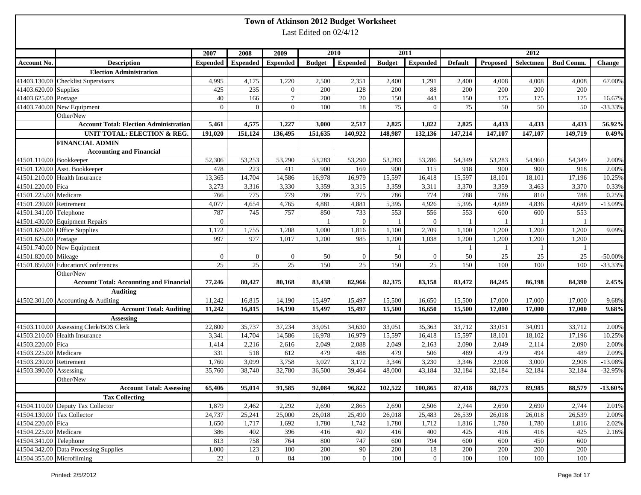|                            |                                                |              |                |                          |                        | Town of Atkinson 2012 Budget Worksheet |               |                 |                |                 |           |                  |               |
|----------------------------|------------------------------------------------|--------------|----------------|--------------------------|------------------------|----------------------------------------|---------------|-----------------|----------------|-----------------|-----------|------------------|---------------|
|                            |                                                |              |                |                          | Last Edited on 02/4/12 |                                        |               |                 |                |                 |           |                  |               |
|                            |                                                |              |                |                          |                        |                                        |               |                 |                |                 |           |                  |               |
|                            |                                                | 2007         | 2008           | 2009                     |                        | 2010                                   |               | 2011            |                |                 | 2012      |                  |               |
| <b>Account No.</b>         | <b>Description</b>                             | Expended     |                | <b>Expended</b> Expended | <b>Budget</b>          | <b>Expended</b>                        | <b>Budget</b> | <b>Expended</b> | <b>Default</b> | <b>Proposed</b> | Selectmen | <b>Bud Comm.</b> | <b>Change</b> |
|                            | <b>Election Administration</b>                 |              |                |                          |                        |                                        |               |                 |                |                 |           |                  |               |
|                            | 41403.130.00 Checklist Supervisors             | 4,995        | 4,175          | 1,220                    | 2,500                  | 2,351                                  | 2,400         | 1,291           | 2,400          | 4,008           | 4,008     | 4,008            | 67.00%        |
| 41403.620.00 Supplies      |                                                | 425          | 235            | $\overline{0}$           | 200                    | 128                                    | 200           | $88\,$          | 200            | 200             | 200       | 200              |               |
| 41403.625.00 Postage       |                                                | 40           | 166            | $\tau$                   | 200                    | 20                                     | 150           | 443             | 150            | 175             | 175       | 175              | 16.67%        |
|                            | 41403.740.00 New Equipment                     | $\mathbf{0}$ | $\Omega$       | $\overline{0}$           | 100                    | 18                                     | 75            | $\overline{0}$  | 75             | 50              | 50        | 50               | $-33.33%$     |
|                            | Other/New                                      |              |                |                          |                        |                                        |               |                 |                |                 |           |                  |               |
|                            | <b>Account Total: Election Administration</b>  | 5,461        | 4,575          | 1,227                    | 3,000                  | 2,517                                  | 2,825         | 1,822           | 2,825          | 4,433           | 4,433     | 4,433            | 56.92%        |
|                            | <b>UNIT TOTAL: ELECTION &amp; REG.</b>         | 191,020      | 151,124        | 136,495                  | 151,635                | 140,922                                | 148,987       | 132,136         | 147,214        | 147,107         | 147,107   | 149,719          | 0.49%         |
|                            | <b>FINANCIAL ADMIN</b>                         |              |                |                          |                        |                                        |               |                 |                |                 |           |                  |               |
|                            | <b>Accounting and Financial</b>                |              |                |                          |                        |                                        |               |                 |                |                 |           |                  |               |
| 41501.110.00 Bookkeeper    |                                                | 52,306       | 53,253         | 53,290                   | 53,283                 | 53,290                                 | 53,283        | 53,286          | 54,349         | 53,283          | 54,960    | 54,349           | 2.00%         |
|                            | 41501.120.00 Asst. Bookkeeper                  | 478          | 223            | 411                      | 900                    | 169                                    | 900           | 115             | 918            | 900             | 900       | 918              | 2.00%         |
|                            | 41501.210.00 Health Insurance                  | 13,365       | 14,704         | 14,586                   | 16,978                 | 16,979                                 | 15,597        | 16,418          | 15,597         | 18,101          | 18,101    | 17,196           | 10.25%        |
| 41501.220.00 Fica          |                                                | 3,273        | 3,316          | 3,330                    | 3,359                  | 3,315                                  | 3,359         | 3,311           | 3,370          | 3,359           | 3,463     | 3,370            | 0.33%         |
| 41501.225.00 Medicare      |                                                | 766          | 775            | 779                      | 786                    | 775                                    | 786           | 774             | 788            | 786             | 810       | 788              | 0.25%         |
| 41501.230.00               | Retirement                                     | 4,077        | 4,654          | 4,765                    | 4,881                  | 4,881                                  | 5,395         | 4,926           | 5,395          | 4,689           | 4,836     | 4,689            | $-13.09%$     |
| 41501.341.00               | Telephone                                      | 787          | 745            | 757                      | 850                    | 733                                    | 553           | 556             | 553            | 600             | 600       | 553              |               |
|                            | 41501.430.00 Equipment Repairs                 | $\mathbf{0}$ |                |                          | $\overline{1}$         | $\overline{0}$                         |               | $\overline{0}$  |                |                 |           |                  |               |
|                            | 41501.620.00 Office Supplies                   | 1,172        | 1,755          | 1,208                    | 1,000                  | 1,816                                  | 1,100         | 2,709           | 1,100          | 1,200           | 1,200     | 1,200            | 9.09%         |
| 41501.625.00 Postage       |                                                | 997          | 977            | 1,017                    | 1,200                  | 985                                    | 1,200         | 1,038           | 1,200          | 1,200           | 1,200     | 1,200            |               |
|                            | 41501.740.00 New Equipment                     |              |                |                          |                        |                                        | $\mathbf{1}$  |                 |                | -1              |           | -1               |               |
| 41501.820.00               | Mileage                                        | $\mathbf{0}$ | $\overline{0}$ | $\overline{0}$           | 50                     | $\overline{0}$                         | 50            | $\overline{0}$  | 50             | 25              | 25        | 25               | $-50.00\%$    |
| 41501.850.00               | Education/Conferences                          | 25           | $25\,$         | 25                       | 150                    | 25                                     | 150           | 25              | 150            | 100             | 100       | 100              | $-33.33%$     |
|                            | Other/New                                      |              |                |                          |                        |                                        |               |                 |                |                 |           |                  |               |
|                            | <b>Account Total: Accounting and Financial</b> | 77,246       | 80,427         | 80,168                   | 83,438                 | 82,966                                 | 82,375        | 83,158          | 83,472         | 84,245          | 86,198    | 84,390           | 2.45%         |
|                            | <b>Auditing</b>                                |              |                |                          |                        |                                        |               |                 |                |                 |           |                  |               |
|                            | 41502.301.00 Accounting & Auditing             | 11,242       | 16,815         | 14,190                   | 15,497                 | 15,497                                 | 15,500        | 16,650          | 15,500         | 17,000          | 17,000    | 17,000           | 9.68%         |
|                            | <b>Account Total: Auditing</b>                 | 11,242       | 16,815         | 14,190                   | 15,497                 | 15,497                                 | 15,500        | 16,650          | 15,500         | 17,000          | 17,000    | 17,000           | 9.68%         |
|                            | Assessing                                      |              |                |                          |                        |                                        |               |                 |                |                 |           |                  |               |
|                            | 41503.110.00 Assessing Clerk/BOS Clerk         | 22,800       | 35,737         | 37,234                   | 33,051                 | 34,630                                 | 33,051        | 35,363          | 33,712         | 33,051          | 34,091    | 33,712           | 2.00%         |
|                            | 41503.210.00 Health Insurance                  | 3,341        | 14,704         | 14,586                   | 16,978                 | 16,979                                 | 15,597        | 16,418          | 15,597         | 18,101          | 18,102    | 17,196           | 10.25%        |
| 41503.220.00 Fica          |                                                | 1,414        | 2,216          | 2,616                    | 2,049                  | 2,088                                  | 2,049         | 2,163           | 2,090          | 2,049           | 2,114     | 2,090            | 2.00%         |
| 41503.225.00               | Medicare                                       | 331          | 518            | 612                      | 479                    | 488                                    | 479           | 506             | 489            | 479             | 494       | 489              | 2.09%         |
| 41503.230.00               | Retirement                                     | 1,760        | 3,099          | 3,758                    | 3,027                  | 3,172                                  | 3,346         | 3,230           | 3,346          | 2,908           | 3,000     | 2,908            | $-13.08%$     |
| 41503.390.00 Assessing     |                                                | 35,760       | 38,740         | 32,780                   | 36,500                 | 39,464                                 | 48,000        | 43,184          | 32,184         | 32,184          | 32,184    | 32,184           | $-32.95%$     |
|                            | Other/New                                      |              |                |                          |                        |                                        |               |                 |                |                 |           |                  |               |
|                            | <b>Account Total: Assessing</b>                | 65,406       | 95,014         | 91,585                   | 92,084                 | 96,822                                 | 102,522       | 100,865         | 87,418         | 88,773          | 89,985    | 88,579           | $-13.60%$     |
|                            | <b>Tax Collecting</b>                          |              |                |                          |                        |                                        |               |                 |                |                 |           |                  |               |
|                            | 41504.110.00 Deputy Tax Collector              | 1,879        | 2,462          | 2,292                    | 2,690                  | 2,865                                  | 2,690         | 2,506           | 2,744          | 2,690           | 2,690     | 2,744            | 2.01%         |
| 41504.130.00 Tax Collector |                                                | 24,737       | 25,241         | 25,000                   | 26,018                 | 25,490                                 | 26,018        | 25,483          | 26,539         | 26,018          | 26,018    | 26,539           | 2.00%         |
| 41504.220.00 Fica          |                                                | 1,650        | 1,717          | 1,692                    | 1,780                  | 1,742                                  | 1,780         | 1,712           | 1,816          | 1,780           | 1,780     | 1,816            | 2.02%         |
| 41504.225.00 Medicare      |                                                | 386          | 402            | 396                      | 416                    | 407                                    | 416           | 400             | 425            | 416             | 416       | 425              | 2.16%         |
| 41504.341.00 Telephone     |                                                | 813          | 758            | 764                      | 800                    | 747                                    | 600           | 794             | 600            | 600             | 450       | 600              |               |
|                            | 41504.342.00 Data Processing Supplies          | 1,000        | 123            | 100                      | 200                    | 90                                     | 200           | $18\,$          | 200            | 200             | 200       | 200              |               |
| 41504.355.00 Microfilming  |                                                | 22           | $\overline{0}$ | $\bf 84$                 | 100                    | $\overline{0}$                         | $100\,$       | $\overline{0}$  | 100            | 100             | 100       | $100\,$          |               |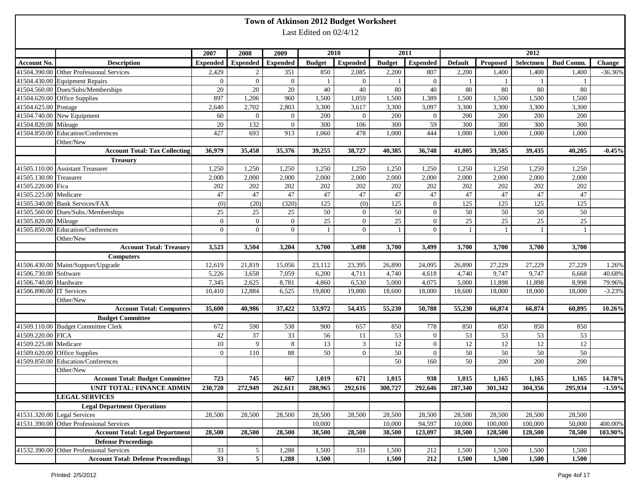|                          |                                           |                 |                 |                          |                        | Town of Atkinson 2012 Budget Worksheet |               |                  |                 |                |           |                  |           |
|--------------------------|-------------------------------------------|-----------------|-----------------|--------------------------|------------------------|----------------------------------------|---------------|------------------|-----------------|----------------|-----------|------------------|-----------|
|                          |                                           |                 |                 |                          | Last Edited on 02/4/12 |                                        |               |                  |                 |                |           |                  |           |
|                          |                                           | 2007            | 2008            | 2009                     |                        | 2010                                   |               | 2011             |                 |                | 2012      |                  |           |
| <b>Account No.</b>       | <b>Description</b>                        | <b>Expended</b> |                 | <b>Expended</b> Expended | <b>Budget</b>          | <b>Expended</b>                        | <b>Budget</b> | <b>Expended</b>  | <b>Default</b>  | Proposed       | Selectmen | <b>Bud Comm.</b> | Change    |
|                          | 41504.390.00 Other Professional Services  | 2,429           | $\overline{2}$  | 351                      | 850                    | 2,085                                  | 2,200         | 807              | 2,200           | 1,400          | 1,400     | 1,400            | $-36.36%$ |
|                          | 41504.430.00 Equipment Repairs            | $\overline{0}$  | $\overline{0}$  | $\overline{0}$           | -1                     | $\overline{0}$                         | $\mathbf{1}$  | $\overline{0}$   |                 |                |           |                  |           |
|                          | 41504.560.00 Dues/Subs/Memberships        | 20              | 20              | 20                       | 40                     | 40                                     | $80\,$        | 40               | 80              | 80             | 80        | 80               |           |
|                          | 41504.620.00 Office Supplies              | 897             | 1,206           | 960                      | 1,500                  | 1,059                                  | 1,500         | 1,389            | 1,500           | 1,500          | 1,500     | 1,500            |           |
| 41504.625.00 Postage     |                                           | 2,640           | 2,702           | 2,803                    | 3,300                  | 3,617                                  | 3,300         | 3,097            | 3,300           | 3,300          | 3,300     | 3,300            |           |
|                          | 41504.740.00 New Equipment                | 60              | $\mathbf{0}$    | $\overline{0}$           | 200                    | $\overline{0}$                         | 200           | $\mathbf{0}$     | 200             | 200            | 200       | 200              |           |
| 41504.820.00 Mileage     |                                           | 20              | 132             | $\overline{0}$           | 300                    | 106                                    | 300           | 59               | 300             | 300            | 300       | 300              |           |
|                          | 41504.850.00 Education/Conferences        | 427             | 693             | 913                      | 1,060                  | 478                                    | 1,000         | 444              | 1,000           | 1,000          | 1,000     | 1,000            |           |
|                          | Other/New                                 |                 |                 |                          |                        |                                        |               |                  |                 |                |           |                  |           |
|                          | <b>Account Total: Tax Collecting</b>      | 36,979          | 35,458          | 35,376                   | 39,255                 | 38,727                                 | 40,385        | 36,748           | 41,005          | 39,585         | 39,435    | 40,205           | $-0.45%$  |
|                          | <b>Treasury</b>                           |                 |                 |                          |                        |                                        |               |                  |                 |                |           |                  |           |
|                          | 41505.110.00 Assistant Treasurer          | 1,250           | 1,250           | 1,250                    | 1,250                  | 1,250                                  | 1,250         | 1,250            | 1,250           | 1,250          | 1,250     | 1,250            |           |
| 41505.130.00 Treasurer   |                                           | 2,000           | 2,000           | 2,000                    | 2,000                  | 2,000                                  | 2,000         | 2,000            | 2,000           | 2,000          | 2,000     | 2,000            |           |
| 41505.220.00 Fica        |                                           | 202             | 202             | 202                      | 202                    | 202                                    | 202           | 202              | 202             | 202            | 202       | 202              |           |
| 41505.225.00 Medicare    |                                           | 47              | 47              | 47                       | 47                     | $47\,$                                 | 47            | 47               | 47              | 47             | 47        | 47               |           |
|                          | 41505.340.00 Bank Services/FAX            | (0)             | (20)            | (320)                    | 125                    | (0)                                    | 125           | $\boldsymbol{0}$ | 125             | 125            | 125       | 125              |           |
|                          | 41505.560.00 Dues/Subs./Memberships       | $25\,$          | 25              | 25                       | 50                     | $\overline{0}$                         | $50\,$        | $\theta$         | 50              | 50             | 50        | 50               |           |
| 41505.820.00 Mileage     |                                           | $\overline{0}$  | $\mathbf{0}$    | $\mathbf{0}$             | 25                     | $\overline{0}$                         | $25\,$        | $\boldsymbol{0}$ | 25              | $25\,$         | 25        | 25               |           |
|                          | 41505.850.00 Education/Conferences        | $\mathbf{0}$    | $\overline{0}$  | $\overline{0}$           | $\overline{1}$         | $\overline{0}$                         |               | $\mathbf{0}$     |                 | $\overline{1}$ |           |                  |           |
|                          | Other/New                                 |                 |                 |                          |                        |                                        |               |                  |                 |                |           |                  |           |
|                          | <b>Account Total: Treasury</b>            | 3,523           | 3,504           | 3,204                    | 3,700                  | 3,498                                  | 3,700         | 3,499            | 3,700           | 3,700          | 3,700     | 3,700            |           |
|                          | <b>Computers</b>                          |                 |                 |                          |                        |                                        |               |                  |                 |                |           |                  |           |
|                          | 41506.430.00 Maint/Support/Upgrade        | 12,619          | 21,819          | 15,056                   | 23,112                 | 23,395                                 | 26,890        | 24,095           | 26,890          | 27,229         | 27,229    | 27,229           | 1.26%     |
| 41506.730.00 Software    |                                           | 5,226           | 3,658           | 7,059                    | 6,200                  | 4,711                                  | 4,740         | 4,618            | 4,740           | 9,747          | 9,747     | 6,668            | 40.68%    |
| 41506.740.00 Hardware    |                                           | 7,345           | 2,625           | 8,781                    | 4,860                  | 6,530                                  | 5,000         | 4,075            | 5,000           | 11,898         | 11,898    | 8,998            | 79.96%    |
| 41506.890.00 IT Services |                                           | 10,410          | 12,884          | 6,525                    | 19,800                 | 19,800                                 | 18,600        | 18,000           | 18,600          | 18,000         | 18,000    | 18,000           | $-3.23%$  |
|                          | Other/New                                 |                 |                 |                          |                        |                                        |               |                  |                 |                |           |                  |           |
|                          | <b>Account Total: Computers</b>           | 35,600          | 40,986          | 37,422                   | 53,972                 | 54,435                                 | 55,230        | 50,788           | 55,230          | 66,874         | 66,874    | 60,895           | 10.26%    |
|                          | <b>Budget Committee</b>                   |                 |                 |                          |                        |                                        |               |                  |                 |                |           |                  |           |
|                          | 41509.110.00 Budget Committee Clerk       | 672             | 590             | 538                      | 900                    | 657                                    | 850           | 778              | 850             | 850            | 850       | 850              |           |
| 41509.220.00 FICA        |                                           | 42              | 37              | 33                       | 56                     | 11                                     | 53            | $\mathbf{0}$     | 53              | 53             | 53        | 53               |           |
| 41509.225.00 Medicare    |                                           | 10              | 9               | 8                        | 13                     | 3                                      | 12            | $\overline{0}$   | 12              | 12             | 12        | 12               |           |
|                          | 41509.620.00 Office Supplies              | $\overline{0}$  | 110             | 88                       | 50                     | $\overline{0}$                         | 50            | $\mathbf{0}$     | 50              | 50             | 50        | 50               |           |
|                          | 41509.850.00 Education/Conferences        |                 |                 |                          |                        |                                        | 50            | 160              | $\overline{50}$ | 200            | 200       | 200              |           |
|                          | Other/New                                 |                 |                 |                          |                        |                                        |               |                  |                 |                |           |                  |           |
|                          | <b>Account Total: Budget Committee</b>    | 723             | 745             | 667                      | 1,019                  | 671                                    | 1,015         | 938              | 1,015           | 1,165          | 1,165     | 1,165            | 14.78%    |
|                          | UNIT TOTAL: FINANCE ADMIN                 | 230,720         | 272,949         | 262,611                  | 288,965                | 292,616                                | 300,727       | 292,646          | 287,340         | 301,342        | 304,356   | 295,934          | $-1.59%$  |
|                          | <b>LEGAL SERVICES</b>                     |                 |                 |                          |                        |                                        |               |                  |                 |                |           |                  |           |
|                          | <b>Legal Department Operations</b>        |                 |                 |                          |                        |                                        |               |                  |                 |                |           |                  |           |
|                          | 41531.320.00 Legal Services               | 28,500          | 28,500          | 28,500                   | 28,500                 | 28,500                                 | 28,500        | 28,500           | 28,500          | 28,500         | 28,500    | 28,500           |           |
|                          | 41531.390.00 Other Professional Services  |                 |                 |                          | 10,000                 |                                        | 10,000        | 94,597           | 10,000          | 100,000        | 100,000   | 50,000           | 400.00%   |
|                          | <b>Account Total: Legal Department</b>    | 28,500          | 28,500          | 28,500                   | 38,500                 | 28,500                                 | 38,500        | 123,097          | 38,500          | 128,500        | 128,500   | 78,500           | 103.90%   |
|                          | <b>Defense Proceedings</b>                |                 |                 |                          |                        |                                        |               |                  |                 |                |           |                  |           |
| 41532.390.00             | <b>Other Professional Services</b>        | 33              | $5\overline{)}$ | 1,288                    | 1,500                  | 331                                    | 1,500         | 212              | 1,500           | 1,500          | 1,500     | 1,500            |           |
|                          | <b>Account Total: Defense Proceedings</b> | 33              | 5 <sup>5</sup>  | 1,288                    | 1,500                  |                                        | 1,500         | 212              | 1,500           | 1,500          | 1,500     | 1,500            |           |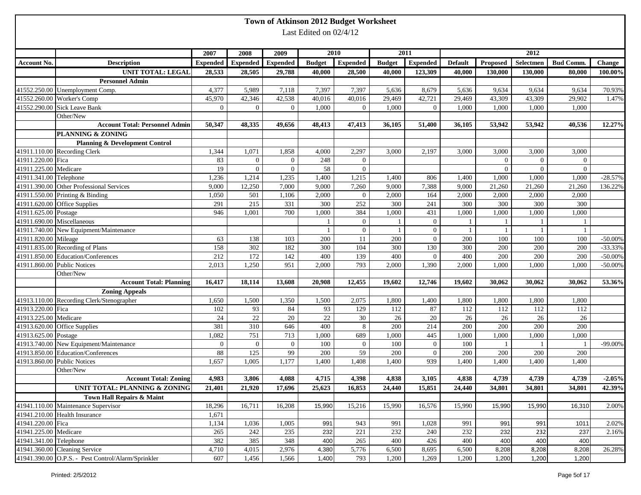|                        |                                                    |                 |                   |                         |                        | Town of Atkinson 2012 Budget Worksheet |               |                  |                |                         |                   |                   |            |
|------------------------|----------------------------------------------------|-----------------|-------------------|-------------------------|------------------------|----------------------------------------|---------------|------------------|----------------|-------------------------|-------------------|-------------------|------------|
|                        |                                                    |                 |                   |                         | Last Edited on 02/4/12 |                                        |               |                  |                |                         |                   |                   |            |
|                        |                                                    |                 |                   |                         |                        |                                        |               |                  |                |                         |                   |                   |            |
|                        |                                                    | 2007            | 2008              | 2009                    |                        | 2010                                   |               | 2011             |                |                         | 2012              |                   |            |
| <b>Account No.</b>     | <b>Description</b>                                 | <b>Expended</b> | <b>Expended</b>   | <b>Expended</b>         | <b>Budget</b>          | <b>Expended</b>                        | <b>Budget</b> | <b>Expended</b>  | <b>Default</b> | Proposed                | Selectmen         | <b>Bud Comm.</b>  | Change     |
|                        | <b>UNIT TOTAL: LEGAL</b>                           | 28,533          | 28,505            | 29,788                  | 40,000                 | 28,500                                 | 40,000        | 123,309          | 40,000         | 130,000                 | 130,000           | 80,000            | 100.00%    |
|                        | <b>Personnel Admin</b>                             |                 |                   |                         |                        |                                        |               |                  |                |                         |                   |                   |            |
|                        | 41552.250.00 Unemployment Comp.                    | 4,377           | 5,989             | 7,118                   | 7,397                  | 7,397                                  | 5,636         | 8,679            | 5,636          | 9,634                   | 9,634             | 9,634             | 70.93%     |
|                        | 41552.260.00 Worker's Comp                         | 45,970          | 42,346            | 42,538                  | 40,016                 | 40,016                                 | 29,469        | 42,721           | 29,469         | 43,309                  | 43,309            | 29,902            | 1.47%      |
|                        | 41552.290.00 Sick Leave Bank                       | $\overline{0}$  | $\Omega$          | $\overline{0}$          | 1,000                  | $\theta$                               | 1,000         | $\mathbf{0}$     | 1,000          | 1,000                   | 1,000             | 1,000             |            |
|                        | Other/New<br><b>Account Total: Personnel Admin</b> |                 |                   |                         | 48,413                 |                                        | 36,105        | 51,400           |                | 53,942                  | 53,942            | 40,536            | 12.27%     |
|                        |                                                    | 50,347          | 48,335            | 49,656                  |                        | 47,413                                 |               |                  | 36,105         |                         |                   |                   |            |
|                        | <b>PLANNING &amp; ZONING</b>                       |                 |                   |                         |                        |                                        |               |                  |                |                         |                   |                   |            |
|                        | <b>Planning &amp; Development Control</b>          |                 |                   |                         |                        |                                        |               |                  |                |                         |                   |                   |            |
| 41911.220.00 Fica      | 41911.110.00 Recording Clerk                       | 1,344<br>83     | 1,071<br>$\Omega$ | 1,858<br>$\overline{0}$ | 4,000<br>248           | 2,297<br>$\overline{0}$                | 3,000         | 2,197            | 3,000          | 3,000<br>$\overline{0}$ | 3,000<br>$\theta$ | 3,000<br>$\Omega$ |            |
| 41911.225.00 Medicare  |                                                    | 19              | $\overline{0}$    | $\overline{0}$          | 58                     | $\overline{0}$                         |               |                  |                | $\overline{0}$          | $\overline{0}$    | $\theta$          |            |
| 41911.341.00 Telephone |                                                    | 1,236           | 1,214             | 1,235                   | 1,400                  | 1,215                                  | 1,400         | 806              | 1,400          | 1,000                   | 1,000             | 1,000             | $-28.57%$  |
|                        | 41911.390.00 Other Professional Services           | 9,000           | 12,250            | 7,000                   | 9,000                  | 7,260                                  | 9,000         | 7,388            | 9,000          | 21,260                  | 21,260            | 21,260            |            |
|                        | 41911.550.00 Printing & Binding                    | 1,050           | 501               | 1,106                   | 2,000                  | $\overline{0}$                         | 2,000         | 164              | 2,000          | 2,000                   | 2,000             | 2,000             | 136.22%    |
|                        | 41911.620.00 Office Supplies                       | 291             | 215               | 331                     | 300                    | 252                                    | 300           | 241              | 300            | 300                     | 300               | 300               |            |
| 41911.625.00 Postage   |                                                    | 946             | 1,001             | 700                     | 1,000                  | 384                                    | 1,000         | 431              | 1,000          | 1,000                   | 1,000             | 1,000             |            |
|                        | 41911.690.00 Miscellaneous                         |                 |                   |                         | $\mathbf{1}$           | $\overline{0}$                         |               | $\overline{0}$   |                |                         |                   |                   |            |
|                        | 41911.740.00 New Equipment/Maintenance             |                 |                   |                         | $\overline{1}$         | $\overline{0}$                         |               | $\mathbf{0}$     |                |                         | $\overline{1}$    |                   |            |
| 41911.820.00 Mileage   |                                                    | 63              | 138               | 103                     | 200                    | 11                                     | 200           | $\theta$         | 200            | 100                     | 100               | 100               | $-50.00%$  |
|                        | 41911.835.00 Recording of Plans                    | 158             | 302               | 182                     | 300                    | 104                                    | 300           | 130              | 300            | 200                     | 200               | 200               | $-33.33%$  |
|                        | 41911.850.00 Education/Conferences                 | 212             | 172               | 142                     | 400                    | 139                                    | 400           | $\theta$         | 400            | 200                     | 200               | 200               | $-50.00%$  |
|                        | 41911.860.00 Public Notices                        | 2,013           | 1,250             | 951                     | 2,000                  | 793                                    | 2,000         | 1,390            | 2,000          | 1,000                   | 1,000             | 1,000             | $-50.00\%$ |
|                        | Other/New                                          |                 |                   |                         |                        |                                        |               |                  |                |                         |                   |                   |            |
|                        | <b>Account Total: Planning</b>                     | 16,417          | 18,114            | 13,608                  | 20,908                 | 12,455                                 | 19,602        | 12,746           | 19,602         | 30,062                  | 30,062            | 30,062            | 53.36%     |
|                        | <b>Zoning Appeals</b>                              |                 |                   |                         |                        |                                        |               |                  |                |                         |                   |                   |            |
|                        | 41913.110.00 Recording Clerk/Stenographer          | 1,650           | 1,500             | 1,350                   | 1,500                  | 2,075                                  | 1,800         | 1,400            | 1,800          | 1,800                   | 1,800             | 1,800             |            |
| 41913.220.00 Fica      |                                                    | 102             | 93                | 84                      | 93                     | 129                                    | 112           | 87               | 112            | 112                     | 112               | 112               |            |
| 41913.225.00 Medicare  |                                                    | 24              | 22                | 20                      | $22\,$                 | $30\,$                                 | 26            | $\overline{20}$  | 26             | 26                      | 26                | 26                |            |
|                        | 41913.620.00 Office Supplies                       | 381             | 310               | 646                     | 400                    | 8                                      | 200           | 214              | 200            | 200                     | 200               | 200               |            |
| 41913.625.00 Postage   |                                                    | 1,082           | 751               | 713                     | 1,000                  | 689                                    | 1,000         | 445              | 1,000          | 1,000                   | 1,000             | 1,000             |            |
|                        | 41913.740.00 New Equipment/Maintenance             | $\overline{0}$  | $\overline{0}$    | $\overline{0}$          | 100                    | $\overline{0}$                         | 100           | $\boldsymbol{0}$ | 100            |                         |                   |                   | $-99.00\%$ |
|                        | 41913.850.00 Education/Conferences                 | 88              | 125               | 99                      | 200                    | 59                                     | 200           | $\theta$         | 200            | 200                     | 200               | 200               |            |
| 41913.860.00           | <b>Public Notices</b>                              | 1,657           | 1,005             | 1,177                   | 1,400                  | 1,408                                  | 1,400         | 939              | 1,400          | 1,400                   | 1,400             | 1,400             |            |
|                        | Other/New                                          |                 |                   |                         |                        |                                        |               |                  |                |                         |                   |                   |            |
|                        | <b>Account Total: Zoning</b>                       | 4,983           | 3,806             | 4,088                   | 4,715                  | 4,398                                  | 4,838         | 3,105            | 4,838          | 4,739                   | 4,739             | 4,739             | $-2.05%$   |
|                        | <b>UNIT TOTAL: PLANNING &amp; ZONING</b>           | 21,401          | 21,920            | 17,696                  | 25,623                 | 16,853                                 | 24,440        | 15,851           | 24,440         | 34,801                  | 34,801            | 34,801            | 42.39%     |
|                        | Town Hall Repairs & Maint                          |                 |                   |                         |                        |                                        |               |                  |                |                         |                   |                   |            |
|                        | 41941.110.00 Maintenance Supervisor                | 18,296          | 16,711            | 16,208                  | 15,990                 | 15,216                                 | 15,990        | 16,576           | 15,990         | 15,990                  | 15,990            | 16,310            | 2.00%      |
|                        | 41941.210.00 Health Insurance                      | 1,671           |                   |                         |                        |                                        |               |                  |                |                         |                   |                   |            |
| 41941.220.00 Fica      |                                                    | 1,134           | 1,036             | 1,005                   | 991                    | 943                                    | 991           | 1,028            | 991            | 991                     | 991               | 1011              | 2.02%      |
| 41941.225.00 Medicare  |                                                    | 265             | 242               | 235                     | 232                    | 221                                    | 232           | 240              | 232            | 232                     | 232               | 237               | 2.16%      |
| 41941.341.00 Telephone |                                                    | 382             | 385               | 348                     | 400                    | 265                                    | 400           | 426              | 400            | 400                     | 400               | 400               |            |
|                        | 41941.360.00 Cleaning Service                      | 4,710           | 4,015             | 2,976                   | 4,380                  | 5,776                                  | 6,500         | 8,695            | 6,500          | 8,208                   | 8,208             | 8,208             | 26.28%     |
|                        | 41941.390.00 O.P.S. - Pest Control/Alarm/Sprinkler | 607             | 1,456             | 1,566                   | 1,400                  | 793                                    | 1,200         | 1,269            | 1,200          | 1,200                   | 1,200             | 1,200             |            |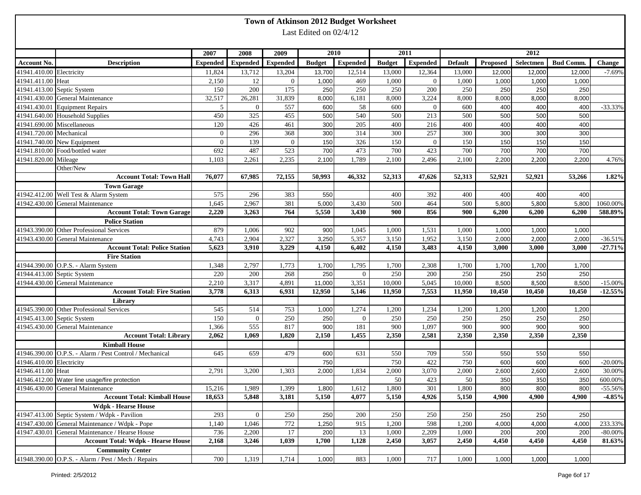|                          |                                                         |                 |                 |                 |                        | Town of Atkinson 2012 Budget Worksheet |               |                 |                |        |                    |                  |               |
|--------------------------|---------------------------------------------------------|-----------------|-----------------|-----------------|------------------------|----------------------------------------|---------------|-----------------|----------------|--------|--------------------|------------------|---------------|
|                          |                                                         |                 |                 |                 | Last Edited on 02/4/12 |                                        |               |                 |                |        |                    |                  |               |
|                          |                                                         |                 |                 |                 |                        |                                        |               |                 |                |        |                    |                  |               |
|                          |                                                         | 2007            | 2008            | 2009            |                        | 2010                                   |               | 2011            |                |        | 2012               |                  |               |
| Account No.              | <b>Description</b>                                      | <b>Expended</b> | <b>Expended</b> | <b>Expended</b> | <b>Budget</b>          | <b>Expended</b>                        | <b>Budget</b> | <b>Expended</b> | <b>Default</b> |        | Proposed Selectmen | <b>Bud Comm.</b> | <b>Change</b> |
| 41941.410.00 Electricity |                                                         | 11,824          | 13,712          | 13,204          | 13,700                 | 12,514                                 | 13,000        | 12,364          | 13,000         | 12,000 | 12,000             | 12,000           | $-7.69%$      |
| 41941.411.00 Heat        |                                                         | 2,150           | 12              | $\overline{0}$  | 1,000                  | 469                                    | 1,000         | $\mathbf{0}$    | 1,000          | 1,000  | 1,000              | 1,000            |               |
|                          | 41941.413.00 Septic System                              | 150             | 200             | 175             | 250                    | 250                                    | 250           | 200             | 250            | 250    | 250                | 250              |               |
|                          | 41941.430.00 General Maintenance                        | 32,517          | 26,281          | 31,839          | 8,000                  | 6,181                                  | 8,000         | 3,224           | 8,000          | 8,000  | 8,000              | 8,000            |               |
|                          | 41941.430.01 Equipment Repairs                          | $5\overline{)}$ | $\overline{0}$  | 557             | 600                    | 58                                     | 600           | $\theta$        | 600            | 400    | 400                | 400              | $-33.33%$     |
|                          | 41941.640.00 Household Supplies                         | 450             | 325             | 455             | 500                    | 540                                    | 500           | 213             | 500            | 500    | 500                | 500              |               |
|                          | 41941.690.00 Miscellaneous                              | 120             | 426             | 461             | 300                    | 205                                    | 400           | 216             | 400            | 400    | 400                | 400              |               |
| 41941.720.00 Mechanical  |                                                         | $\overline{0}$  | 296             | 368             | 300                    | 314                                    | 300           | 257             | 300            | 300    | 300                | 300              |               |
|                          | 41941.740.00 New Equipment                              | $\overline{0}$  | 139             | $\overline{0}$  | 150                    | 326                                    | 150           | $\overline{0}$  | 150            | 150    | 150                | 150              |               |
|                          | 41941.810.00 Food/bottled water                         | 692             | 487             | 523             | 700                    | 473                                    | 700           | 423             | 700            | 700    | 700                | 700              |               |
| 41941.820.00             | Mileage                                                 | 1,103           | 2,261           | 2,235           | 2,100                  | 1,789                                  | 2,100         | 2,496           | 2,100          | 2,200  | 2,200              | 2,200            | 4.76%         |
|                          | Other/New                                               |                 |                 |                 |                        |                                        |               |                 |                |        |                    |                  |               |
|                          | <b>Account Total: Town Hall</b>                         | 76,077          | 67,985          | 72,155          | 50,993                 | 46,332                                 | 52,313        | 47,626          | 52,313         | 52,921 | 52,921             | 53,266           | 1.82%         |
|                          | <b>Town Garage</b>                                      |                 |                 |                 |                        |                                        |               |                 |                |        |                    |                  |               |
|                          | 41942.412.00 Well Test & Alarm System                   | 575             | 296             | 383             | 550                    |                                        | 400           | 392             | 400            | 400    | 400                | 400              |               |
|                          | 41942.430.00 General Maintenance                        | 1,645           | 2,967           | 381             | 5,000                  | 3,430                                  | 500           | 464             | 500            | 5,800  | 5,800              | 5,800            | 1060.00%      |
|                          | <b>Account Total: Town Garage</b>                       | 2,220           | 3,263           | 764             | 5,550                  | 3,430                                  | 900           | 856             | 900            | 6,200  | 6,200              | 6,200            | 588.89%       |
|                          | <b>Police Station</b>                                   |                 |                 |                 |                        |                                        |               |                 |                |        |                    |                  |               |
|                          | 41943.390.00 Other Professional Services                | 879             | 1,006           | 902             | 900                    | 1,045                                  | 1,000         | 1,531           | 1,000          | 1,000  | 1,000              | 1,000            |               |
|                          | 41943.430.00 General Maintenance                        | 4,743           | 2,904           | 2,327           | 3,250                  | 5,357                                  | 3,150         | 1,952           | 3,150          | 2,000  | 2,000              | 2,000            | $-36.51%$     |
|                          | <b>Account Total: Police Station</b>                    | 5,623           | 3,910           | 3,229           | 4,150                  | 6,402                                  | 4,150         | 3,483           | 4,150          | 3,000  | 3,000              | 3,000            | $-27.71%$     |
|                          | <b>Fire Station</b>                                     |                 |                 |                 |                        |                                        |               |                 |                |        |                    |                  |               |
|                          | 41944.390.00 O.P.S. - Alarm System                      | 1,348           | 2,797           | 1,773           | 1,700                  | 1,795                                  | 1,700         | 2,308           | 1,700          | 1,700  | 1,700              | 1,700            |               |
|                          | 41944.413.00 Septic System                              | 220             | 200             | 268             | 250                    | $\overline{0}$                         | 250           | 200             | 250            | 250    | 250                | 250              |               |
|                          | 41944.430.00 General Maintenance                        | 2,210           | 3,317           | 4,891           | 11,000                 | 3,351                                  | 10,000        | 5,045           | 10,000         | 8,500  | 8,500              | 8,500            | $-15.00\%$    |
|                          | <b>Account Total: Fire Station</b>                      | 3,778           | 6,313           | 6,931           | 12,950                 | 5,146                                  | 11,950        | 7,553           | 11,950         | 10,450 | 10,450             | 10,450           | $-12.55%$     |
|                          | Library                                                 |                 |                 |                 |                        |                                        |               |                 |                |        |                    |                  |               |
|                          | 41945.390.00 Other Professional Services                | 545             | 514             | 753             | 1,000                  | 1,274                                  | 1,200         | 1,234           | 1,200          | 1,200  | 1,200              | 1,200            |               |
|                          | 41945.413.00 Septic System                              | 150             | $\overline{0}$  | 250             | 250                    | $\overline{0}$                         | $250\,$       | 250             | 250            | 250    | 250                | 250              |               |
|                          | 41945.430.00 General Maintenance                        | 1,366           | 555             | 817             | 900                    | 181                                    | 900           | 1,097           | 900            | 900    | 900                | 900              |               |
|                          | <b>Account Total: Library</b>                           | 2,062           | 1,069           | 1,820           | 2,150                  | 1,455                                  | 2,350         | 2,581           | 2,350          | 2,350  | 2,350              | 2,350            |               |
|                          | <b>Kimball House</b>                                    |                 |                 |                 |                        |                                        |               |                 |                |        |                    |                  |               |
|                          | 41946.390.00 O.P.S. - Alarm / Pest Control / Mechanical | 645             | 659             | 479             | 600                    | 631                                    | 550           | 709             | 550            | 550    | 550                | 550              |               |
| 41946.410.00 Electricity |                                                         |                 |                 |                 | 750                    |                                        | 750           | 422             | 750            | 600    | 600                | 600              | $-20.00\%$    |
| 41946.411.00 Heat        |                                                         | 2,791           | 3,200           | 1,303           | 2,000                  | 1,834                                  | 2,000         | 3,070           | 2,000          | 2,600  | 2,600              | 2,600            | 30.00%        |
|                          | 41946.412.00 Water line usage/fire protection           |                 |                 |                 |                        |                                        | 50            | 423             | 50             | 350    | 350                | 350              | $600.00\%$    |
|                          | 41946.430.00 General Maintenance                        | 15,216          | 1,989           | 1,399           | 1,800                  | 1,612                                  | 1,800         | 301             | 1,800          | 800    | 800                | 800              | $-55.56%$     |
|                          | <b>Account Total: Kimball House</b>                     | 18,653          | 5,848           | 3,181           | 5,150                  | 4,077                                  | 5,150         | 4,926           | 5,150          | 4,900  | 4,900              | 4,900            | $-4.85%$      |
|                          | <b>Wdpk - Hearse House</b>                              |                 |                 |                 |                        |                                        |               |                 |                |        |                    |                  |               |
|                          | 41947.413.00 Septic System / Wdpk - Pavilion            | 293             | $\overline{0}$  | 250             | 250                    | 200                                    | 250           | 250             | 250            | 250    | 250                | 250              |               |
|                          | 41947.430.00 General Maintenance / Wdpk - Pope          | 1,140           | 1,046           | 772             | 1,250                  | 915                                    | 1,200         | 598             | 1,200          | 4,000  | 4,000              | 4,000            | 233.33%       |
|                          | 41947.430.01 General Maintenance / Hearse House         | 736             | 2,200           | 17              | 200                    | 13                                     | 1,000         | 2,209           | 1,000          | 200    | 200                | 200              | $-80.00\%$    |
|                          | <b>Account Total: Wdpk - Hearse House</b>               | 2,168           | 3,246           | 1,039           | 1,700                  | 1,128                                  | 2,450         | 3,057           | 2,450          | 4,450  | 4,450              | 4,450            | 81.63%        |
|                          | <b>Community Center</b>                                 |                 |                 |                 |                        |                                        |               |                 |                |        |                    |                  |               |
|                          | 41948.390.00 O.P.S. - Alarm / Pest / Mech / Repairs     | 700             | 1,319           | 1,714           | 1,000                  | 883                                    | 1,000         | 717             | 1,000          | 1,000  | 1,000              | 1,000            |               |
|                          |                                                         |                 |                 |                 |                        |                                        |               |                 |                |        |                    |                  |               |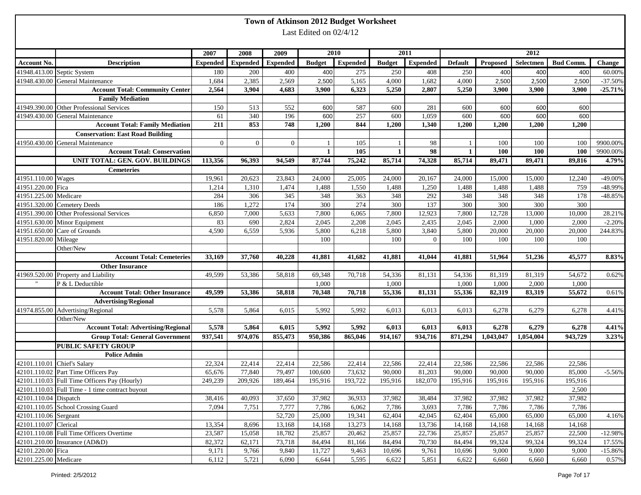|                             |                                                                                                 |                 |                 |                 |                          | Town of Atkinson 2012 Budget Worksheet |                 |                 |                 |                 |                 |                  |                |
|-----------------------------|-------------------------------------------------------------------------------------------------|-----------------|-----------------|-----------------|--------------------------|----------------------------------------|-----------------|-----------------|-----------------|-----------------|-----------------|------------------|----------------|
|                             |                                                                                                 |                 |                 |                 | Last Edited on $02/4/12$ |                                        |                 |                 |                 |                 |                 |                  |                |
|                             |                                                                                                 |                 |                 |                 |                          |                                        |                 |                 |                 |                 |                 |                  |                |
|                             |                                                                                                 | 2007            | 2008            | 2009            |                          | 2010                                   |                 | 2011            |                 |                 | 2012            |                  |                |
| <b>Account No.</b>          | <b>Description</b>                                                                              | <b>Expended</b> | <b>Expended</b> | <b>Expended</b> | <b>Budget</b>            | <b>Expended</b>                        | <b>Budget</b>   | <b>Expended</b> | <b>Default</b>  | Proposed        | Selectmen       | <b>Bud Comm.</b> | <b>Change</b>  |
|                             |                                                                                                 |                 |                 |                 |                          |                                        |                 |                 |                 |                 |                 |                  |                |
|                             | 41948.413.00 Septic System                                                                      | 180             | 200             | 400             | 400                      | 275                                    | 250             | 408             | 250             | 400             | 400             | 400              | 60.00%         |
|                             | 41948.430.00 General Maintenance                                                                | 1,684           | 2,385<br>3,904  | 2,569<br>4,683  | 2,500<br>3,900           | 5,165<br>6,323                         | 4,000           | 1,682<br>2,807  | 4,000<br>5,250  | 2,500<br>3,900  | 2,500           | 2,500<br>3,900   | $-37.50%$      |
|                             | <b>Account Total: Community Center</b>                                                          | 2,564           |                 |                 |                          |                                        | 5,250           |                 |                 |                 | 3,900           |                  | $-25.71%$      |
|                             | <b>Family Mediation</b>                                                                         |                 |                 |                 |                          |                                        |                 |                 |                 |                 |                 |                  |                |
|                             | 41949.390.00 Other Professional Services<br>41949.430.00 General Maintenance                    | 150             | 513             | 552             | 600                      | 587                                    | 600             | 281             | 600             | 600             | 600             | 600              |                |
|                             | <b>Account Total: Family Mediation</b>                                                          | 61<br>211       | 340<br>853      | 196<br>748      | 600<br>1,200             | 257<br>844                             | 600<br>1,200    | 1,059<br>1,340  | 600<br>1,200    | 600<br>1,200    | 600<br>1,200    | 600<br>1,200     |                |
|                             |                                                                                                 |                 |                 |                 |                          |                                        |                 |                 |                 |                 |                 |                  |                |
|                             | <b>Conservation: East Road Building</b>                                                         |                 |                 |                 |                          |                                        |                 |                 |                 |                 |                 |                  |                |
|                             | 41950.430.00 General Maintenance<br><b>Account Total: Conservation</b>                          | $\overline{0}$  | $\overline{0}$  | $\overline{0}$  | -1<br>$\mathbf{1}$       | 105<br>105                             | 1               | 98<br>98        | 1               | 100<br>100      | 100<br>100      | 100<br>100       | 9900.00%       |
|                             |                                                                                                 |                 |                 |                 |                          |                                        |                 |                 |                 |                 |                 |                  | 9900.00%       |
|                             | <b>UNIT TOTAL: GEN. GOV. BUILDINGS</b>                                                          | 113,356         | 96,393          | 94,549          | 87,744                   | 75,242                                 | 85,714          | 74,328          | 85,714          | 89,471          | 89,471          | 89,816           | 4.79%          |
|                             | <b>Cemeteries</b>                                                                               |                 |                 |                 |                          |                                        |                 |                 |                 |                 |                 |                  |                |
| 41951.110.00 Wages          |                                                                                                 | 19,961          | 20,623          | 23,843          | 24,000                   | 25,005                                 | 24,000          | 20,167          | 24,000          | 15,000          | 15,000          | 12,240           | $-49.00\%$     |
| 41951.220.00 Fica           |                                                                                                 | 1,214           | 1,310           | 1,474           | 1,488                    | 1,550                                  | 1,488           | 1,250           | 1,488           | 1,488           | 1,488           | 759              | -48.99%        |
| 41951.225.00 Medicare       |                                                                                                 | 284             | 306             | 345             | 348                      | 363                                    | 348             | 292             | 348             | 348             | 348             | 178              | $-48.85%$      |
|                             | 41951.320.00 Cemetery Deeds                                                                     | 186             | 1,272           | 174             | 300                      | 274                                    | 300             | 137             | 300             | 300             | 300             | 300              |                |
|                             | 41951.390.00 Other Professional Services                                                        | 6,850           | 7,000           | 5,633           | 7,800                    | 6,065                                  | 7,800           | 12,923          | 7,800           | 12,728          | 13,000          | 10,000           | 28.21%         |
|                             | 41951.630.00 Minor Equipment                                                                    | 83              | 690             | 2,824           | 2,045                    | 2,208                                  | 2,045           | 2,435           | 2,045           | 2,000           | 1,000           | 2,000            | $-2.20%$       |
|                             | 41951.650.00 Care of Grounds                                                                    | 4,590           | 6,559           | 5,936           | 5,800                    | 6,218                                  | 5,800           | 3,840           | 5,800           | 20,000          | 20,000          | 20,000           | 244.83%        |
| 41951.820.00 Mileage        |                                                                                                 |                 |                 |                 | 100                      |                                        | 100             | $\overline{0}$  | 100             | 100             | 100             | 100              |                |
|                             | Other/New<br><b>Account Total: Cemeteries</b>                                                   |                 | 37,760          | 40,228          | 41,881                   | 41,682                                 | 41,881          | 41,044          | 41,881          | 51,964          |                 |                  |                |
|                             |                                                                                                 | 33,169          |                 |                 |                          |                                        |                 |                 |                 |                 | 51,236          | 45,577           | 8.83%          |
|                             | <b>Other Insurance</b>                                                                          |                 |                 |                 |                          |                                        |                 |                 |                 |                 |                 |                  |                |
|                             | 41969.520.00 Property and Liability                                                             | 49,599          | 53,386          | 58,818          | 69,348                   | 70,718                                 | 54,336          | 81,131          | 54,336          | 81,319          | 81,319          | 54,672           | 0.62%          |
|                             | P & L Deductible                                                                                |                 |                 | 58,818          | 1,000<br>70,348          | 70,718                                 | 1,000<br>55,336 |                 | 1,000<br>55,336 | 1,000<br>82,319 | 2,000           | 1,000<br>55,672  |                |
|                             | <b>Account Total: Other Insurance</b>                                                           | 49,599          | 53,386          |                 |                          |                                        |                 | 81,131          |                 |                 | 83,319          |                  | 0.61%          |
|                             | <b>Advertising/Regional</b>                                                                     |                 |                 |                 |                          |                                        |                 |                 |                 |                 |                 |                  |                |
|                             | 41974.855.00 Advertising/Regional                                                               | 5,578           | 5,864           | 6,015           | 5,992                    | 5,992                                  | 6,013           | 6,013           | 6,013           | 6,278           | 6,279           | 6,278            | 4.41%          |
|                             | Other/New<br><b>Account Total: Advertising/Regional</b>                                         | 5,578           | 5,864           | 6,015           | 5,992                    | 5,992                                  | 6,013           | 6,013           | 6,013           | 6,278           | 6,279           | 6,278            |                |
|                             | <b>Group Total: General Government</b>                                                          | 937,541         | 974,076         | 855,473         | 950,386                  | 865,046                                | 914,167         | 934,716         | 871,294         | 1,043,047       | 1,054,004       | 943,729          | 4.41%<br>3.23% |
|                             |                                                                                                 |                 |                 |                 |                          |                                        |                 |                 |                 |                 |                 |                  |                |
|                             | <b>PUBLIC SAFETY GROUP</b>                                                                      |                 |                 |                 |                          |                                        |                 |                 |                 |                 |                 |                  |                |
| 42101.110.01 Chief's Salary | <b>Police Admin</b>                                                                             | 22,324          | 22,414          | 22,414          | 22,586                   | 22,414                                 | 22,586          | 22,414          | 22,586          | 22,586          | 22,586          | 22,586           |                |
|                             | 42101.110.02 Part Time Officers Pay                                                             | 65,676          | 77,840          | 79,497          | 100,600                  | 73,632                                 | 90,000          | 81,203          | 90,000          | 90,000          | 90,000          | 85,000           | $-5.56%$       |
|                             |                                                                                                 |                 |                 |                 |                          |                                        |                 |                 |                 |                 |                 |                  |                |
|                             | 42101.110.03 Full Time Officers Pay (Hourly)<br>42101.110.03 Full Time - 1 time contract buyout | 249,239         | 209,926         | 189,464         | 195,916                  | 193,722                                | 195,916         | 182,070         | 195,916         | 195,916         | 195,916         | 195,916<br>2,500 |                |
| 42101.110.04 Dispatch       |                                                                                                 |                 | 40,093          | 37,650          |                          |                                        | 37,982          | 38,484          |                 |                 |                 | 37,982           |                |
|                             | 42101.110.05 School Crossing Guard                                                              | 38,416<br>7,094 | 7,751           | 7,777           | 37,982<br>7,786          | 36,933<br>6,062                        | 7,786           | 3,693           | 37,982<br>7,786 | 37,982<br>7,786 | 37,982<br>7,786 | 7,786            |                |
| 42101.110.06 Sergeant       |                                                                                                 |                 |                 | 52,720          | 25,000                   | 19,341                                 | 62,404          | 42,045          | 62,404          | 65,000          | 65,000          | 65,000           | 4.16%          |
| 42101.110.07 Clerical       |                                                                                                 | 13,354          | 8,696           | 13,168          | 14,168                   | 13,273                                 | 14,168          | 13,736          | 14,168          | 14,168          | 14,168          | 14,168           |                |
|                             | 42101.110.08 Full Time Officers Overtime                                                        | 23,587          | 15,058          | 18,782          | 25,857                   | 20,462                                 | 25,857          | 22,736          | 25,857          | 25,857          | 25,857          | 22,500           | $-12.98%$      |
|                             | 42101.210.00 Insurance (AD&D)                                                                   | 82,372          | 62,171          | 73,718          | 84,494                   | 81,166                                 | 84,494          | 70,730          | 84,494          | 99,324          | 99,324          | 99,324           | 17.55%         |
| 42101.220.00 Fica           |                                                                                                 | 9,171           | 9,766           | 9,840           | 11,727                   | 9,463                                  | 10,696          | 9,761           | 10,696          | 9,000           | 9,000           | 9,000            | $-15.86%$      |
| 42101.225.00 Medicare       |                                                                                                 | 6,112           | 5,721           | 6,090           | 6,644                    | 5,595                                  | 6,622           | 5,851           | 6,622           | 6,660           | 6,660           | 6,660            | 0.57%          |
|                             |                                                                                                 |                 |                 |                 |                          |                                        |                 |                 |                 |                 |                 |                  |                |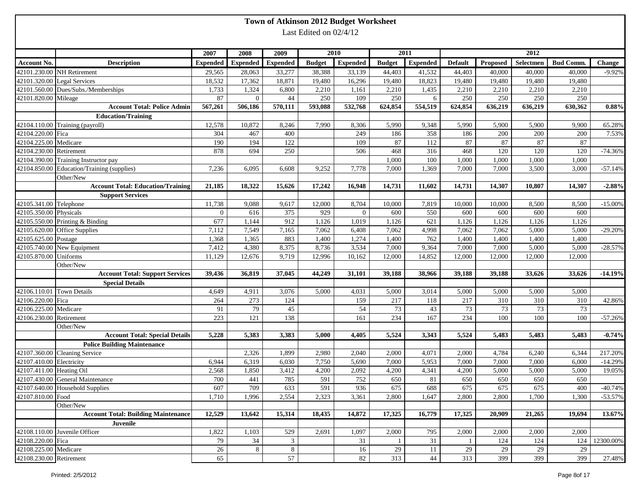| Last Edited on 02/4/12<br>2012<br>2011<br>2007<br>2008<br>2009<br>2010<br><b>Expended</b><br><b>Expended</b><br>Selectmen<br><b>Bud Comm.</b><br><b>Description</b><br><b>Expended</b><br><b>Expended</b><br><b>Budget</b><br><b>Budget</b><br><b>Default</b><br>Proposed<br>Change<br><b>Expended</b><br>42101.230.00 NH Retirement<br>38,388<br>33,139<br>44,403<br>41,532<br>44,403<br>40,000<br>40,000<br>40,000<br>29,565<br>28,063<br>33,277<br>18,532<br>17,362<br>18,871<br>19,480<br>16,296<br>19,480<br>18,823<br>19,480<br>42101.320.00 Legal Services<br>19,480<br>19,480<br>19,480<br>42101.560.00 Dues/Subs./Memberships<br>1,733<br>1,324<br>6,800<br>2,210<br>2,210<br>1,435<br>2,210<br>2,210<br>2,210<br>2,210<br>1,161<br>42101.820.00 Mileage<br>87<br>44<br>250<br>250<br>250<br>250<br>250<br>$\theta$<br>109<br>250<br>6<br>570,111<br>593,088<br>567,261<br>506,186<br>532,768<br>624,854<br>554,519<br>624,854<br>636,219<br>636,219<br>630.362<br><b>Account Total: Police Admin</b><br><b>Education/Training</b><br>42104.110.00 Training (payroll)<br>12,578<br>7,990<br>9,348<br>10,872<br>8,246<br>8,306<br>5,990<br>5,990<br>5,900<br>5,900<br>9,900<br>65.28%<br>42104.220.00 Fica<br>304<br>467<br>400<br>249<br>186<br>358<br>186<br>200<br>200<br>200<br>7.53%<br>42104.225.00 Medicare<br>190<br>194<br>122<br>87<br>87<br>87<br>87<br>109<br>112<br>87<br>42104.230.00 Retirement<br>468<br>316<br>878<br>694<br>250<br>468<br>120<br>120<br>120<br>$-74.36%$<br>506<br>42104.390.00 Training Instructor pay<br>100<br>1,000<br>1,000<br>1,000<br>1,000<br>1,000<br>42104.850.00 Education/Training (supplies)<br>7,000<br>7,000<br>3,500<br>3,000<br>7,236<br>6,095<br>6,608<br>9,252<br>7,778<br>7,000<br>1,369<br>Other/New<br><b>Account Total: Education/Training</b><br>21,185<br>18,322<br>15,626<br>17,242<br>16,948<br>14,731<br>11,602<br>14,731<br>14,307<br>10,807<br>14,307<br>$-2.88%$<br><b>Support Services</b><br>42105.341.00 Telephone<br>11,738<br>9,088<br>9,617<br>12,000<br>8,704<br>7,819<br>10,000<br>10,000<br>8,500<br>$-15.00\%$<br>10,000<br>8,500<br>42105.350.00 Physicals<br>616<br>375<br>929<br>550<br>600<br>600<br>600<br>$\mathbf{0}$<br>$\Omega$<br>600<br>600<br>677<br>912<br>621<br>42105.550.00 Printing & Binding<br>1,144<br>1,126<br>1,019<br>1,126<br>1,126<br>1,126<br>1,126<br>1,126<br>42105.620.00 Office Supplies<br>7,112<br>7,549<br>7,165<br>7,062<br>7,062<br>4,998<br>7,062<br>7,062<br>5,000<br>5,000<br>6,408<br>$-29.20%$<br>42105.625.00 Postage<br>883<br>1,368<br>1,365<br>1,400<br>1,274<br>762<br>1,400<br>1,400<br>1,400<br>1,400<br>1,400<br>42105.740.00 New Equipment<br>4,380<br>8,375<br>8,736<br>3,534<br>9,364<br>7,000<br>7,000<br>5,000<br>5,000<br>$-28.57%$<br>7,412<br>7,000<br>42105.870.00 Uniforms<br>12,996<br>14,852<br>12,000<br>12,000<br>11,129<br>12,676<br>9,719<br>10,162<br>12,000<br>12,000<br>12,000<br>Other/New<br><b>Account Total: Support Services</b><br>39,436<br>36,819<br>37,045<br>44,249<br>31,101<br>39,188<br>38,966<br>39,188<br>39,188<br>33,626<br>33,626<br><b>Special Details</b><br>42106.110.01 Town Details<br>4,649<br>4,911<br>3,076<br>5,000<br>4,031<br>5,000<br>3,014<br>5,000<br>5,000<br>5,000<br>5,000<br>42106.220.00 Fica<br>264<br>273<br>124<br>159<br>217<br>118<br>217<br>310<br>310<br>42.86%<br>310<br>73<br>43<br>73<br>73<br>42106.225.00 Medicare<br>91<br>79<br>45<br>54<br>73<br>73<br>223<br>121<br>138<br>234<br>167<br>234<br>100<br>42106.230.00 Retirement<br>161<br>100<br>100<br>$-57.26%$<br>Other/New<br>5,383<br>3,383<br>4,405<br>5,524<br>3,343<br>5,524<br>5,483<br>5,483<br><b>Account Total: Special Details</b><br>5,228<br>5,000<br>5,483<br><b>Police Building Maintenance</b><br>42107.360.00 Cleaning Service<br>1,899<br>2,980<br>4,071<br>2,000<br>2,326<br>2,040<br>2,000<br>4,784<br>6,240<br>6,344<br>6,319<br>6,030<br>7,750<br>5,690<br>5,953<br>7,000<br>7,000<br>6,000<br>42107.410.00 Electricity<br>6,944<br>7,000<br>7,000<br>$-14.29%$<br>42107.411.00 Heating Oil<br>2,568<br>1,850<br>3,412<br>4,200<br>2,092<br>4,341<br>4,200<br>5,000<br>5,000<br>5,000<br>19.05%<br>4,200<br>42107.430.00 General Maintenance<br>785<br>591<br>752<br>650<br>$700\,$<br>441<br>650<br>$81\,$<br>650<br>650<br>650<br>42107.640.00 Household Supplies<br>607<br>675<br>709<br>633<br>591<br>936<br>688<br>675<br>675<br>675<br>400<br>42107.810.00 Food<br>1,710<br>2,554<br>2,323<br>1,996<br>3,361<br>2,800<br>1,647<br>2,800<br>2,800<br>1,700<br>1,300<br>Other/New<br><b>Account Total: Building Maintenance</b><br>12,529<br>13,642<br>15,314<br>18,435<br>14,872<br>17,325<br>16,779<br>17,325<br>20,909<br>21,265<br>19,694<br>Juvenile<br>42108.110.00 Juvenile Officer<br>1,822<br>529<br>795<br>2,000<br>1,103<br>2,691<br>1,097<br>2,000<br>2,000<br>2,000<br>2,000<br>42108.220.00 Fica<br>79<br>34<br>3<br>31<br>31<br>124<br>12300.00%<br>124<br>124<br>1<br>42108.225.00 Medicare<br>26<br>8<br>$\,8\,$<br>29<br>29<br>29<br>16<br>11<br>29<br>29 |             |    |  | Town of Atkinson 2012 Budget Worksheet |  |  |  |          |
|-------------------------------------------------------------------------------------------------------------------------------------------------------------------------------------------------------------------------------------------------------------------------------------------------------------------------------------------------------------------------------------------------------------------------------------------------------------------------------------------------------------------------------------------------------------------------------------------------------------------------------------------------------------------------------------------------------------------------------------------------------------------------------------------------------------------------------------------------------------------------------------------------------------------------------------------------------------------------------------------------------------------------------------------------------------------------------------------------------------------------------------------------------------------------------------------------------------------------------------------------------------------------------------------------------------------------------------------------------------------------------------------------------------------------------------------------------------------------------------------------------------------------------------------------------------------------------------------------------------------------------------------------------------------------------------------------------------------------------------------------------------------------------------------------------------------------------------------------------------------------------------------------------------------------------------------------------------------------------------------------------------------------------------------------------------------------------------------------------------------------------------------------------------------------------------------------------------------------------------------------------------------------------------------------------------------------------------------------------------------------------------------------------------------------------------------------------------------------------------------------------------------------------------------------------------------------------------------------------------------------------------------------------------------------------------------------------------------------------------------------------------------------------------------------------------------------------------------------------------------------------------------------------------------------------------------------------------------------------------------------------------------------------------------------------------------------------------------------------------------------------------------------------------------------------------------------------------------------------------------------------------------------------------------------------------------------------------------------------------------------------------------------------------------------------------------------------------------------------------------------------------------------------------------------------------------------------------------------------------------------------------------------------------------------------------------------------------------------------------------------------------------------------------------------------------------------------------------------------------------------------------------------------------------------------------------------------------------------------------------------------------------------------------------------------------------------------------------------------------------------------------------------------------------------------------------------------------------------------------------------------------------------------------------------------------------------------------------------------------------------------------------------------------------------------------------------------------------------------------------------------------------------------------------------------------------------------------------------------------------------------------------------------------------------------------------------------------------------------------------------------------------------------------------------------------------------------------------------------------------------------------------------------------------------------------------------------------------------------------------------------------------------------------------------------------------|-------------|----|--|----------------------------------------|--|--|--|----------|
|                                                                                                                                                                                                                                                                                                                                                                                                                                                                                                                                                                                                                                                                                                                                                                                                                                                                                                                                                                                                                                                                                                                                                                                                                                                                                                                                                                                                                                                                                                                                                                                                                                                                                                                                                                                                                                                                                                                                                                                                                                                                                                                                                                                                                                                                                                                                                                                                                                                                                                                                                                                                                                                                                                                                                                                                                                                                                                                                                                                                                                                                                                                                                                                                                                                                                                                                                                                                                                                                                                                                                                                                                                                                                                                                                                                                                                                                                                                                                                                                                                                                                                                                                                                                                                                                                                                                                                                                                                                                                                                                                                                                                                                                                                                                                                                                                                                                                                                                                                                                                                                                   |             |    |  |                                        |  |  |  |          |
|                                                                                                                                                                                                                                                                                                                                                                                                                                                                                                                                                                                                                                                                                                                                                                                                                                                                                                                                                                                                                                                                                                                                                                                                                                                                                                                                                                                                                                                                                                                                                                                                                                                                                                                                                                                                                                                                                                                                                                                                                                                                                                                                                                                                                                                                                                                                                                                                                                                                                                                                                                                                                                                                                                                                                                                                                                                                                                                                                                                                                                                                                                                                                                                                                                                                                                                                                                                                                                                                                                                                                                                                                                                                                                                                                                                                                                                                                                                                                                                                                                                                                                                                                                                                                                                                                                                                                                                                                                                                                                                                                                                                                                                                                                                                                                                                                                                                                                                                                                                                                                                                   |             |    |  |                                        |  |  |  |          |
|                                                                                                                                                                                                                                                                                                                                                                                                                                                                                                                                                                                                                                                                                                                                                                                                                                                                                                                                                                                                                                                                                                                                                                                                                                                                                                                                                                                                                                                                                                                                                                                                                                                                                                                                                                                                                                                                                                                                                                                                                                                                                                                                                                                                                                                                                                                                                                                                                                                                                                                                                                                                                                                                                                                                                                                                                                                                                                                                                                                                                                                                                                                                                                                                                                                                                                                                                                                                                                                                                                                                                                                                                                                                                                                                                                                                                                                                                                                                                                                                                                                                                                                                                                                                                                                                                                                                                                                                                                                                                                                                                                                                                                                                                                                                                                                                                                                                                                                                                                                                                                                                   |             |    |  |                                        |  |  |  |          |
|                                                                                                                                                                                                                                                                                                                                                                                                                                                                                                                                                                                                                                                                                                                                                                                                                                                                                                                                                                                                                                                                                                                                                                                                                                                                                                                                                                                                                                                                                                                                                                                                                                                                                                                                                                                                                                                                                                                                                                                                                                                                                                                                                                                                                                                                                                                                                                                                                                                                                                                                                                                                                                                                                                                                                                                                                                                                                                                                                                                                                                                                                                                                                                                                                                                                                                                                                                                                                                                                                                                                                                                                                                                                                                                                                                                                                                                                                                                                                                                                                                                                                                                                                                                                                                                                                                                                                                                                                                                                                                                                                                                                                                                                                                                                                                                                                                                                                                                                                                                                                                                                   | Account No. |    |  |                                        |  |  |  |          |
| 0.88%<br>$-57.14%$<br>$-14.19%$<br>$-0.74%$<br>217.20%<br>$-40.74%$<br>$-53.57%$<br>13.67%                                                                                                                                                                                                                                                                                                                                                                                                                                                                                                                                                                                                                                                                                                                                                                                                                                                                                                                                                                                                                                                                                                                                                                                                                                                                                                                                                                                                                                                                                                                                                                                                                                                                                                                                                                                                                                                                                                                                                                                                                                                                                                                                                                                                                                                                                                                                                                                                                                                                                                                                                                                                                                                                                                                                                                                                                                                                                                                                                                                                                                                                                                                                                                                                                                                                                                                                                                                                                                                                                                                                                                                                                                                                                                                                                                                                                                                                                                                                                                                                                                                                                                                                                                                                                                                                                                                                                                                                                                                                                                                                                                                                                                                                                                                                                                                                                                                                                                                                                                        |             |    |  |                                        |  |  |  | $-9.92%$ |
|                                                                                                                                                                                                                                                                                                                                                                                                                                                                                                                                                                                                                                                                                                                                                                                                                                                                                                                                                                                                                                                                                                                                                                                                                                                                                                                                                                                                                                                                                                                                                                                                                                                                                                                                                                                                                                                                                                                                                                                                                                                                                                                                                                                                                                                                                                                                                                                                                                                                                                                                                                                                                                                                                                                                                                                                                                                                                                                                                                                                                                                                                                                                                                                                                                                                                                                                                                                                                                                                                                                                                                                                                                                                                                                                                                                                                                                                                                                                                                                                                                                                                                                                                                                                                                                                                                                                                                                                                                                                                                                                                                                                                                                                                                                                                                                                                                                                                                                                                                                                                                                                   |             |    |  |                                        |  |  |  |          |
|                                                                                                                                                                                                                                                                                                                                                                                                                                                                                                                                                                                                                                                                                                                                                                                                                                                                                                                                                                                                                                                                                                                                                                                                                                                                                                                                                                                                                                                                                                                                                                                                                                                                                                                                                                                                                                                                                                                                                                                                                                                                                                                                                                                                                                                                                                                                                                                                                                                                                                                                                                                                                                                                                                                                                                                                                                                                                                                                                                                                                                                                                                                                                                                                                                                                                                                                                                                                                                                                                                                                                                                                                                                                                                                                                                                                                                                                                                                                                                                                                                                                                                                                                                                                                                                                                                                                                                                                                                                                                                                                                                                                                                                                                                                                                                                                                                                                                                                                                                                                                                                                   |             |    |  |                                        |  |  |  |          |
|                                                                                                                                                                                                                                                                                                                                                                                                                                                                                                                                                                                                                                                                                                                                                                                                                                                                                                                                                                                                                                                                                                                                                                                                                                                                                                                                                                                                                                                                                                                                                                                                                                                                                                                                                                                                                                                                                                                                                                                                                                                                                                                                                                                                                                                                                                                                                                                                                                                                                                                                                                                                                                                                                                                                                                                                                                                                                                                                                                                                                                                                                                                                                                                                                                                                                                                                                                                                                                                                                                                                                                                                                                                                                                                                                                                                                                                                                                                                                                                                                                                                                                                                                                                                                                                                                                                                                                                                                                                                                                                                                                                                                                                                                                                                                                                                                                                                                                                                                                                                                                                                   |             |    |  |                                        |  |  |  |          |
|                                                                                                                                                                                                                                                                                                                                                                                                                                                                                                                                                                                                                                                                                                                                                                                                                                                                                                                                                                                                                                                                                                                                                                                                                                                                                                                                                                                                                                                                                                                                                                                                                                                                                                                                                                                                                                                                                                                                                                                                                                                                                                                                                                                                                                                                                                                                                                                                                                                                                                                                                                                                                                                                                                                                                                                                                                                                                                                                                                                                                                                                                                                                                                                                                                                                                                                                                                                                                                                                                                                                                                                                                                                                                                                                                                                                                                                                                                                                                                                                                                                                                                                                                                                                                                                                                                                                                                                                                                                                                                                                                                                                                                                                                                                                                                                                                                                                                                                                                                                                                                                                   |             |    |  |                                        |  |  |  |          |
|                                                                                                                                                                                                                                                                                                                                                                                                                                                                                                                                                                                                                                                                                                                                                                                                                                                                                                                                                                                                                                                                                                                                                                                                                                                                                                                                                                                                                                                                                                                                                                                                                                                                                                                                                                                                                                                                                                                                                                                                                                                                                                                                                                                                                                                                                                                                                                                                                                                                                                                                                                                                                                                                                                                                                                                                                                                                                                                                                                                                                                                                                                                                                                                                                                                                                                                                                                                                                                                                                                                                                                                                                                                                                                                                                                                                                                                                                                                                                                                                                                                                                                                                                                                                                                                                                                                                                                                                                                                                                                                                                                                                                                                                                                                                                                                                                                                                                                                                                                                                                                                                   |             |    |  |                                        |  |  |  |          |
|                                                                                                                                                                                                                                                                                                                                                                                                                                                                                                                                                                                                                                                                                                                                                                                                                                                                                                                                                                                                                                                                                                                                                                                                                                                                                                                                                                                                                                                                                                                                                                                                                                                                                                                                                                                                                                                                                                                                                                                                                                                                                                                                                                                                                                                                                                                                                                                                                                                                                                                                                                                                                                                                                                                                                                                                                                                                                                                                                                                                                                                                                                                                                                                                                                                                                                                                                                                                                                                                                                                                                                                                                                                                                                                                                                                                                                                                                                                                                                                                                                                                                                                                                                                                                                                                                                                                                                                                                                                                                                                                                                                                                                                                                                                                                                                                                                                                                                                                                                                                                                                                   |             |    |  |                                        |  |  |  |          |
|                                                                                                                                                                                                                                                                                                                                                                                                                                                                                                                                                                                                                                                                                                                                                                                                                                                                                                                                                                                                                                                                                                                                                                                                                                                                                                                                                                                                                                                                                                                                                                                                                                                                                                                                                                                                                                                                                                                                                                                                                                                                                                                                                                                                                                                                                                                                                                                                                                                                                                                                                                                                                                                                                                                                                                                                                                                                                                                                                                                                                                                                                                                                                                                                                                                                                                                                                                                                                                                                                                                                                                                                                                                                                                                                                                                                                                                                                                                                                                                                                                                                                                                                                                                                                                                                                                                                                                                                                                                                                                                                                                                                                                                                                                                                                                                                                                                                                                                                                                                                                                                                   |             |    |  |                                        |  |  |  |          |
|                                                                                                                                                                                                                                                                                                                                                                                                                                                                                                                                                                                                                                                                                                                                                                                                                                                                                                                                                                                                                                                                                                                                                                                                                                                                                                                                                                                                                                                                                                                                                                                                                                                                                                                                                                                                                                                                                                                                                                                                                                                                                                                                                                                                                                                                                                                                                                                                                                                                                                                                                                                                                                                                                                                                                                                                                                                                                                                                                                                                                                                                                                                                                                                                                                                                                                                                                                                                                                                                                                                                                                                                                                                                                                                                                                                                                                                                                                                                                                                                                                                                                                                                                                                                                                                                                                                                                                                                                                                                                                                                                                                                                                                                                                                                                                                                                                                                                                                                                                                                                                                                   |             |    |  |                                        |  |  |  |          |
|                                                                                                                                                                                                                                                                                                                                                                                                                                                                                                                                                                                                                                                                                                                                                                                                                                                                                                                                                                                                                                                                                                                                                                                                                                                                                                                                                                                                                                                                                                                                                                                                                                                                                                                                                                                                                                                                                                                                                                                                                                                                                                                                                                                                                                                                                                                                                                                                                                                                                                                                                                                                                                                                                                                                                                                                                                                                                                                                                                                                                                                                                                                                                                                                                                                                                                                                                                                                                                                                                                                                                                                                                                                                                                                                                                                                                                                                                                                                                                                                                                                                                                                                                                                                                                                                                                                                                                                                                                                                                                                                                                                                                                                                                                                                                                                                                                                                                                                                                                                                                                                                   |             |    |  |                                        |  |  |  |          |
|                                                                                                                                                                                                                                                                                                                                                                                                                                                                                                                                                                                                                                                                                                                                                                                                                                                                                                                                                                                                                                                                                                                                                                                                                                                                                                                                                                                                                                                                                                                                                                                                                                                                                                                                                                                                                                                                                                                                                                                                                                                                                                                                                                                                                                                                                                                                                                                                                                                                                                                                                                                                                                                                                                                                                                                                                                                                                                                                                                                                                                                                                                                                                                                                                                                                                                                                                                                                                                                                                                                                                                                                                                                                                                                                                                                                                                                                                                                                                                                                                                                                                                                                                                                                                                                                                                                                                                                                                                                                                                                                                                                                                                                                                                                                                                                                                                                                                                                                                                                                                                                                   |             |    |  |                                        |  |  |  |          |
|                                                                                                                                                                                                                                                                                                                                                                                                                                                                                                                                                                                                                                                                                                                                                                                                                                                                                                                                                                                                                                                                                                                                                                                                                                                                                                                                                                                                                                                                                                                                                                                                                                                                                                                                                                                                                                                                                                                                                                                                                                                                                                                                                                                                                                                                                                                                                                                                                                                                                                                                                                                                                                                                                                                                                                                                                                                                                                                                                                                                                                                                                                                                                                                                                                                                                                                                                                                                                                                                                                                                                                                                                                                                                                                                                                                                                                                                                                                                                                                                                                                                                                                                                                                                                                                                                                                                                                                                                                                                                                                                                                                                                                                                                                                                                                                                                                                                                                                                                                                                                                                                   |             |    |  |                                        |  |  |  |          |
|                                                                                                                                                                                                                                                                                                                                                                                                                                                                                                                                                                                                                                                                                                                                                                                                                                                                                                                                                                                                                                                                                                                                                                                                                                                                                                                                                                                                                                                                                                                                                                                                                                                                                                                                                                                                                                                                                                                                                                                                                                                                                                                                                                                                                                                                                                                                                                                                                                                                                                                                                                                                                                                                                                                                                                                                                                                                                                                                                                                                                                                                                                                                                                                                                                                                                                                                                                                                                                                                                                                                                                                                                                                                                                                                                                                                                                                                                                                                                                                                                                                                                                                                                                                                                                                                                                                                                                                                                                                                                                                                                                                                                                                                                                                                                                                                                                                                                                                                                                                                                                                                   |             |    |  |                                        |  |  |  |          |
|                                                                                                                                                                                                                                                                                                                                                                                                                                                                                                                                                                                                                                                                                                                                                                                                                                                                                                                                                                                                                                                                                                                                                                                                                                                                                                                                                                                                                                                                                                                                                                                                                                                                                                                                                                                                                                                                                                                                                                                                                                                                                                                                                                                                                                                                                                                                                                                                                                                                                                                                                                                                                                                                                                                                                                                                                                                                                                                                                                                                                                                                                                                                                                                                                                                                                                                                                                                                                                                                                                                                                                                                                                                                                                                                                                                                                                                                                                                                                                                                                                                                                                                                                                                                                                                                                                                                                                                                                                                                                                                                                                                                                                                                                                                                                                                                                                                                                                                                                                                                                                                                   |             |    |  |                                        |  |  |  |          |
|                                                                                                                                                                                                                                                                                                                                                                                                                                                                                                                                                                                                                                                                                                                                                                                                                                                                                                                                                                                                                                                                                                                                                                                                                                                                                                                                                                                                                                                                                                                                                                                                                                                                                                                                                                                                                                                                                                                                                                                                                                                                                                                                                                                                                                                                                                                                                                                                                                                                                                                                                                                                                                                                                                                                                                                                                                                                                                                                                                                                                                                                                                                                                                                                                                                                                                                                                                                                                                                                                                                                                                                                                                                                                                                                                                                                                                                                                                                                                                                                                                                                                                                                                                                                                                                                                                                                                                                                                                                                                                                                                                                                                                                                                                                                                                                                                                                                                                                                                                                                                                                                   |             |    |  |                                        |  |  |  |          |
|                                                                                                                                                                                                                                                                                                                                                                                                                                                                                                                                                                                                                                                                                                                                                                                                                                                                                                                                                                                                                                                                                                                                                                                                                                                                                                                                                                                                                                                                                                                                                                                                                                                                                                                                                                                                                                                                                                                                                                                                                                                                                                                                                                                                                                                                                                                                                                                                                                                                                                                                                                                                                                                                                                                                                                                                                                                                                                                                                                                                                                                                                                                                                                                                                                                                                                                                                                                                                                                                                                                                                                                                                                                                                                                                                                                                                                                                                                                                                                                                                                                                                                                                                                                                                                                                                                                                                                                                                                                                                                                                                                                                                                                                                                                                                                                                                                                                                                                                                                                                                                                                   |             |    |  |                                        |  |  |  |          |
|                                                                                                                                                                                                                                                                                                                                                                                                                                                                                                                                                                                                                                                                                                                                                                                                                                                                                                                                                                                                                                                                                                                                                                                                                                                                                                                                                                                                                                                                                                                                                                                                                                                                                                                                                                                                                                                                                                                                                                                                                                                                                                                                                                                                                                                                                                                                                                                                                                                                                                                                                                                                                                                                                                                                                                                                                                                                                                                                                                                                                                                                                                                                                                                                                                                                                                                                                                                                                                                                                                                                                                                                                                                                                                                                                                                                                                                                                                                                                                                                                                                                                                                                                                                                                                                                                                                                                                                                                                                                                                                                                                                                                                                                                                                                                                                                                                                                                                                                                                                                                                                                   |             |    |  |                                        |  |  |  |          |
|                                                                                                                                                                                                                                                                                                                                                                                                                                                                                                                                                                                                                                                                                                                                                                                                                                                                                                                                                                                                                                                                                                                                                                                                                                                                                                                                                                                                                                                                                                                                                                                                                                                                                                                                                                                                                                                                                                                                                                                                                                                                                                                                                                                                                                                                                                                                                                                                                                                                                                                                                                                                                                                                                                                                                                                                                                                                                                                                                                                                                                                                                                                                                                                                                                                                                                                                                                                                                                                                                                                                                                                                                                                                                                                                                                                                                                                                                                                                                                                                                                                                                                                                                                                                                                                                                                                                                                                                                                                                                                                                                                                                                                                                                                                                                                                                                                                                                                                                                                                                                                                                   |             |    |  |                                        |  |  |  |          |
|                                                                                                                                                                                                                                                                                                                                                                                                                                                                                                                                                                                                                                                                                                                                                                                                                                                                                                                                                                                                                                                                                                                                                                                                                                                                                                                                                                                                                                                                                                                                                                                                                                                                                                                                                                                                                                                                                                                                                                                                                                                                                                                                                                                                                                                                                                                                                                                                                                                                                                                                                                                                                                                                                                                                                                                                                                                                                                                                                                                                                                                                                                                                                                                                                                                                                                                                                                                                                                                                                                                                                                                                                                                                                                                                                                                                                                                                                                                                                                                                                                                                                                                                                                                                                                                                                                                                                                                                                                                                                                                                                                                                                                                                                                                                                                                                                                                                                                                                                                                                                                                                   |             |    |  |                                        |  |  |  |          |
|                                                                                                                                                                                                                                                                                                                                                                                                                                                                                                                                                                                                                                                                                                                                                                                                                                                                                                                                                                                                                                                                                                                                                                                                                                                                                                                                                                                                                                                                                                                                                                                                                                                                                                                                                                                                                                                                                                                                                                                                                                                                                                                                                                                                                                                                                                                                                                                                                                                                                                                                                                                                                                                                                                                                                                                                                                                                                                                                                                                                                                                                                                                                                                                                                                                                                                                                                                                                                                                                                                                                                                                                                                                                                                                                                                                                                                                                                                                                                                                                                                                                                                                                                                                                                                                                                                                                                                                                                                                                                                                                                                                                                                                                                                                                                                                                                                                                                                                                                                                                                                                                   |             |    |  |                                        |  |  |  |          |
|                                                                                                                                                                                                                                                                                                                                                                                                                                                                                                                                                                                                                                                                                                                                                                                                                                                                                                                                                                                                                                                                                                                                                                                                                                                                                                                                                                                                                                                                                                                                                                                                                                                                                                                                                                                                                                                                                                                                                                                                                                                                                                                                                                                                                                                                                                                                                                                                                                                                                                                                                                                                                                                                                                                                                                                                                                                                                                                                                                                                                                                                                                                                                                                                                                                                                                                                                                                                                                                                                                                                                                                                                                                                                                                                                                                                                                                                                                                                                                                                                                                                                                                                                                                                                                                                                                                                                                                                                                                                                                                                                                                                                                                                                                                                                                                                                                                                                                                                                                                                                                                                   |             |    |  |                                        |  |  |  |          |
|                                                                                                                                                                                                                                                                                                                                                                                                                                                                                                                                                                                                                                                                                                                                                                                                                                                                                                                                                                                                                                                                                                                                                                                                                                                                                                                                                                                                                                                                                                                                                                                                                                                                                                                                                                                                                                                                                                                                                                                                                                                                                                                                                                                                                                                                                                                                                                                                                                                                                                                                                                                                                                                                                                                                                                                                                                                                                                                                                                                                                                                                                                                                                                                                                                                                                                                                                                                                                                                                                                                                                                                                                                                                                                                                                                                                                                                                                                                                                                                                                                                                                                                                                                                                                                                                                                                                                                                                                                                                                                                                                                                                                                                                                                                                                                                                                                                                                                                                                                                                                                                                   |             |    |  |                                        |  |  |  |          |
|                                                                                                                                                                                                                                                                                                                                                                                                                                                                                                                                                                                                                                                                                                                                                                                                                                                                                                                                                                                                                                                                                                                                                                                                                                                                                                                                                                                                                                                                                                                                                                                                                                                                                                                                                                                                                                                                                                                                                                                                                                                                                                                                                                                                                                                                                                                                                                                                                                                                                                                                                                                                                                                                                                                                                                                                                                                                                                                                                                                                                                                                                                                                                                                                                                                                                                                                                                                                                                                                                                                                                                                                                                                                                                                                                                                                                                                                                                                                                                                                                                                                                                                                                                                                                                                                                                                                                                                                                                                                                                                                                                                                                                                                                                                                                                                                                                                                                                                                                                                                                                                                   |             |    |  |                                        |  |  |  |          |
|                                                                                                                                                                                                                                                                                                                                                                                                                                                                                                                                                                                                                                                                                                                                                                                                                                                                                                                                                                                                                                                                                                                                                                                                                                                                                                                                                                                                                                                                                                                                                                                                                                                                                                                                                                                                                                                                                                                                                                                                                                                                                                                                                                                                                                                                                                                                                                                                                                                                                                                                                                                                                                                                                                                                                                                                                                                                                                                                                                                                                                                                                                                                                                                                                                                                                                                                                                                                                                                                                                                                                                                                                                                                                                                                                                                                                                                                                                                                                                                                                                                                                                                                                                                                                                                                                                                                                                                                                                                                                                                                                                                                                                                                                                                                                                                                                                                                                                                                                                                                                                                                   |             |    |  |                                        |  |  |  |          |
|                                                                                                                                                                                                                                                                                                                                                                                                                                                                                                                                                                                                                                                                                                                                                                                                                                                                                                                                                                                                                                                                                                                                                                                                                                                                                                                                                                                                                                                                                                                                                                                                                                                                                                                                                                                                                                                                                                                                                                                                                                                                                                                                                                                                                                                                                                                                                                                                                                                                                                                                                                                                                                                                                                                                                                                                                                                                                                                                                                                                                                                                                                                                                                                                                                                                                                                                                                                                                                                                                                                                                                                                                                                                                                                                                                                                                                                                                                                                                                                                                                                                                                                                                                                                                                                                                                                                                                                                                                                                                                                                                                                                                                                                                                                                                                                                                                                                                                                                                                                                                                                                   |             |    |  |                                        |  |  |  |          |
|                                                                                                                                                                                                                                                                                                                                                                                                                                                                                                                                                                                                                                                                                                                                                                                                                                                                                                                                                                                                                                                                                                                                                                                                                                                                                                                                                                                                                                                                                                                                                                                                                                                                                                                                                                                                                                                                                                                                                                                                                                                                                                                                                                                                                                                                                                                                                                                                                                                                                                                                                                                                                                                                                                                                                                                                                                                                                                                                                                                                                                                                                                                                                                                                                                                                                                                                                                                                                                                                                                                                                                                                                                                                                                                                                                                                                                                                                                                                                                                                                                                                                                                                                                                                                                                                                                                                                                                                                                                                                                                                                                                                                                                                                                                                                                                                                                                                                                                                                                                                                                                                   |             |    |  |                                        |  |  |  |          |
|                                                                                                                                                                                                                                                                                                                                                                                                                                                                                                                                                                                                                                                                                                                                                                                                                                                                                                                                                                                                                                                                                                                                                                                                                                                                                                                                                                                                                                                                                                                                                                                                                                                                                                                                                                                                                                                                                                                                                                                                                                                                                                                                                                                                                                                                                                                                                                                                                                                                                                                                                                                                                                                                                                                                                                                                                                                                                                                                                                                                                                                                                                                                                                                                                                                                                                                                                                                                                                                                                                                                                                                                                                                                                                                                                                                                                                                                                                                                                                                                                                                                                                                                                                                                                                                                                                                                                                                                                                                                                                                                                                                                                                                                                                                                                                                                                                                                                                                                                                                                                                                                   |             |    |  |                                        |  |  |  |          |
|                                                                                                                                                                                                                                                                                                                                                                                                                                                                                                                                                                                                                                                                                                                                                                                                                                                                                                                                                                                                                                                                                                                                                                                                                                                                                                                                                                                                                                                                                                                                                                                                                                                                                                                                                                                                                                                                                                                                                                                                                                                                                                                                                                                                                                                                                                                                                                                                                                                                                                                                                                                                                                                                                                                                                                                                                                                                                                                                                                                                                                                                                                                                                                                                                                                                                                                                                                                                                                                                                                                                                                                                                                                                                                                                                                                                                                                                                                                                                                                                                                                                                                                                                                                                                                                                                                                                                                                                                                                                                                                                                                                                                                                                                                                                                                                                                                                                                                                                                                                                                                                                   |             |    |  |                                        |  |  |  |          |
|                                                                                                                                                                                                                                                                                                                                                                                                                                                                                                                                                                                                                                                                                                                                                                                                                                                                                                                                                                                                                                                                                                                                                                                                                                                                                                                                                                                                                                                                                                                                                                                                                                                                                                                                                                                                                                                                                                                                                                                                                                                                                                                                                                                                                                                                                                                                                                                                                                                                                                                                                                                                                                                                                                                                                                                                                                                                                                                                                                                                                                                                                                                                                                                                                                                                                                                                                                                                                                                                                                                                                                                                                                                                                                                                                                                                                                                                                                                                                                                                                                                                                                                                                                                                                                                                                                                                                                                                                                                                                                                                                                                                                                                                                                                                                                                                                                                                                                                                                                                                                                                                   |             |    |  |                                        |  |  |  |          |
|                                                                                                                                                                                                                                                                                                                                                                                                                                                                                                                                                                                                                                                                                                                                                                                                                                                                                                                                                                                                                                                                                                                                                                                                                                                                                                                                                                                                                                                                                                                                                                                                                                                                                                                                                                                                                                                                                                                                                                                                                                                                                                                                                                                                                                                                                                                                                                                                                                                                                                                                                                                                                                                                                                                                                                                                                                                                                                                                                                                                                                                                                                                                                                                                                                                                                                                                                                                                                                                                                                                                                                                                                                                                                                                                                                                                                                                                                                                                                                                                                                                                                                                                                                                                                                                                                                                                                                                                                                                                                                                                                                                                                                                                                                                                                                                                                                                                                                                                                                                                                                                                   |             |    |  |                                        |  |  |  |          |
|                                                                                                                                                                                                                                                                                                                                                                                                                                                                                                                                                                                                                                                                                                                                                                                                                                                                                                                                                                                                                                                                                                                                                                                                                                                                                                                                                                                                                                                                                                                                                                                                                                                                                                                                                                                                                                                                                                                                                                                                                                                                                                                                                                                                                                                                                                                                                                                                                                                                                                                                                                                                                                                                                                                                                                                                                                                                                                                                                                                                                                                                                                                                                                                                                                                                                                                                                                                                                                                                                                                                                                                                                                                                                                                                                                                                                                                                                                                                                                                                                                                                                                                                                                                                                                                                                                                                                                                                                                                                                                                                                                                                                                                                                                                                                                                                                                                                                                                                                                                                                                                                   |             |    |  |                                        |  |  |  |          |
|                                                                                                                                                                                                                                                                                                                                                                                                                                                                                                                                                                                                                                                                                                                                                                                                                                                                                                                                                                                                                                                                                                                                                                                                                                                                                                                                                                                                                                                                                                                                                                                                                                                                                                                                                                                                                                                                                                                                                                                                                                                                                                                                                                                                                                                                                                                                                                                                                                                                                                                                                                                                                                                                                                                                                                                                                                                                                                                                                                                                                                                                                                                                                                                                                                                                                                                                                                                                                                                                                                                                                                                                                                                                                                                                                                                                                                                                                                                                                                                                                                                                                                                                                                                                                                                                                                                                                                                                                                                                                                                                                                                                                                                                                                                                                                                                                                                                                                                                                                                                                                                                   |             |    |  |                                        |  |  |  |          |
|                                                                                                                                                                                                                                                                                                                                                                                                                                                                                                                                                                                                                                                                                                                                                                                                                                                                                                                                                                                                                                                                                                                                                                                                                                                                                                                                                                                                                                                                                                                                                                                                                                                                                                                                                                                                                                                                                                                                                                                                                                                                                                                                                                                                                                                                                                                                                                                                                                                                                                                                                                                                                                                                                                                                                                                                                                                                                                                                                                                                                                                                                                                                                                                                                                                                                                                                                                                                                                                                                                                                                                                                                                                                                                                                                                                                                                                                                                                                                                                                                                                                                                                                                                                                                                                                                                                                                                                                                                                                                                                                                                                                                                                                                                                                                                                                                                                                                                                                                                                                                                                                   |             |    |  |                                        |  |  |  |          |
|                                                                                                                                                                                                                                                                                                                                                                                                                                                                                                                                                                                                                                                                                                                                                                                                                                                                                                                                                                                                                                                                                                                                                                                                                                                                                                                                                                                                                                                                                                                                                                                                                                                                                                                                                                                                                                                                                                                                                                                                                                                                                                                                                                                                                                                                                                                                                                                                                                                                                                                                                                                                                                                                                                                                                                                                                                                                                                                                                                                                                                                                                                                                                                                                                                                                                                                                                                                                                                                                                                                                                                                                                                                                                                                                                                                                                                                                                                                                                                                                                                                                                                                                                                                                                                                                                                                                                                                                                                                                                                                                                                                                                                                                                                                                                                                                                                                                                                                                                                                                                                                                   |             |    |  |                                        |  |  |  |          |
|                                                                                                                                                                                                                                                                                                                                                                                                                                                                                                                                                                                                                                                                                                                                                                                                                                                                                                                                                                                                                                                                                                                                                                                                                                                                                                                                                                                                                                                                                                                                                                                                                                                                                                                                                                                                                                                                                                                                                                                                                                                                                                                                                                                                                                                                                                                                                                                                                                                                                                                                                                                                                                                                                                                                                                                                                                                                                                                                                                                                                                                                                                                                                                                                                                                                                                                                                                                                                                                                                                                                                                                                                                                                                                                                                                                                                                                                                                                                                                                                                                                                                                                                                                                                                                                                                                                                                                                                                                                                                                                                                                                                                                                                                                                                                                                                                                                                                                                                                                                                                                                                   |             |    |  |                                        |  |  |  |          |
|                                                                                                                                                                                                                                                                                                                                                                                                                                                                                                                                                                                                                                                                                                                                                                                                                                                                                                                                                                                                                                                                                                                                                                                                                                                                                                                                                                                                                                                                                                                                                                                                                                                                                                                                                                                                                                                                                                                                                                                                                                                                                                                                                                                                                                                                                                                                                                                                                                                                                                                                                                                                                                                                                                                                                                                                                                                                                                                                                                                                                                                                                                                                                                                                                                                                                                                                                                                                                                                                                                                                                                                                                                                                                                                                                                                                                                                                                                                                                                                                                                                                                                                                                                                                                                                                                                                                                                                                                                                                                                                                                                                                                                                                                                                                                                                                                                                                                                                                                                                                                                                                   |             |    |  |                                        |  |  |  |          |
|                                                                                                                                                                                                                                                                                                                                                                                                                                                                                                                                                                                                                                                                                                                                                                                                                                                                                                                                                                                                                                                                                                                                                                                                                                                                                                                                                                                                                                                                                                                                                                                                                                                                                                                                                                                                                                                                                                                                                                                                                                                                                                                                                                                                                                                                                                                                                                                                                                                                                                                                                                                                                                                                                                                                                                                                                                                                                                                                                                                                                                                                                                                                                                                                                                                                                                                                                                                                                                                                                                                                                                                                                                                                                                                                                                                                                                                                                                                                                                                                                                                                                                                                                                                                                                                                                                                                                                                                                                                                                                                                                                                                                                                                                                                                                                                                                                                                                                                                                                                                                                                                   |             |    |  |                                        |  |  |  |          |
|                                                                                                                                                                                                                                                                                                                                                                                                                                                                                                                                                                                                                                                                                                                                                                                                                                                                                                                                                                                                                                                                                                                                                                                                                                                                                                                                                                                                                                                                                                                                                                                                                                                                                                                                                                                                                                                                                                                                                                                                                                                                                                                                                                                                                                                                                                                                                                                                                                                                                                                                                                                                                                                                                                                                                                                                                                                                                                                                                                                                                                                                                                                                                                                                                                                                                                                                                                                                                                                                                                                                                                                                                                                                                                                                                                                                                                                                                                                                                                                                                                                                                                                                                                                                                                                                                                                                                                                                                                                                                                                                                                                                                                                                                                                                                                                                                                                                                                                                                                                                                                                                   |             |    |  |                                        |  |  |  |          |
|                                                                                                                                                                                                                                                                                                                                                                                                                                                                                                                                                                                                                                                                                                                                                                                                                                                                                                                                                                                                                                                                                                                                                                                                                                                                                                                                                                                                                                                                                                                                                                                                                                                                                                                                                                                                                                                                                                                                                                                                                                                                                                                                                                                                                                                                                                                                                                                                                                                                                                                                                                                                                                                                                                                                                                                                                                                                                                                                                                                                                                                                                                                                                                                                                                                                                                                                                                                                                                                                                                                                                                                                                                                                                                                                                                                                                                                                                                                                                                                                                                                                                                                                                                                                                                                                                                                                                                                                                                                                                                                                                                                                                                                                                                                                                                                                                                                                                                                                                                                                                                                                   |             |    |  |                                        |  |  |  |          |
|                                                                                                                                                                                                                                                                                                                                                                                                                                                                                                                                                                                                                                                                                                                                                                                                                                                                                                                                                                                                                                                                                                                                                                                                                                                                                                                                                                                                                                                                                                                                                                                                                                                                                                                                                                                                                                                                                                                                                                                                                                                                                                                                                                                                                                                                                                                                                                                                                                                                                                                                                                                                                                                                                                                                                                                                                                                                                                                                                                                                                                                                                                                                                                                                                                                                                                                                                                                                                                                                                                                                                                                                                                                                                                                                                                                                                                                                                                                                                                                                                                                                                                                                                                                                                                                                                                                                                                                                                                                                                                                                                                                                                                                                                                                                                                                                                                                                                                                                                                                                                                                                   |             |    |  |                                        |  |  |  |          |
|                                                                                                                                                                                                                                                                                                                                                                                                                                                                                                                                                                                                                                                                                                                                                                                                                                                                                                                                                                                                                                                                                                                                                                                                                                                                                                                                                                                                                                                                                                                                                                                                                                                                                                                                                                                                                                                                                                                                                                                                                                                                                                                                                                                                                                                                                                                                                                                                                                                                                                                                                                                                                                                                                                                                                                                                                                                                                                                                                                                                                                                                                                                                                                                                                                                                                                                                                                                                                                                                                                                                                                                                                                                                                                                                                                                                                                                                                                                                                                                                                                                                                                                                                                                                                                                                                                                                                                                                                                                                                                                                                                                                                                                                                                                                                                                                                                                                                                                                                                                                                                                                   |             |    |  |                                        |  |  |  |          |
|                                                                                                                                                                                                                                                                                                                                                                                                                                                                                                                                                                                                                                                                                                                                                                                                                                                                                                                                                                                                                                                                                                                                                                                                                                                                                                                                                                                                                                                                                                                                                                                                                                                                                                                                                                                                                                                                                                                                                                                                                                                                                                                                                                                                                                                                                                                                                                                                                                                                                                                                                                                                                                                                                                                                                                                                                                                                                                                                                                                                                                                                                                                                                                                                                                                                                                                                                                                                                                                                                                                                                                                                                                                                                                                                                                                                                                                                                                                                                                                                                                                                                                                                                                                                                                                                                                                                                                                                                                                                                                                                                                                                                                                                                                                                                                                                                                                                                                                                                                                                                                                                   |             |    |  |                                        |  |  |  |          |
|                                                                                                                                                                                                                                                                                                                                                                                                                                                                                                                                                                                                                                                                                                                                                                                                                                                                                                                                                                                                                                                                                                                                                                                                                                                                                                                                                                                                                                                                                                                                                                                                                                                                                                                                                                                                                                                                                                                                                                                                                                                                                                                                                                                                                                                                                                                                                                                                                                                                                                                                                                                                                                                                                                                                                                                                                                                                                                                                                                                                                                                                                                                                                                                                                                                                                                                                                                                                                                                                                                                                                                                                                                                                                                                                                                                                                                                                                                                                                                                                                                                                                                                                                                                                                                                                                                                                                                                                                                                                                                                                                                                                                                                                                                                                                                                                                                                                                                                                                                                                                                                                   |             |    |  |                                        |  |  |  |          |
|                                                                                                                                                                                                                                                                                                                                                                                                                                                                                                                                                                                                                                                                                                                                                                                                                                                                                                                                                                                                                                                                                                                                                                                                                                                                                                                                                                                                                                                                                                                                                                                                                                                                                                                                                                                                                                                                                                                                                                                                                                                                                                                                                                                                                                                                                                                                                                                                                                                                                                                                                                                                                                                                                                                                                                                                                                                                                                                                                                                                                                                                                                                                                                                                                                                                                                                                                                                                                                                                                                                                                                                                                                                                                                                                                                                                                                                                                                                                                                                                                                                                                                                                                                                                                                                                                                                                                                                                                                                                                                                                                                                                                                                                                                                                                                                                                                                                                                                                                                                                                                                                   |             |    |  |                                        |  |  |  |          |
| 42108.230.00 Retirement<br>57<br>313<br>82<br>44<br>313<br>399<br>399<br>399<br>27.48%                                                                                                                                                                                                                                                                                                                                                                                                                                                                                                                                                                                                                                                                                                                                                                                                                                                                                                                                                                                                                                                                                                                                                                                                                                                                                                                                                                                                                                                                                                                                                                                                                                                                                                                                                                                                                                                                                                                                                                                                                                                                                                                                                                                                                                                                                                                                                                                                                                                                                                                                                                                                                                                                                                                                                                                                                                                                                                                                                                                                                                                                                                                                                                                                                                                                                                                                                                                                                                                                                                                                                                                                                                                                                                                                                                                                                                                                                                                                                                                                                                                                                                                                                                                                                                                                                                                                                                                                                                                                                                                                                                                                                                                                                                                                                                                                                                                                                                                                                                            |             | 65 |  |                                        |  |  |  |          |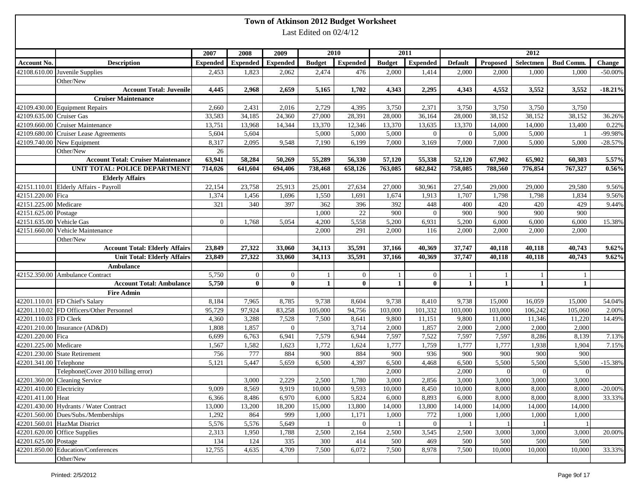|                          |                                           |                 |                 |                 |                        | Town of Atkinson 2012 Budget Worksheet |                |                 |                |              |              |                  |            |
|--------------------------|-------------------------------------------|-----------------|-----------------|-----------------|------------------------|----------------------------------------|----------------|-----------------|----------------|--------------|--------------|------------------|------------|
|                          |                                           |                 |                 |                 | Last Edited on 02/4/12 |                                        |                |                 |                |              |              |                  |            |
|                          |                                           |                 |                 |                 |                        |                                        |                |                 |                |              |              |                  |            |
|                          |                                           | 2007            | 2008            | 2009            |                        | 2010                                   |                | 2011            |                |              | 2012         |                  |            |
| <b>Account No.</b>       | <b>Description</b>                        | <b>Expended</b> | <b>Expended</b> | <b>Expended</b> | <b>Budget</b>          | <b>Expended</b>                        | <b>Budget</b>  | <b>Expended</b> | <b>Default</b> | Proposed     | Selectmen    | <b>Bud Comm.</b> | Change     |
|                          | 42108.610.00 Juvenile Supplies            | 2,453           | 1,823           | 2,062           | 2,474                  | 476                                    | 2,000          | 1,414           | 2,000          | 2,000        | 1,000        | 1,000            | $-50.00\%$ |
|                          | Other/New                                 |                 |                 |                 |                        |                                        |                |                 |                |              |              |                  |            |
|                          | <b>Account Total: Juvenile</b>            | 4,445           | 2,968           | 2,659           | 5,165                  | 1,702                                  | 4,343          | 2,295           | 4,343          | 4,552        | 3,552        | 3,552            | $-18.21%$  |
|                          | <b>Cruiser Maintenance</b>                |                 |                 |                 |                        |                                        |                |                 |                |              |              |                  |            |
|                          | 42109.430.00 Equipment Repairs            | 2,660           | 2,431           | 2,016           | 2,729                  | 4,395                                  | 3,750          | 2,371           | 3,750          | 3,750        | 3,750        | 3,750            |            |
| 42109.635.00 Cruiser Gas |                                           | 33,583          | 34,185          | 24,360          | 27,000                 | 28,391                                 | 28,000         | 36,164          | 28,000         | 38,152       | 38,152       | 38,152           | 36.26%     |
|                          | 42109.660.00 Cruiser Maintenance          | 13,751          | 13,968          | 14,344          | 13,370                 | 12,346                                 | 13,370         | 13,635          | 13,370         | 14,000       | 14,000       | 13,400           | 0.22%      |
|                          | 42109.680.00 Cruiser Lease Agreements     | 5,604           | 5,604           |                 | 5,000                  | 5,000                                  | 5,000          | $\overline{0}$  | $\overline{0}$ | 5,000        | 5,000        |                  | -99.98%    |
|                          | 42109.740.00 New Equipment                | 8,317           | 2,095           | 9,548           | 7,190                  | 6,199                                  | 7,000          | 3,169           | 7,000          | 7,000        | 5,000        | 5,000            | $-28.57%$  |
|                          | Other/New                                 | 26              |                 |                 |                        |                                        |                |                 |                |              |              |                  |            |
|                          | <b>Account Total: Cruiser Maintenance</b> | 63,941          | 58,284          | 50,269          | 55,289                 | 56,330                                 | 57,120         | 55,338          | 52,120         | 67,902       | 65,902       | 60,303           | 5.57%      |
|                          | UNIT TOTAL: POLICE DEPARTMENT             | 714,026         | 641,604         | 694,406         | 738,468                | 658,126                                | 763,085        | 682,842         | 758,085        | 788,560      | 776,854      | 767,327          | 0.56%      |
|                          | <b>Elderly Affairs</b>                    |                 |                 |                 |                        |                                        |                |                 |                |              |              |                  |            |
|                          | 42151.110.01 Elderly Affairs - Payroll    | 22,154          | 23,758          | 25,913          | 25,001                 | 27,634                                 | 27,000         | 30,961          | 27,540         | 29,000       | 29,000       | 29,580           | 9.56%      |
| 42151.220.00 Fica        |                                           | 1,374           | 1,456           | 1,696           | 1,550                  | 1,691                                  | 1,674          | 1,913           | 1,707          | 1,798        | 1,798        | 1,834            | 9.56%      |
| 42151.225.00 Medicare    |                                           | 321             | 340             | 397             | 362                    | 396                                    | 392            | 448             | 400            | 420          | 420          | 429              | 9.44%      |
| 42151.625.00 Postage     |                                           |                 |                 |                 | 1,000                  | 22                                     | 900            | $\overline{0}$  | 900            | 900          | 900          | 900              |            |
| 42151.635.00 Vehicle Gas |                                           | $\overline{0}$  | 1,768           | 5,054           | 4,200                  | 5,558                                  | 5,200          | 6,931           | 5,200          | 6,000        | 6,000        | 6,000            | 15.38%     |
| 42151.660.00             | Vehicle Maintenance                       |                 |                 |                 | 2,000                  | 291                                    | 2,000          | 116             | 2,000          | 2,000        | 2,000        | 2,000            |            |
|                          | Other/New                                 |                 |                 |                 |                        |                                        |                |                 |                |              |              |                  |            |
|                          | <b>Account Total: Elderly Affairs</b>     | 23,849          | 27,322          | 33,060          | 34,113                 | 35,591                                 | 37,166         | 40,369          | 37,747         | 40,118       | 40,118       | 40,743           | 9.62%      |
|                          | <b>Unit Total: Elderly Affairs</b>        | 23,849          | 27,322          | 33,060          | 34,113                 | 35,591                                 | 37,166         | 40,369          | 37,747         | 40,118       | 40,118       | 40,743           | 9.62%      |
|                          | Ambulance                                 |                 |                 |                 |                        |                                        |                |                 |                |              |              |                  |            |
|                          | 42152.350.00 Ambulance Contract           | 5,750           | $\overline{0}$  | $\overline{0}$  | 1                      | $\overline{0}$                         |                | $\overline{0}$  | -1             | 1            | -1           |                  |            |
|                          | <b>Account Total: Ambulance</b>           | 5,750           | $\bf{0}$        | $\bf{0}$        | $\mathbf{1}$           | $\mathbf{0}$                           | $\mathbf{1}$   | $\bf{0}$        | 1              | $\mathbf{1}$ | $\mathbf{1}$ | 1                |            |
|                          | <b>Fire Admin</b>                         |                 |                 |                 |                        |                                        |                |                 |                |              |              |                  |            |
|                          | 42201.110.01 FD Chief's Salary            | 8,184           | 7,965           | 8,785           | 9,738                  | 8,604                                  | 9,738          | 8,410           | 9,738          | 15,000       | 16,059       | 15,000           | 54.04%     |
|                          | 42201.110.02 FD Officers/Other Personnel  | 95,729          | 97,924          | 83,258          | 105,000                | 94,756                                 | 103,000        | 101,332         | 103,000        | 103,000      | 106,242      | 105,060          | 2.00%      |
| 42201.110.03 FD Clerk    |                                           | 4,360           | 3,288           | 7,528           | 7,500                  | 8,641                                  | 9,800          | 11,151          | 9,800          | 11,000       | 11,346       | 11,220           | 14.49%     |
|                          | 42201.210.00 Insurance (AD&D)             | 1,808           | 1,857           | $\mathbf{0}$    |                        | 3,714                                  | 2,000          | 1,857           | 2,000          | 2,000        | 2,000        | 2,000            |            |
| 42201.220.00 Fica        |                                           | 6,699           | 6,763           | 6,941           | 7,579                  | 6,944                                  | 7,597          | 7,522           | 7,597          | 7,597        | 8,286        | 8,139            | 7.13%      |
| 42201.225.00 Medicare    |                                           | 1,567           | 1,582           | 1,623           | 1,772                  | 1,624                                  | 1,777          | 1,759           | 1,777          | 1,777        | 1,938        | 1,904            | 7.15%      |
|                          | 42201.230.00 State Retirement             | 756             | 777             | 884             | 900                    | 884                                    | 900            | 936             | 900            | 900          | 900          | 900              |            |
| 42201.341.00 Telephone   |                                           | 5,121           | 5,447           | 5,659           | 6,500                  | 4,397                                  | 6,500          | 4,468           | 6,500          | 5,500        | 5,500        | 5,500            | $-15.38%$  |
|                          | Telephone(Cover 2010 billing error)       |                 |                 |                 |                        |                                        | 2,000          |                 | 2,000          | $\Omega$     | $\Omega$     | $\Omega$         |            |
|                          | 42201.360.00 Cleaning Service             |                 | 3,000           | 2,229           | 2,500                  | 1,780                                  | 3,000          | 2,856           | 3,000          | 3,000        | 3,000        | 3,000            |            |
| 42201.410.00 Electricity |                                           | 9,009           | 8,569           | 9,919           | 10,000                 | 9,593                                  | 10,000         | 8,450           | 10,000         | 8,000        | 8,000        | 8,000            | $-20.00\%$ |
| 42201.411.00 Heat        |                                           | 6,366           | 8,486           | 6,970           | 6,000                  | 5,824                                  | 6,000          | 8,893           | 6,000          | 8,000        | 8,000        | 8,000            | 33.33%     |
|                          | 42201.430.00 Hydrants / Water Contract    | 13,000          | 13,200          | 18,200          | 15,000                 | 13,800                                 | 14,000         | 13,800          | 14,000         | 14,000       | 14,000       | 14,000           |            |
|                          | 42201.560.00 Dues/Subs./Memberships       | 1,292           | 864             | 999             | 1,000                  | 1,171                                  | 1,000          | 772             | 1,000          | 1,000        | 1,000        | 1,000            |            |
|                          | 42201.560.01 HazMat District              | 5,576           | 5,576           | 5,649           | -1                     | $\overline{0}$                         | $\overline{1}$ | $\overline{0}$  | -1             |              |              |                  |            |
|                          | 42201.620.00 Office Supplies              | 2,313           | 1,950           | 1,788           | 2,500                  | 2,164                                  | 2,500          | 3,545           | 2,500          | 3,000        | 3,000        | 3,000            | 20.00%     |
| 42201.625.00 Postage     |                                           | 134             | 124             | 335             | 300                    | 414                                    | 500            | 469             | 500            | 500          | 500          | 500              |            |
|                          | 42201.850.00 Education/Conferences        | 12,755          | 4,635           | 4,709           | 7,500                  | 6,072                                  | 7,500          | 8,978           | 7,500          | 10,000       | 10,000       | 10,000           | 33.33%     |
|                          | Other/New                                 |                 |                 |                 |                        |                                        |                |                 |                |              |              |                  |            |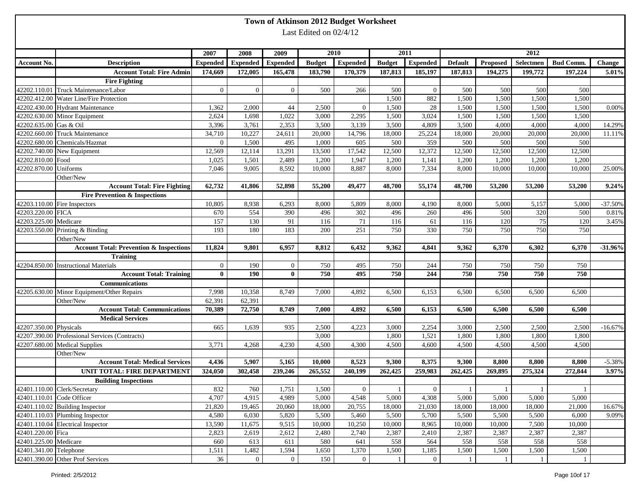|                        |                                                    |                 |                 |                 |                        | Town of Atkinson 2012 Budget Worksheet |               |                 |                |              |                |                  |           |
|------------------------|----------------------------------------------------|-----------------|-----------------|-----------------|------------------------|----------------------------------------|---------------|-----------------|----------------|--------------|----------------|------------------|-----------|
|                        |                                                    |                 |                 |                 | Last Edited on 02/4/12 |                                        |               |                 |                |              |                |                  |           |
|                        |                                                    |                 |                 |                 |                        |                                        |               |                 |                |              |                |                  |           |
|                        |                                                    | 2007            | 2008            | 2009            |                        | 2010                                   |               | 2011            |                |              | 2012           |                  |           |
| <b>Account No.</b>     | <b>Description</b>                                 | <b>Expended</b> | <b>Expended</b> | <b>Expended</b> | <b>Budget</b>          | <b>Expended</b>                        | <b>Budget</b> | <b>Expended</b> | <b>Default</b> | Proposed     | Selectmen      | <b>Bud Comm.</b> | Change    |
|                        | <b>Account Total: Fire Admin</b>                   | 174,669         | 172,005         | 165,478         | 183,790                | 170,379                                | 187,813       | 185,197         | 187,813        | 194,275      | 199,772        | 197,224          | 5.01%     |
|                        | <b>Fire Fighting</b>                               |                 |                 |                 |                        |                                        |               |                 |                |              |                |                  |           |
|                        | 42202.110.01 Truck Maintenance/Labor               | $\overline{0}$  | $\Omega$        | $\overline{0}$  | 500                    | 266                                    | 500           | $\overline{0}$  | 500            | 500          | 500            | 500              |           |
|                        | 42202.412.00 Water Line/Fire Protection            |                 |                 |                 |                        |                                        | 1,500         | 882             | 1,500          | 1,500        | 1,500          | 1,500            |           |
|                        | 42202.430.00 Hydrant Maintenance                   | 1,362           | 2,000           | 44              | 2,500                  | $\overline{0}$                         | 1,500         | 28              | 1,500          | 1,500        | 1,500          | 1,500            | 0.00%     |
|                        | 42202.630.00 Minor Equipment                       | 2,624           | 1,698           | 1,022           | 3,000                  | 2,295                                  | 1,500         | 3,024           | 1,500          | 1,500        | 1,500          | 1,500            |           |
| 42202.635.00 Gas & Oil |                                                    | 3,396           | 3,761           | 2,353           | 3,500                  | 3,139                                  | 3,500         | 4,809           | 3,500          | 4,000        | 4,000          | 4,000            | 14.29%    |
|                        | 42202.660.00 Truck Maintenance                     | 34,710          | 10,227          | 24,611          | 20,000                 | 14,796                                 | 18,000        | 25,224          | 18,000         | 20,000       | 20,000         | 20,000           | 11.11%    |
|                        | 42202.680.00 Chemicals/Hazmat                      | $\overline{0}$  | 1,500           | 495             | 1,000                  | 605                                    | 500           | 359             | 500            | 500          | 500            | 500              |           |
|                        | 42202.740.00 New Equipment                         | 12,569          | 12,114          | 13,291          | 13,500                 | 17,542                                 | 12,500        | 12,372          | 12,500         | 12,500       | 12,500         | 12,500           |           |
| 42202.810.00 Food      |                                                    | 1,025           | 1,501           | 2,489           | 1,200                  | 1,947                                  | 1,200         | 1,141           | 1,200          | 1,200        | 1,200          | 1,200            |           |
| 42202.870.00 Uniforms  |                                                    | 7,046           | 9,005           | 8,592           | 10,000                 | 8,887                                  | 8,000         | 7,334           | 8,000          | 10,000       | 10,000         | 10,000           | 25.00%    |
|                        | Other/New                                          |                 |                 |                 |                        |                                        |               |                 |                |              |                |                  |           |
|                        | <b>Account Total: Fire Fighting</b>                | 62,732          | 41,806          | 52,898          | 55,200                 | 49,477                                 | 48,700        | 55,174          | 48,700         | 53,200       | 53,200         | 53,200           | 9.24%     |
|                        | <b>Fire Prevention &amp; Inspections</b>           |                 |                 |                 |                        |                                        |               |                 |                |              |                |                  |           |
|                        | 42203.110.00 Fire Inspectors                       | 10,805          | 8,938           | 6,293           | 8,000                  | 5,809                                  | 8,000         | 4,190           | 8,000          | 5,000        | 5,157          | 5,000            | $-37.50%$ |
| 42203.220.00 FICA      |                                                    | 670             | 554             | 390             | 496                    | 302                                    | 496           | 260             | 496            | 500          | 320            | 500              | 0.81%     |
| 42203.225.00 Medicare  |                                                    | 157             | 130             | 91              | 116                    | 71                                     | 116           | 61              | 116            | 120          | 75             | 120              | 3.45%     |
| 42203.550.00           | Printing & Binding                                 | 193             | 180             | 183             | 200                    | 251                                    | 750           | 330             | 750            | 750          | 750            | 750              |           |
|                        | Other/New                                          |                 |                 |                 |                        |                                        |               |                 |                |              |                |                  |           |
|                        | <b>Account Total: Prevention &amp; Inspections</b> | 11,824          | 9,801           | 6,957           | 8,812                  | 6,432                                  | 9,362         | 4,841           | 9,362          | 6,370        | 6,302          | 6,370            | $-31.96%$ |
|                        | <b>Training</b>                                    |                 |                 |                 |                        |                                        |               |                 |                |              |                |                  |           |
|                        | 42204.850.00 Instructional Materials               | $\mathbf{0}$    | 190             | $\mathbf{0}$    | 750                    | 495                                    | 750           | 244             | 750            | 750          | 750            | 750              |           |
|                        | <b>Account Total: Training</b>                     | $\bf{0}$        | 190             | $\bf{0}$        | 750                    | 495                                    | 750           | 244             | 750            | 750          | 750            | 750              |           |
|                        | Communications                                     |                 |                 |                 |                        |                                        |               |                 |                |              |                |                  |           |
|                        | 42205.630.00 Minor Equipment/Other Repairs         | 7,998           | 10,358          | 8,749           | 7,000                  | 4,892                                  | 6,500         | 6,153           | 6,500          | 6,500        | 6,500          | 6,500            |           |
|                        | Other/New                                          | 62,391          | 62,391          |                 |                        |                                        |               |                 |                |              |                |                  |           |
|                        | <b>Account Total: Communications</b>               | 70,389          | 72,750          | 8,749           | 7,000                  | 4,892                                  | 6,500         | 6,153           | 6,500          | 6,500        | 6,500          | 6,500            |           |
|                        | <b>Medical Services</b>                            |                 |                 |                 |                        |                                        |               |                 |                |              |                |                  |           |
| 42207.350.00 Physicals |                                                    | 665             | 1,639           | 935             | 2,500                  | 4,223                                  | 3,000         | 2,254           | 3,000          | 2,500        | 2,500          | 2,500            | $-16.67%$ |
|                        | 42207.390.00 Professional Services (Contracts)     |                 |                 |                 | 3,000                  |                                        | 1,800         | 1,521           | 1,800          | 1,800        | 1,800          | 1,800            |           |
|                        | 42207.680.00 Medical Supplies                      | 3,771           | 4,268           | 4,230           | 4,500                  | 4,300                                  | 4,500         | 4,600           | 4,500          | 4,500        | 4,500          | 4,500            |           |
|                        | Other/New                                          |                 |                 |                 |                        |                                        |               |                 |                |              |                |                  |           |
|                        | <b>Account Total: Medical Services</b>             | 4,436           | 5,907           | 5,165           | 10,000                 | 8,523                                  | 9,300         | 8,375           | 9,300          | 8,800        | 8,800          | 8,800            | $-5.38%$  |
|                        | UNIT TOTAL: FIRE DEPARTMENT                        | 324,050         | 302,458         | 239,246         | 265,552                | 240,199                                | 262,425       | 259,983         | 262,425        | 269,895      | 275,324        | 272,844          | 3.97%     |
|                        | <b>Building Inspections</b>                        |                 |                 |                 |                        |                                        |               |                 |                |              |                |                  |           |
|                        | 42401.110.00 Clerk/Secretary                       | 832             | 760             | 1,751           | 1,500                  | $\overline{0}$                         | -1            | $\overline{0}$  | -1             | -1           | -1             | -1               |           |
|                        | 42401.110.01 Code Officer                          | 4,707           | 4,915           | 4,989           | 5,000                  | 4,548                                  | 5,000         | 4,308           | 5,000          | 5,000        | 5,000          | 5,000            |           |
|                        | 42401.110.02 Building Inspector                    | 21,820          | 19,465          | 20,060          | 18,000                 | 20,755                                 | 18,000        | 21,030          | 18,000         | 18,000       | 18,000         | 21,000           | 16.67%    |
|                        | 42401.110.03 Plumbing Inspector                    | 4,580           | 6,030           | 5,820           | 5,500                  | 5,460                                  | 5,500         | 5,700           | 5,500          | 5,500        | 5,500          | 6,000            | 9.09%     |
|                        | 42401.110.04 Electrical Inspector                  | 13,590          | 11,675          | 9,515           | 10,000                 | 10,250                                 | 10,000        | 8,965           | 10,000         | 10,000       | 7,500          | 10,000           |           |
| 42401.220.00 Fica      |                                                    | 2,823           | 2,619           | 2,612           | 2,480                  | 2,740                                  | 2,387         | 2,410           | 2,387          | 2,387        | 2,387          | 2,387            |           |
| 42401.225.00 Medicare  |                                                    | 660             | 613             | 611             | 580                    | 641                                    | 558           | 564             | 558            | 558          | 558            | 558              |           |
| 42401.341.00 Telephone |                                                    | 1,511           | 1,482           | 1,594           | 1,650                  | 1,370                                  | 1,500         | 1,185           | 1,500          | 1,500        | 1,500          | 1,500            |           |
|                        | 42401.390.00 Other Prof Services                   | 36              | $\overline{0}$  | $\mathbf{0}$    | 150                    | $\overline{0}$                         | $\mathbf{1}$  | $\overline{0}$  | -1             | $\mathbf{1}$ | $\overline{1}$ | -1               |           |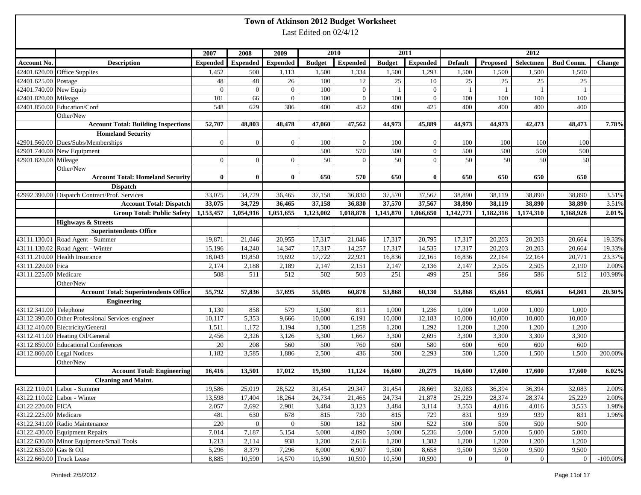|                            |                                                   |                 |                 |                 |                        | Town of Atkinson 2012 Budget Worksheet |               |                 |                |                |                  |                  |               |
|----------------------------|---------------------------------------------------|-----------------|-----------------|-----------------|------------------------|----------------------------------------|---------------|-----------------|----------------|----------------|------------------|------------------|---------------|
|                            |                                                   |                 |                 |                 | Last Edited on 02/4/12 |                                        |               |                 |                |                |                  |                  |               |
|                            |                                                   |                 |                 |                 |                        |                                        |               |                 |                |                |                  |                  |               |
|                            |                                                   | 2007            | 2008            | 2009            |                        | 2010                                   |               | 2011            |                |                | 2012             |                  |               |
| <b>Account No.</b>         | <b>Description</b>                                | <b>Expended</b> | <b>Expended</b> | <b>Expended</b> | <b>Budget</b>          | <b>Expended</b>                        | <b>Budget</b> | <b>Expended</b> | <b>Default</b> | Proposed       | Selectmen        | <b>Bud Comm.</b> | <b>Change</b> |
|                            | 42401.620.00 Office Supplies                      | 1,452           | 500             | 1,113           | 1,500                  | 1,334                                  | 1,500         | 1,293           | 1,500          | 1,500          | 1,500            | 1,500            |               |
| 42401.625.00 Postage       |                                                   | 48              | 48              | 26              | 100                    | 12                                     | 25            | 10              | 25             | 25             | 25               | 25               |               |
| 42401.740.00 New Equip     |                                                   | $\overline{0}$  | $\overline{0}$  | $\overline{0}$  | 100                    | $\mathbf{0}$                           |               | $\overline{0}$  | - 1            |                | $\overline{1}$   |                  |               |
| 42401.820.00 Mileage       |                                                   | 101             | 66              | $\overline{0}$  | 100                    | $\overline{0}$                         | 100           | $\overline{0}$  | 100            | 100            | 100              | 100              |               |
|                            | 42401.850.00 Education/Conf                       | 548             | 629             | 386             | 400                    | 452                                    | 400           | 425             | 400            | 400            | 400              | 400              |               |
|                            | Other/New                                         |                 |                 |                 |                        |                                        |               |                 |                |                |                  |                  |               |
|                            | <b>Account Total: Building Inspections</b>        | 52,707          | 48,803          | 48,478          | 47,060                 | 47,562                                 | 44,973        | 45,889          | 44,973         | 44,973         | 42,473           | 48,473           | 7.78%         |
|                            | <b>Homeland Security</b>                          |                 |                 |                 |                        |                                        |               |                 |                |                |                  |                  |               |
|                            | 42901.560.00 Dues/Subs/Memberships                | $\overline{0}$  | $\overline{0}$  | $\overline{0}$  | 100                    | $\overline{0}$                         | 100           | $\overline{0}$  | 100            | 100            | 100              | 100              |               |
|                            | 42901.740.00 New Equipment                        |                 |                 |                 | 500                    | 570                                    | 500           | $\overline{0}$  | 500            | 500            | 500              | 500              |               |
| 42901.820.00 Mileage       |                                                   | $\overline{0}$  | $\overline{0}$  | $\overline{0}$  | 50                     | $\overline{0}$                         | 50            | $\overline{0}$  | 50             | 50             | 50               | 50               |               |
|                            | Other/New                                         |                 |                 |                 |                        |                                        |               |                 |                |                |                  |                  |               |
|                            | <b>Account Total: Homeland Security</b>           | $\mathbf{0}$    | $\mathbf{0}$    | $\bf{0}$        | 650                    | 570                                    | 650           | $\mathbf{0}$    | 650            | 650            | 650              | 650              |               |
|                            | <b>Dispatch</b>                                   |                 |                 |                 |                        |                                        |               |                 |                |                |                  |                  |               |
|                            | 42992.390.00 Dispatch Contract/Prof. Services     | 33,075          | 34,729          | 36,465          | 37,158                 | 36,830                                 | 37,570        | 37,567          | 38,890         | 38,119         | 38,890           | 38,890           | 3.51%         |
|                            | <b>Account Total: Dispatch</b>                    | 33,075          | 34,729          | 36,465          | 37,158                 | 36,830                                 | 37,570        | 37,567          | 38,890         | 38,119         | 38,890           | 38,890           | 3.51%         |
|                            | <b>Group Total: Public Safety</b>                 | 1,153,457       | 1,054,916       | 1,051,655       | 1.123,002              | 1.018.878                              | 1,145,870     | 1,066,650       | 1,142,771      | 1,182,316      | 1,174,310        | 1,168,928        | 2.01%         |
|                            | <b>Highways &amp; Streets</b>                     |                 |                 |                 |                        |                                        |               |                 |                |                |                  |                  |               |
|                            | <b>Superintendents Office</b>                     |                 |                 |                 |                        |                                        |               |                 |                |                |                  |                  |               |
|                            | 43111.130.01 Road Agent - Summer                  | 19,871          | 21,046          | 20,955          | 17,317                 | 21,046                                 | 17,317        | 20,795          | 17,317         | 20,203         | 20,203           | 20,664           | 19.33%        |
|                            | 43111.130.02 Road Agent - Winter                  | 15,196          | 14,240          | 14,347          | 17,317                 | 14,257                                 | 17,317        | 14,535          | 17,317         | 20,203         | 20,203           | 20,664           | 19.33%        |
|                            | 43111.210.00 Health Insurance                     | 18,043          | 19,850          | 19,692          | 17,722                 | 22,921                                 | 16,836        | 22,165          | 16,836         | 22,164         | 22,164           | 20,771           | 23.37%        |
| 43111.220.00 Fica          |                                                   | 2,174           | 2,188           | 2,189           | 2,147                  | 2,151                                  | 2,147         | 2,136           | 2,147          | 2,505          | 2,505            | 2,190            | 2.00%         |
| 43111.225.00 Medicare      |                                                   | 508             | 511             | 512             | 502                    | 503                                    | 251           | 499             | 251            | 586            | 586              | 512              | 103.98%       |
|                            | Other/New                                         |                 |                 |                 |                        |                                        |               |                 |                |                |                  |                  |               |
|                            | <b>Account Total: Superintendents Office</b>      | 55,792          | 57,836          | 57,695          | 55,005                 | 60,878                                 | 53,868        | 60,130          | 53,868         | 65,661         | 65,661           | 64,801           | 20.30%        |
|                            | <b>Engineering</b>                                |                 |                 |                 |                        |                                        |               |                 |                |                |                  |                  |               |
| 43112.341.00 Telephone     |                                                   | 1,130           | 858             | 579             | 1,500                  | 811                                    | 1,000         | 1,236           | 1,000          | 1,000          | 1,000            | 1,000            |               |
|                            | 43112.390.00 Other Professional Services-engineer | 10,117          | 5,353           | 9,666           | 10,000                 | 6,191                                  | 10,000        | 12,183          | 10,000         | 10,000         | 10,000           | 10,000           |               |
|                            | 43112.410.00 Electricity/General                  | 1,511           | 1,172           | 1,194           | 1,500                  | 1,258                                  | 1,200         | 1,292           | 1,200          | 1,200          | 1,200            | 1,200            |               |
|                            | 43112.411.00 Heating Oil/General                  | 2,456           | 2,326           | 3,126           | 3,300                  | 1,667                                  | 3,300         | 2,695           | 3,300          | 3,300          | 3,300            | 3,300            |               |
|                            | 43112.850.00 Educational Conferences              | 20              | 208             | 560             | 500                    | 760                                    | 600           | 580             | 600            | 600            | 600              | 600              |               |
| 43112.860.00 Legal Notices |                                                   | 1,182           | 3,585           | 1,886           | 2,500                  | 436                                    | 500           | 2,293           | 500            | 1,500          | 1,500            | 1,500            | 200.00%       |
|                            | Other/New                                         |                 |                 |                 |                        |                                        |               |                 |                |                |                  |                  |               |
|                            | <b>Account Total: Engineering</b>                 | 16,416          | 13,501          | 17,012          | 19,300                 | 11,124                                 | 16,600        | 20,279          | 16,600         | 17,600         | 17,600           | 17,600           | $6.02\%$      |
|                            | <b>Cleaning and Maint.</b>                        |                 |                 |                 |                        |                                        |               |                 |                |                |                  |                  |               |
|                            | 43122.110.01 Labor - Summer                       | 19,586          | 25,019          | 28,522          | 31,454                 | 29,347                                 | 31,454        | 28,669          | 32,083         | 36,394         | 36,394           | 32,083           | 2.00%         |
|                            | 43122.110.02 Labor - Winter                       | 13,598          | 17,404          | 18,264          | 24,734                 | 21,465                                 | 24,734        | 21,878          | 25,229         | 28,374         | 28,374           | 25,229           | 2.00%         |
| 43122.220.00 FICA          |                                                   | 2,057           | 2,692           | 2,901           | 3,484                  | 3,123                                  | 3,484         | 3,114           | 3,553          | 4,016          | 4,016            | 3,553            | 1.98%         |
| 43122.225.00 Medicare      |                                                   | 481             | 630             | 678             | 815                    | 730                                    | 815           | 729             | 831            | 939            | 939              | 831              | 1.96%         |
|                            | 43122.341.00 Radio Maintenance                    | 220             | $\overline{0}$  | $\overline{0}$  | 500                    | 182                                    | 500           | 522             | 500            | 500            | 500              | 500              |               |
|                            | 43122.430.00 Equipment Repairs                    | 7,014           | 7,187           | 5,154           | 5,000                  | 4,890                                  | 5,000         | 5,236           | 5,000          | 5,000          | 5,000            | 5,000            |               |
|                            | 43122.630.00 Minor Equipment/Small Tools          | 1,213           | 2,114           | 938             | 1,200                  | 2,616                                  | 1,200         | 1,382           | 1,200          | 1,200          | 1,200            | 1,200            |               |
| 43122.635.00 Gas & Oil     |                                                   | 5,296           | 8,379           | 7,296           | 8,000                  | 6,907                                  | 9,500         | 8,658           | 9,500          | 9,500          | 9,500            | 9,500            |               |
| 43122.660.00 Truck Lease   |                                                   | 8,885           | 10,590          | 14,570          | 10,590                 | 10,590                                 | 10,590        | 10,590          | $\mathbf{0}$   | $\overline{0}$ | $\boldsymbol{0}$ | $\mathbf{0}$     | $-100.00\%$   |
|                            |                                                   |                 |                 |                 |                        |                                        |               |                 |                |                |                  |                  |               |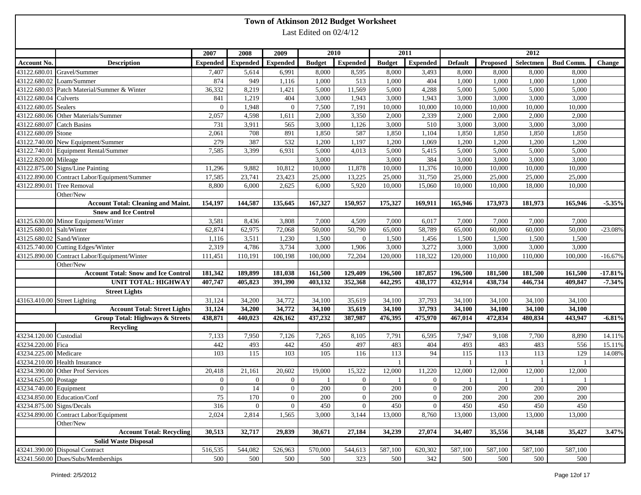|                                                      |                                              |                 |                 |                 |                        | Town of Atkinson 2012 Budget Worksheet |                 |                 |                |              |                  |                  |               |
|------------------------------------------------------|----------------------------------------------|-----------------|-----------------|-----------------|------------------------|----------------------------------------|-----------------|-----------------|----------------|--------------|------------------|------------------|---------------|
|                                                      |                                              |                 |                 |                 | Last Edited on 02/4/12 |                                        |                 |                 |                |              |                  |                  |               |
|                                                      |                                              |                 |                 |                 |                        |                                        |                 |                 |                |              |                  |                  |               |
|                                                      |                                              | 2007            | 2008            | 2009            |                        | 2010                                   |                 | 2011            |                |              | 2012             |                  |               |
| Account No.                                          | <b>Description</b>                           | <b>Expended</b> | <b>Expended</b> | <b>Expended</b> | <b>Budget</b>          | <b>Expended</b>                        | <b>Budget</b>   | <b>Expended</b> | <b>Default</b> | Proposed     | Selectmen        | <b>Bud Comm.</b> | <b>Change</b> |
|                                                      | 43122.680.01 Gravel/Summer                   | 7,407           | 5,614           | 6,991           | 8,000                  | 8,595                                  | 8,000           | 3,493           | 8,000          | 8,000        | 8,000            | 8,000            |               |
|                                                      | 43122.680.02 Loam/Summer                     | 874             | 949             | 1,116           | 1,000                  | 513                                    | 1,000           | 404             | 1,000          | 1,000        | 1,000            | 1,000            |               |
|                                                      | 43122.680.03 Patch Material/Summer & Winter  | 36,332          | 8,219           | 1,421           | 5,000                  | 11,569                                 | 5,000           | 4,288           | 5,000          | 5,000        | 5,000            | 5,000            |               |
| 43122.680.04 Culverts                                |                                              | 841             | 1,219           | 404             | 3,000                  | 1,943                                  | 3,000           | 1,943           | 3,000          | 3,000        | 3,000            | 3,000            |               |
| 43122.680.05 Sealers                                 |                                              | $\mathbf{0}$    | 1,948           | $\mathbf{0}$    | 7,500                  | 7,191                                  | 10,000          | 10,000          | 10,000         | 10,000       | 10,000           | 10,000           |               |
|                                                      | 43122.680.06 Other Materials/Summer          | 2,057           | 4,598           | 1,611           | 2,000                  | 3,350                                  | 2,000           | 2,339           | 2,000          | 2,000        | 2,000            | 2,000            |               |
| 43122.680.07 Catch Basins                            |                                              | 731             | 3,911           | 565             | 3,000                  | 1,126                                  | 3,000           | 510             | 3,000          | 3,000        | 3,000            | 3,000            |               |
| 43122.680.09 Stone                                   |                                              | 2,061           | 708             | 891             | 1,850                  | 587                                    | 1,850           | 1,104           | 1,850          | 1,850        | 1,850            | 1,850            |               |
|                                                      | 43122.740.00 New Equipment/Summer            | 279             | 387             | 532             | 1,200                  | 1,197                                  | 1,200           | 1,069           | 1,200          | 1,200        | 1,200            | 1,200            |               |
|                                                      | 43122.740.01 Equipment Rental/Summer         | 7,585           | 3,399           | 6,931           | 5,000                  | 4,013                                  | 5,000           | 5,415           | 5,000          | 5,000        | 5,000            | 5,000            |               |
| 43122.820.00 Mileage                                 |                                              |                 |                 |                 | 3,000                  |                                        | 3,000           | 384             | 3,000          | 3,000        | 3,000            | 3,000            |               |
|                                                      | 43122.875.00 Signs/Line Painting             | 11,296          | 9,882           | 10,812          | 10,000                 | 11,878                                 | 10,000          | 11,376          | 10,000         | 10,000       | 10,000           | 10,000           |               |
|                                                      | 43122.890.00 Contract Labor/Equipment/Summer | 17,585          | 23,741          | 23,423          | 25,000                 | 13,225                                 | 25,000          | 31,750          | 25,000         | 25,000       | 25,000           | 25,000           |               |
|                                                      | 43122.890.01 Tree Removal                    | 8,800           | 6,000           | 2,625           | 6,000                  | 5,920                                  | 10,000          | 15,060          | 10,000         | 10,000       | 18,000           | 10,000           |               |
|                                                      | Other/New                                    |                 |                 |                 |                        |                                        |                 |                 |                |              |                  |                  |               |
|                                                      | <b>Account Total: Cleaning and Maint.</b>    | 154,197         | 144,587         | 135,645         | 167,327                | 150,957                                | 175,327         | 169,911         | 165,946        | 173,973      | 181,973          | 165,946          | $-5.35%$      |
|                                                      | <b>Snow and Ice Control</b>                  |                 |                 |                 |                        |                                        |                 |                 |                |              |                  |                  |               |
|                                                      | 43125.630.00 Minor Equipment/Winter          | 3,581           | 8,436           | 3,808           | 7,000                  | 4,509                                  | 7,000           | 6,017           | 7,000          | 7,000        | 7,000            | 7,000            |               |
|                                                      |                                              |                 |                 | 72,068          | 50,000                 |                                        |                 |                 | 65,000         | 60,000       |                  |                  |               |
| 43125.680.01 Salt/Winter<br>43125.680.02 Sand/Winter |                                              | 62,874<br>1,116 | 62,975<br>3,511 | 1,230           | 1,500                  | 50,790<br>$\overline{0}$               | 65,000<br>1,500 | 58,789<br>1,456 | 1,500          | 1,500        | 60,000<br>1,500  | 50,000<br>1,500  | $-23.08%$     |
|                                                      | 43125.740.00 Cutting Edges/Winter            |                 |                 |                 |                        |                                        |                 |                 |                |              |                  |                  |               |
|                                                      |                                              | 2,319           | 4,786           | 3,734           | 3,000<br>100,000       | 1,906<br>72,204                        | 3,000           | 3,272           | 3,000          | 3,000        | 3,000<br>110,000 | 3,000            |               |
|                                                      | 43125.890.00 Contract Labor/Equipment/Winter | 111,451         | 110,191         | 100,198         |                        |                                        | 120,000         | 118,322         | 120,000        | 110,000      |                  | 100,000          | $-16.67%$     |
|                                                      | Other/New                                    |                 |                 |                 |                        |                                        |                 |                 |                |              |                  |                  |               |
|                                                      | <b>Account Total: Snow and Ice Control</b>   | 181,342         | 189,899         | 181,038         | 161,500                | 129,409                                | 196,500         | 187,857         | 196,500        | 181,500      | 181,500          | 161,500          | $-17.81%$     |
|                                                      | <b>UNIT TOTAL: HIGHWAY</b>                   | 407,747         | 405,823         | 391,390         | 403,132                | 352,368                                | 442,295         | 438,177         | 432,914        | 438,734      | 446,734          | 409,847          | $-7.34%$      |
|                                                      | <b>Street Lights</b>                         |                 |                 |                 |                        |                                        |                 |                 |                |              |                  |                  |               |
|                                                      | 43163.410.00 Street Lighting                 | 31,124          | 34,200          | 34,772          | 34,100                 | 35,619                                 | 34,100          | 37,793          | 34,100         | 34,100       | 34,100           | 34,100           |               |
|                                                      | <b>Account Total: Street Lights</b>          | 31,124          | 34,200          | 34,772          | 34,100                 | 35,619                                 | 34,100          | 37,793          | 34,100         | 34,100       | 34,100           | 34,100           |               |
|                                                      | <b>Group Total: Highways &amp; Streets</b>   | 438,871         | 440,023         | 426,162         | 437,232                | 387,987                                | 476,395         | 475,970         | 467,014        | 472,834      | 480,834          | 443,947          | $-6.81%$      |
|                                                      | Recycling                                    |                 |                 |                 |                        |                                        |                 |                 |                |              |                  |                  |               |
| 43234.120.00 Custodial                               |                                              | 7,133           | 7,950           | 7,126           | 7,265                  | 8,105                                  | 7,791           | 6,595           | 7,947          | 9,108        | 7,700            | 8,890            | 14.11%        |
| 43234.220.00 Fica                                    |                                              | 442             | 493             | 442             | 450                    | 497                                    | 483             | 404             | 493            | 483          | 483              | 556              | 15.11%        |
| 43234.225.00 Medicare                                |                                              | 103             | 115             | 103             | 105                    | 116                                    | 113             | 94              | 115            | 113          | 113              | 129              | 14.08%        |
|                                                      | 43234.210.00 Health Insurance                |                 |                 |                 |                        |                                        |                 |                 |                |              | $\overline{1}$   |                  |               |
|                                                      | 43234.390.00 Other Prof Services             | 20,418          | 21,161          | 20,602          | 19,000                 | 15,322                                 | 12,000          | 11,220          | 12,000         | 12,000       | 12,000           | 12,000           |               |
| 43234.625.00 Postage                                 |                                              | $\mathbf{0}$    | $\overline{0}$  | $\overline{0}$  | 1                      | $\overline{0}$                         | $\perp$         | $\overline{0}$  | $\mathbf{I}$   | $\mathbf{1}$ | $\mathbf{1}$     | $\mathbf{I}$     |               |
| 43234.740.00 Equipment                               |                                              | $\overline{0}$  | 14              | $\overline{0}$  | 200                    | $\overline{0}$                         | 200             | $\overline{0}$  | 200            | 200          | 200              | 200              |               |
|                                                      | 43234.850.00 Education/Conf                  | 75              | 170             | $\overline{0}$  | 200                    | $\overline{0}$                         | 200             | $\overline{0}$  | 200            | 200          | 200              | 200              |               |
| 43234.875.00 Signs/Decals                            |                                              | 316             | $\overline{0}$  | $\overline{0}$  | 450                    | $\overline{0}$                         | 450             | $\mathbf{0}$    | 450            | 450          | 450              | 450              |               |
|                                                      | 43234.890.00 Contract Labor/Equipment        | 2,024           | 2,814           | 1,565           | 3,000                  | 3,144                                  | 13,000          | 8,760           | 13,000         | 13,000       | 13,000           | 13,000           |               |
|                                                      | Other/New                                    |                 |                 |                 |                        |                                        |                 |                 |                |              |                  |                  |               |
|                                                      | <b>Account Total: Recycling</b>              | 30,513          | 32,717          | 29,839          | 30,671                 | 27,184                                 | 34,239          | 27,074          | 34,407         | 35,556       | 34,148           | 35,427           | 3.47%         |
|                                                      | <b>Solid Waste Disposal</b>                  |                 |                 |                 |                        |                                        |                 |                 |                |              |                  |                  |               |
|                                                      | 43241.390.00 Disposal Contract               | 516,535         | 544,082         | 526,963         | 570,000                | 544,613                                | 587,100         | 620,302         | 587,100        | 587,100      | 587,100          | 587,100          |               |
|                                                      | 43241.560.00 Dues/Subs/Memberships           | 500             | 500             | 500             | 500                    | 323                                    | 500             | 342             | 500            | 500          | 500              | 500              |               |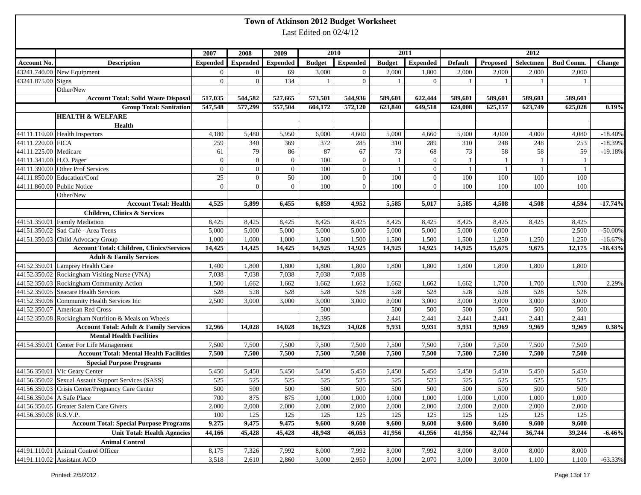|                            |                                                                                      |                 |                 |                 |                          | Town of Atkinson 2012 Budget Worksheet |               |                  |                |              |           |                  |            |
|----------------------------|--------------------------------------------------------------------------------------|-----------------|-----------------|-----------------|--------------------------|----------------------------------------|---------------|------------------|----------------|--------------|-----------|------------------|------------|
|                            |                                                                                      |                 |                 |                 | Last Edited on $02/4/12$ |                                        |               |                  |                |              |           |                  |            |
|                            |                                                                                      |                 |                 |                 |                          |                                        |               |                  |                |              |           |                  |            |
|                            |                                                                                      | 2007            | 2008            | 2009            |                          | 2010                                   |               | 2011             |                |              | 2012      |                  |            |
| <b>Account No.</b>         | <b>Description</b>                                                                   | <b>Expended</b> | <b>Expended</b> | <b>Expended</b> | <b>Budget</b>            | <b>Expended</b>                        | <b>Budget</b> | Expended         | <b>Default</b> | Proposed     | Selectmen | <b>Bud Comm.</b> | Change     |
|                            | 43241.740.00 New Equipment                                                           | $\overline{0}$  | $\overline{0}$  | 69              | 3,000                    | $\overline{0}$                         | 2,000         | 1,800            | 2,000          | 2,000        | 2,000     | 2,000            |            |
| 43241.875.00 Signs         |                                                                                      | $\overline{0}$  | $\overline{0}$  | 134             | 1                        | $\overline{0}$                         |               | $\overline{0}$   |                |              |           |                  |            |
|                            | Other/New                                                                            |                 |                 |                 |                          |                                        |               |                  |                |              |           |                  |            |
|                            | <b>Account Total: Solid Waste Disposal</b>                                           | 517,035         | 544,582         | 527,665         | 573,501                  | 544,936                                | 589,601       | 622,444          | 589,601        | 589,601      | 589,601   | 589,601          |            |
|                            | <b>Group Total: Sanitation</b>                                                       | 547,548         | 577,299         | 557,504         | 604,172                  | 572,120                                | 623,840       | 649,518          | 624,008        | 625,157      | 623,749   | 625,028          | 0.19%      |
|                            | <b>HEALTH &amp; WELFARE</b>                                                          |                 |                 |                 |                          |                                        |               |                  |                |              |           |                  |            |
|                            | Health                                                                               |                 |                 |                 |                          |                                        |               |                  |                |              |           |                  |            |
|                            | 44111.110.00 Health Inspectors                                                       | 4,180           | 5,480           | 5,950           | 6,000                    | 4,600                                  | 5,000         | 4,660            | 5,000          | 4,000        | 4,000     | 4,080            | $-18.40%$  |
| 44111.220.00 FICA          |                                                                                      | 259             | 340             | 369             | 372                      | 285                                    | 310           | 289              | 310            | 248          | 248       | 253              | $-18.39%$  |
| 44111.225.00 Medicare      |                                                                                      | 61              | 79              | 86              | 87                       | 67                                     | 73            | 68               | 73             | 58           | 58        | 59               | $-19.18%$  |
| 44111.341.00 H.O. Pager    |                                                                                      | $\overline{0}$  | $\mathbf{0}$    | $\overline{0}$  | 100                      | $\overline{0}$                         | -1            | $\overline{0}$   | $\overline{1}$ | 1            | -1        | $\overline{1}$   |            |
|                            | 44111.390.00 Other Prof Services                                                     | $\overline{0}$  | $\overline{0}$  | $\mathbf{0}$    | 100                      | $\overline{0}$                         |               | $\boldsymbol{0}$ | -1             | $\mathbf{1}$ | -1        |                  |            |
|                            | 44111.850.00 Education/Conf                                                          | 25              | $\overline{0}$  | 50              | 100                      | $\overline{0}$                         | 100           | $\overline{0}$   | 100            | 100          | 100       | 100              |            |
| 44111.860.00 Public Notice |                                                                                      | $\theta$        | $\Omega$        | $\Omega$        | 100                      | $\Omega$                               | 100           | $\Omega$         | 100            | 100          | 100       | 100              |            |
|                            | Other/New                                                                            |                 |                 |                 |                          |                                        |               |                  |                |              |           |                  |            |
|                            | <b>Account Total: Health</b>                                                         | 4,525           | 5,899           | 6,455           | 6,859                    | 4,952                                  | 5,585         | 5,017            | 5,585          | 4,508        | 4,508     | 4,594            | $-17.74%$  |
|                            | <b>Children, Clinics &amp; Services</b>                                              |                 |                 |                 |                          |                                        |               |                  |                |              |           |                  |            |
|                            | 44151.350.01 Family Mediation                                                        | 8,425           | 8,425           | 8,425           | 8,425                    | 8,425                                  | 8,425         | 8,425            | 8,425          | 8,425        | 8,425     | 8,425            |            |
|                            | 44151.350.02 Sad Café - Area Teens                                                   | 5,000           | 5,000           | 5,000           | 5,000                    | 5,000                                  | 5,000         | 5,000            | 5,000          | 6,000        |           | 2,500            | $-50.00\%$ |
|                            | 44151.350.03 Child Advocacy Group                                                    | 1,000           | 1,000           | 1,000           | 1,500                    | 1,500                                  | 1,500         | 1,500            | 1,500          | 1,250        | 1,250     | 1,250            | $-16.67%$  |
|                            | <b>Account Total: Children, Clinics/Services</b>                                     | 14,425          | 14,425          | 14,425          | 14,925                   | 14,925                                 | 14,925        | 14,925           | 14,925         | 15,675       | 9,675     | 12,175           | $-18.43%$  |
|                            | <b>Adult &amp; Family Services</b>                                                   |                 |                 |                 |                          |                                        |               |                  |                |              |           |                  |            |
|                            | 44152.350.01 Lamprey Health Care                                                     | 1,400           | 1,800           | 1,800           | 1,800                    | 1,800                                  | 1,800         | 1,800            | 1,800          | 1,800        | 1,800     | 1,800            |            |
|                            | 44152.350.02 Rockingham Visiting Nurse (VNA)                                         | 7,038           | 7,038           | 7,038           | 7,038                    | 7,038                                  |               |                  |                |              |           |                  |            |
|                            | 44152.350.03 Rockingham Community Action                                             | 1,500           | 1,662           | 1,662           | 1,662                    | 1,662                                  | 1,662         | 1,662            | 1,662          | 1,700        | 1,700     | 1,700            | 2.29%      |
|                            | 44152.350.05 Seacare Health Services                                                 | 528             | 528             | 528             | 528                      | 528                                    | 528           | 528              | 528            | 528          | 528       | 528              |            |
|                            | 44152.350.06 Community Health Services Inc                                           | 2,500           | 3,000           | 3,000           | 3,000                    | 3,000                                  | 3,000         | 3,000            | 3,000          | 3,000        | 3,000     | 3,000            |            |
|                            | 44152.350.07 American Red Cross                                                      |                 |                 |                 | 500                      |                                        | 500           | 500              | 500            | 500          | 500       | 500              |            |
|                            | 44152.350.08 Rockingham Nutrition & Meals on Wheels                                  |                 |                 |                 | 2,395                    |                                        | 2,441         | 2,441            | 2,441          | 2,441        | 2,441     | 2,441            |            |
|                            | <b>Account Total: Adult &amp; Family Services</b>                                    | 12,966          | 14,028          | 14,028          | 16,923                   | 14,028                                 | 9,931         | 9,931            | 9,931          | 9.969        | 9,969     | 9,969            | 0.38%      |
|                            | <b>Mental Health Facilities</b>                                                      |                 |                 |                 |                          |                                        |               |                  |                |              |           |                  |            |
|                            | 44154.350.01 Center For Life Management                                              | 7,500           | 7,500           | 7,500           | 7,500                    | 7,500                                  | 7,500         | 7,500            | 7,500          | 7,500        | 7,500     | 7,500            |            |
|                            | <b>Account Total: Mental Health Facilities</b>                                       | 7,500           | 7,500           | 7,500           | 7,500                    | 7,500                                  | 7,500         | 7,500            | 7,500          | 7,500        | 7,500     | 7,500            |            |
|                            | <b>Special Purpose Programs</b>                                                      |                 |                 |                 |                          |                                        |               |                  |                |              |           |                  |            |
|                            | 44156.350.01 Vic Geary Center<br>44156.350.02 Sexual Assault Support Services (SASS) | 5,450           | 5,450           | 5,450           | 5,450                    | 5,450                                  | 5,450         | 5,450            | 5,450          | 5,450        | 5,450     | 5,450            |            |
|                            |                                                                                      | 525             | 525             | 525             | 525                      | 525                                    | 525           | 525              | 525            | 525          | 525       | 525              |            |
|                            | 44156.350.03 Crisis Center/Pregnancy Care Center                                     | 500             | 500             | 500             | 500                      | 500                                    | 500           | 500              | 500            | 500          | 500       | 500              |            |
| 44156.350.04 A Safe Place  |                                                                                      | 700             | 875             | 875             | 1,000                    | 1,000                                  | 1,000         | 1,000            | 1,000          | 1,000        | 1,000     | 1,000            |            |
|                            | 44156.350.05 Greater Salem Care Givers                                               | 2,000           | 2,000           | 2,000           | 2,000                    | 2,000                                  | 2,000         | 2,000            | 2,000          | 2,000        | 2,000     | 2,000            |            |
| 44156.350.08 R.S.V.P.      |                                                                                      | 100             | 125             | 125             | 125                      | 125                                    | 125           | 125              | 125            | 125          | 125       | 125              |            |
|                            | <b>Account Total: Special Purpose Programs</b>                                       | 9,275           | 9,475           | 9,475           | 9,600                    | 9,600                                  | 9,600         | 9,600            | 9,600          | 9,600        | 9,600     | 9,600            |            |
|                            | <b>Unit Total: Health Agencies</b>                                                   | 44,166          | 45,428          | 45,428          | 48,948                   | 46,053                                 | 41,956        | 41,956           | 41,956         | 42,744       | 36,744    | 39,244           | $-6.46%$   |
|                            | <b>Animal Control</b>                                                                |                 |                 |                 |                          |                                        |               |                  |                |              |           |                  |            |
|                            | 44191.110.01 Animal Control Officer                                                  | 8,175           | 7,326           | 7,992           | 8,000                    | 7,992                                  | 8,000         | 7,992            | 8,000          | 8,000        | 8,000     | 8,000            |            |
|                            | 44191.110.02 Assistant ACO                                                           | 3,518           | 2,610           | 2,860           | 3,000                    | 2,950                                  | 3,000         | 2,070            | 3,000          | 3,000        | 1,100     | 1,100            | $-63.33%$  |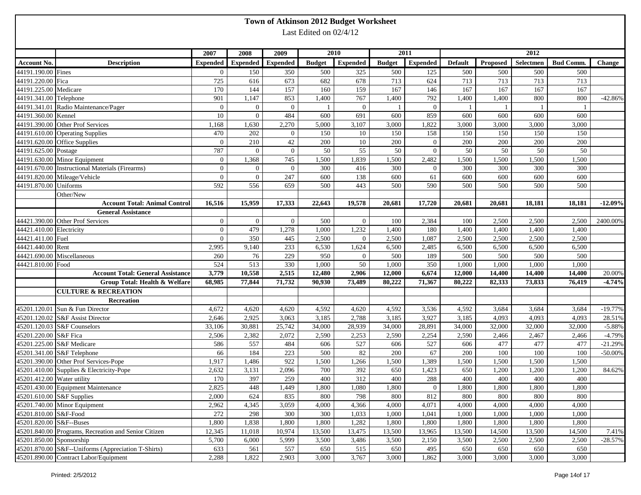|                          |                                                      |                 |                |                          |                        | Town of Atkinson 2012 Budget Worksheet |               |                 |                |          |                   |                  |               |
|--------------------------|------------------------------------------------------|-----------------|----------------|--------------------------|------------------------|----------------------------------------|---------------|-----------------|----------------|----------|-------------------|------------------|---------------|
|                          |                                                      |                 |                |                          | Last Edited on 02/4/12 |                                        |               |                 |                |          |                   |                  |               |
|                          |                                                      |                 |                |                          |                        |                                        |               |                 |                |          |                   |                  |               |
|                          |                                                      | 2007            | 2008           | 2009                     |                        | 2010                                   |               | 2011            |                |          |                   |                  |               |
| <b>Account No.</b>       | <b>Description</b>                                   | <b>Expended</b> |                | <b>Expended</b> Expended | <b>Budget</b>          | <b>Expended</b>                        | <b>Budget</b> | <b>Expended</b> | <b>Default</b> | Proposed | 2012<br>Selectmen | <b>Bud Comm.</b> | <b>Change</b> |
| 44191.190.00 Fines       |                                                      | $\overline{0}$  | 150            | 350                      | 500                    | 325                                    | 500           | 125             | 500            | 500      | 500               | 500              |               |
| 44191.220.00 Fica        |                                                      | 725             | 616            | 673                      | 682                    | 678                                    | 713           | 624             | 713            | 713      | 713               | 713              |               |
| 44191.225.00 Medicare    |                                                      | 170             | 144            | 157                      | 160                    | 159                                    | 167           | 146             | 167            | 167      | 167               | 167              |               |
| 44191.341.00 Telephone   |                                                      | 901             | 1,147          | 853                      | 1,400                  | 767                                    | 1,400         | 792             | 1,400          | 1,400    | 800               | 800              | $-42.86%$     |
|                          | 44191.341.01 Radio Maintenance/Pager                 | $\overline{0}$  | $\Omega$       | $\overline{0}$           | 1                      | $\overline{0}$                         |               | $\mathbf{0}$    | - 1            |          | -1                |                  |               |
| 44191.360.00 Kennel      |                                                      | 10              | $\Omega$       | 484                      | 600                    | 691                                    | 600           | 859             | 600            | 600      | 600               | 600              |               |
|                          | 44191.390.00 Other Prof Services                     | 1,168           | 1,630          | 2,270                    | 5,000                  | 3,107                                  | 3,000         | 1,822           | 3,000          | 3,000    | 3,000             | 3,000            |               |
|                          | 44191.610.00 Operating Supplies                      | 470             | 202            | $\mathbf{0}$             | 150                    | 10                                     | 150           | 158             | 150            | 150      | 150               | 150              |               |
|                          | 44191.620.00 Office Supplies                         | $\mathbf{0}$    | 210            | 42                       | 200                    | 10                                     | 200           | $\overline{0}$  | 200            | 200      | 200               | 200              |               |
| 44191.625.00 Postage     |                                                      | 787             | $\theta$       | $\overline{0}$           | 50                     | 55                                     | 50            | $\mathbf{0}$    | 50             | 50       | 50                | 50               |               |
|                          | 44191.630.00 Minor Equipment                         | $\overline{0}$  | 1,368          | 745                      | 1,500                  | 1,839                                  | 1,500         | 2,482           | 1,500          | 1,500    | 1,500             | 1,500            |               |
|                          | 44191.670.00 Instructional Materials (Firearms)      | $\overline{0}$  | $\Omega$       | $\mathbf{0}$             | 300                    | 416                                    | 300           | $\overline{0}$  | 300            | 300      | 300               | 300              |               |
|                          | 44191.820.00 Mileage/Vehicle                         | $\overline{0}$  | $\overline{0}$ | 247                      | 600                    | 138                                    | 600           | 61              | 600            | 600      | 600               | 600              |               |
| 44191.870.00 Uniforms    |                                                      | 592             | 556            | 659                      | 500                    | 443                                    | 500           | 590             | 500            | 500      | 500               | 500              |               |
|                          | Other/New                                            |                 |                |                          |                        |                                        |               |                 |                |          |                   |                  |               |
|                          | <b>Account Total: Animal Control</b>                 | 16,516          | 15,959         | 17,333                   | 22,643                 | 19,578                                 | 20,681        | 17,720          | 20,681         | 20,681   | 18,181            | 18,181           | $-12.09%$     |
|                          | <b>General Assistance</b>                            |                 |                |                          |                        |                                        |               |                 |                |          |                   |                  |               |
|                          | 44421.390.00 Other Prof Services                     | $\overline{0}$  | $\overline{0}$ | $\overline{0}$           | 500                    | $\overline{0}$                         | 100           | 2,384           | 100            | 2,500    | 2,500             | 2,500            | 2400.00%      |
| 44421.410.00 Electricity |                                                      | $\mathbf{0}$    | 479            | 1,278                    | 1,000                  | 1,232                                  | 1,400         | 180             | 1,400          | 1,400    | 1,400             | 1,400            |               |
| 44421.411.00 Fuel        |                                                      | $\mathbf{0}$    | 350            | 445                      | 2,500                  | $\Omega$                               | 2,500         | 1,087           | 2,500          | 2,500    | 2,500             | 2,500            |               |
| 44421.440.00 Rent        |                                                      | 2,995           | 9,140          | 233                      | 6,530                  | 1,624                                  | 6,500         | 2,485           | 6,500          | 6,500    | 6,500             | 6,500            |               |
|                          | 44421.690.00 Miscellaneous                           | 260             | 76             | 229                      | 950                    | $\Omega$                               | 500           | 189             | 500            | 500      | 500               | 500              |               |
| 44421.810.00 Food        |                                                      | 524             | 513            | 330                      | 1,000                  | 50                                     | 1,000         | 350             | 1,000          | 1,000    | 1,000             | 1,000            |               |
|                          | <b>Account Total: General Assistance</b>             | 3,779           | 10,558         | 2,515                    | 12,480                 | 2,906                                  | 12,000        | 6,674           | 12,000         | 14,400   | 14,400            | 14,400           | 20.00%        |
|                          | Group Total: Health & Welfare                        | 68,985          | 77,844         | 71,732                   | 90,930                 | 73,489                                 | 80,222        | 71,367          | 80,222         | 82,333   | 73,833            | 76,419           | $-4.74%$      |
|                          | <b>CULTURE &amp; RECREATION</b>                      |                 |                |                          |                        |                                        |               |                 |                |          |                   |                  |               |
|                          | Recreation                                           |                 |                |                          |                        |                                        |               |                 |                |          |                   |                  |               |
|                          | 45201.120.01 Sun & Fun Director                      | 4,672           | 4,620          | 4,620                    | 4,592                  | 4,620                                  | 4,592         | 3,536           | 4,592          | 3,684    | 3,684             | 3,684            | $-19.77%$     |
|                          | 45201.120.02 S&F Assist Director                     | 2,646           | 2,925          | 3,063                    | 3,185                  | 2,788                                  | 3,185         | 3,927           | 3,185          | 4,093    | 4,093             | 4,093            | 28.51%        |
|                          | 45201.120.03 S&F Counselors                          | 33,106          | 30,881         | 25,742                   | 34,000                 | 28,939                                 | 34,000        | 28,891          | 34,000         | 32,000   | 32,000            | 32,000           | $-5.88%$      |
| 45201.220.00 S&F Fica    |                                                      | 2,506           | 2,382          | 2,072                    | 2,590                  | 2,253                                  | 2,590         | 2,254           | 2,590          | 2,466    | 2,467             | 2,466            | $-4.79%$      |
|                          | 45201.225.00 S&F Medicare                            | 586             | 557            | 484                      | 606                    | 527                                    | 606           | 527             | 606            | 477      | 477               | 477              | $-21.29%$     |
|                          | 45201.341.00 S&F Telephone                           | 66              | 184            | 223                      | 500                    | 82                                     | 200           | 67              | 200            | 100      | 100               | 100              | $-50.00\%$    |
|                          | 45201.390.00 Other Prof Services-Pope                | 1,917           | 1,486          | 922                      | 1,500                  | 1,266                                  | 1,500         | 1,389           | 1,500          | 1,500    | 1,500             | 1,500            |               |
|                          | 45201.410.00 Supplies & Electricity-Pope             | 2,632           | 3,131          | 2,096                    | 700                    | 392                                    | 650           | 1,423           | 650            | 1,200    | 1,200             | 1,200            | 84.62%        |
|                          | 45201.412.00 Water utility                           | 170             | 397            | 259                      | 400                    | 312                                    | 400           | 288             | 400            | 400      | 400               | 400              |               |
|                          | 45201.430.00 Equipment Maintenance                   | 2,825           | 448            | 1,449                    | 1,800                  | 1,080                                  | 1,800         | $\overline{0}$  | 1,800          | 1,800    | 1,800             | 1,800            |               |
|                          | 45201.610.00 S&F Supplies                            | 2,000           | 624            | 835                      | 800                    | 798                                    | 800           | 812             | 800            | 800      | 800               | 800              |               |
|                          | 45201.740.00 Minor Equipment                         | 2,962           | 4,345          | 3,059                    | 4,000                  | 4,366                                  | 4,000         | 4,071           | 4,000          | 4,000    | 4,000             | 4,000            |               |
| 45201.810.00 S&F-Food    |                                                      | 272             | 298            | 300                      | 300                    | 1,033                                  | 1,000         | 1,041           | 1,000          | 1,000    | 1,000             | 1,000            |               |
| 45201.820.00 S&F--Buses  |                                                      | 1,800           | 1,838          | 1,800                    | 1,800                  | 1,282                                  | 1,800         | 1,800           | 1,800          | 1,800    | 1,800             | 1,800            |               |
|                          | 45201.840.00 Programs, Recreation and Senior Citizen | 12,345          | 11,018         | 10,974                   | 13,500                 | 13,475                                 | 13,500        | 13,965          | 13,500         | 14,500   | 13,500            | 14,500           | 7.41%         |
| 45201.850.00 Sponsorship |                                                      | 5,700           | 6,000          | 5,999                    | 3,500                  | 3,486                                  | 3,500         | 2,150           | 3,500          | 2,500    | 2,500             | 2,500            | $-28.57%$     |
|                          | 45201.870.00 S&F--Uniforms (Appreciation T-Shirts)   | 633             | 561            | 557                      | 650                    | 515                                    | 650           | 495             | 650            | 650      | 650               | 650              |               |
|                          | 45201.890.00 Contract Labor/Equipment                | 2,288           | 1,822          | 2,903                    | 3,000                  | 3,767                                  | 3,000         | 1,862           | 3,000          | 3,000    | 3,000             | 3,000            |               |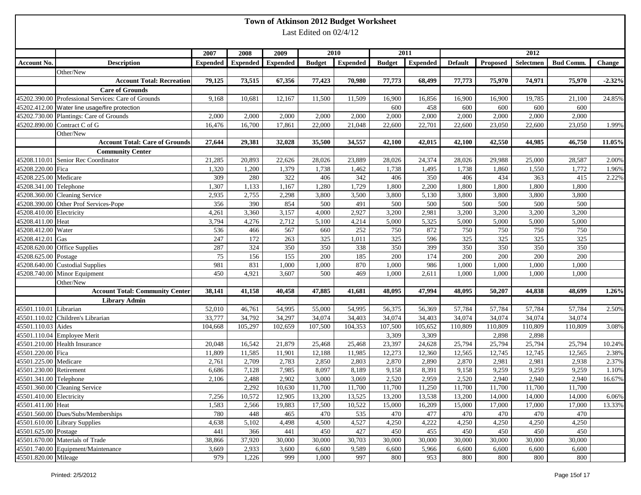|                          | Town of Atkinson 2012 Budget Worksheet                       |                 |                  |                  |                        |                  |                  |                  |                  |                 |                  |                  |                 |  |
|--------------------------|--------------------------------------------------------------|-----------------|------------------|------------------|------------------------|------------------|------------------|------------------|------------------|-----------------|------------------|------------------|-----------------|--|
|                          |                                                              |                 |                  |                  | Last Edited on 02/4/12 |                  |                  |                  |                  |                 |                  |                  |                 |  |
|                          |                                                              |                 |                  |                  |                        |                  |                  |                  |                  |                 |                  |                  |                 |  |
|                          |                                                              | 2007            | 2008             | 2009             |                        | 2010             |                  | 2011             |                  | $\sqrt{2012}$   |                  |                  |                 |  |
| <b>Account No.</b>       | <b>Description</b>                                           | <b>Expended</b> | <b>Expended</b>  | <b>Expended</b>  | <b>Budget</b>          | <b>Expended</b>  | <b>Budget</b>    | <b>Expended</b>  | <b>Default</b>   | Proposed        | Selectmen        | <b>Bud Comm.</b> | <b>Change</b>   |  |
|                          | Other/New                                                    |                 |                  |                  |                        |                  |                  |                  |                  |                 |                  |                  |                 |  |
|                          | <b>Account Total: Recreation</b>                             | 79,125          | 73,515           | 67,356           | 77,423                 | 70,980           | 77,773           | 68,499           | 77,773           | 75,970          | 74,971           | 75,970           | $-2.32%$        |  |
|                          | <b>Care of Grounds</b>                                       |                 |                  |                  |                        |                  |                  |                  |                  |                 |                  |                  |                 |  |
|                          | 45202.390.00 Professional Services: Care of Grounds          | 9,168           | 10,681           | 12,167           | 11,500                 | 11,509           | 16,900           | 16,856           | 16,900           | 16,900          | 19,785           | 21,100           | 24.85%          |  |
|                          | 45202.412.00 Water line usage/fire protection                |                 |                  |                  |                        |                  | 600              | 458              | 600              | 600             | 600              | 600              |                 |  |
|                          | 45202.730.00 Plantings: Care of Grounds                      | 2,000           | 2,000            | 2,000            | 2,000                  | 2,000            | 2,000            | 2,000            | 2,000            | 2,000           | 2,000            | 2,000            |                 |  |
|                          | 45202.890.00 Contract C of G                                 | 16,476          | 16,700           | 17,861           | 22,000                 | 21,048           | 22,600           | 22,701           | 22,600           | 23,050          | 22,600           | 23,050           | 1.99%           |  |
|                          | Other/New                                                    |                 |                  |                  |                        |                  |                  |                  |                  |                 |                  |                  |                 |  |
|                          | <b>Account Total: Care of Grounds</b>                        | 27,644          | 29,381           | 32,028           | 35,500                 | 34,557           | 42,100           | 42,015           | 42,100           | 42,550          | 44,985           | 46,750           | 11.05%          |  |
|                          | <b>Community Center</b>                                      |                 |                  |                  |                        |                  |                  |                  |                  |                 |                  |                  |                 |  |
|                          | 45208.110.01 Senior Rec Coordinator                          | 21,285          | 20,893           | 22,626           | 28,026                 | 23,889           | 28,026           | 24,374           | 28,026           | 29,988          | 25,000           | 28,587           | 2.00%           |  |
| 45208.220.00 Fica        |                                                              | 1,320           | 1,200            | 1,379            | 1,738                  | 1,462            | 1,738            | 1,495            | 1,738            | 1,860           | 1,550            | 1,772            | 1.96%           |  |
| 45208.225.00 Medicare    |                                                              | 309             | 280              | 322              | 406                    | 342              | 406              | 350              | 406              | 434             | 363              | 415              | 2.22%           |  |
| 45208.341.00 Telephone   |                                                              | 1,307           | 1,133            | 1,167            | 1,280                  | 1,729            | 1,800            | 2,200            | 1,800            | 1,800           | 1,800            | 1,800            |                 |  |
|                          | 45208.360.00 Cleaning Service                                | 2,935           | 2,755            | 2,298            | 3,800                  | 3,500            | 3,800            | 5,130            | 3,800            | 3,800           | 3,800            | 3,800            |                 |  |
|                          | 45208.390.00 Other Prof Services-Pope                        | 356             | 390              | 854              | 500                    | 491              | 500              | 500              | 500              | 500             | 500              | 500              |                 |  |
| 45208.410.00 Electricity |                                                              | 4,261           | 3,360            | 3,157            | 4,000                  | 2,927            | 3,200            | 2,981            | 3,200            | 3,200           | 3,200            | 3,200            |                 |  |
| 45208.411.00 Heat        |                                                              | 3,794           | 4,276            | 2,712            | 5,100                  | 4,214            | 5,000            | 5,325            | 5,000            | 5,000           | 5,000            | 5,000            |                 |  |
| 45208.412.00 Water       |                                                              | 536             | 466              | 567              | 660                    | 252              | 750              | 872              | 750              | 750             | 750              | 750              |                 |  |
| 45208.412.01 Gas         |                                                              | 247             | 172              | 263              | 325                    | 1,011            | 325              | 596              | 325              | 325             | 325              | 325              |                 |  |
|                          | 45208.620.00 Office Supplies                                 | 287             | 324              | 350              | 350                    | 338              | 350              | 399              | 350              | 350             | 350              | 350              |                 |  |
| 45208.625.00 Postage     |                                                              | 75              | 156              | 155              | 200                    | 185              | 200              | 174              | 200              | 200             | 200              | 200              |                 |  |
|                          | 45208.640.00 Custodial Supplies                              | 981             | 831              | 1,000            | 1,000                  | 870              | 1,000            | 986              | 1,000            | 1,000           | 1,000            | 1,000            |                 |  |
|                          | 45208.740.00 Minor Equipment                                 | 450             | 4,921            | 3,607            | 500                    | 469              | 1,000            | 2,611            | 1,000            | 1,000           | 1,000            | 1,000            |                 |  |
|                          | Other/New                                                    |                 |                  |                  |                        |                  |                  |                  |                  |                 |                  |                  |                 |  |
|                          | <b>Account Total: Community Center</b>                       | 38,141          | 41,158           | 40,458           | 47,885                 | 41,681           | 48,095           | 47,994           | 48,095           | 50,207          | 44,838           | 48,699           | 1.26%           |  |
|                          | <b>Library Admin</b>                                         |                 |                  |                  |                        |                  |                  |                  |                  |                 |                  |                  |                 |  |
| 45501.110.01 Librarian   |                                                              | 52,010          | 46,761           | 54,995           | 55,000                 | 54,995           | 56,375           | 56,369           | 57,784           | 57,784          | 57,784           | 57,784           | 2.50%           |  |
|                          | 45501.110.02 Children's Librarian                            | 33,777          | 34,792           | 34,297           | 34,074                 | 34,403           | 34,074           | 34,403           | 34,074           | 34,074          | 34,074           | 34,074           |                 |  |
| 45501.110.03 Aides       |                                                              | 104,668         | 105,297          | 102,659          | 107,500                | 104,353          | 107,500          | 105,652          | 110,809          | 110,809         | 110,809          | 110,809          | 3.08%           |  |
|                          | 45501.110.04 Employee Merit<br>45501.210.00 Health Insurance | 20,048          |                  |                  |                        |                  | 3,309            | 3,309            |                  | 2,898<br>25,794 | 2,898            |                  |                 |  |
| 45501.220.00 Fica        |                                                              | 11,809          | 16,542<br>11,585 | 21,879<br>11,901 | 25,468<br>12,188       | 25,468<br>11,985 | 23,397<br>12,273 | 24,628<br>12,360 | 25,794<br>12,565 | 12,745          | 25,794<br>12,745 | 25,794<br>12,565 | 10.24%<br>2.38% |  |
| 45501.225.00 Medicare    |                                                              | 2,761           | 2,709            | 2,783            | 2,850                  | 2,803            | 2,870            | 2,890            | 2,870            | 2,981           | 2,981            | 2,938            | 2.37%           |  |
| 45501.230.00 Retirement  |                                                              | 6,686           | 7,128            | 7,985            | 8,097                  | 8,189            | 9,158            | 8,391            | 9,158            | 9,259           | 9,259            | 9,259            | 1.10%           |  |
| 45501.341.00 Telephone   |                                                              | 2,106           | 2,488            | 2,902            | 3,000                  | 3,069            | 2,520            | 2,959            | 2,520            | 2,940           | 2,940            | 2,940            | 16.67%          |  |
|                          | 45501.360.00 Cleaning Service                                |                 | 2,292            | 10,630           | 11,700                 | 11,700           | 11,700           | 11,250           | 11,700           | 11,700          | 11,700           | 11,700           |                 |  |
| 45501.410.00 Electricity |                                                              | 7,256           | 10,572           | 12,905           | 13,200                 | 13,525           | 13,200           | 13,538           | 13,200           | 14,000          | 14,000           | 14,000           | 6.06%           |  |
| 45501.411.00 Heat        |                                                              | 1,583           | 2,566            | 19,883           | 17,500                 | 10,522           | 15,000           | 16,209           | 15,000           | 17,000          | 17,000           | 17,000           | 13.33%          |  |
|                          | 45501.560.00 Dues/Subs/Memberships                           | 780             | 448              | 465              | 470                    | 535              | 470              | 477              | 470              | 470             | 470              | 470              |                 |  |
|                          | 45501.610.00 Library Supplies                                | 4,638           | 5,102            | 4,498            | 4,500                  | 4,527            | 4,250            | 4,222            | 4,250            | 4,250           | 4,250            | 4,250            |                 |  |
| 45501.625.00 Postage     |                                                              | 441             | 366              | 441              | 450                    | 427              | 450              | 455              | 450              | 450             | 450              | 450              |                 |  |
|                          | 45501.670.00 Materials of Trade                              | 38,866          | 37,920           | 30,000           | 30,000                 | 30,703           | 30,000           | 30,000           | 30,000           | 30,000          | 30,000           | 30,000           |                 |  |
|                          | 45501.740.00 Equipment/Maintenance                           | 3,669           | 2,933            | 3,600            | 6,600                  | 9,589            | 6,600            | 5,966            | 6,600            | 6,600           | 6,600            | 6,600            |                 |  |
| 45501.820.00 Mileage     |                                                              | 979             | 1,226            | 999              | 1,000                  | 997              | 800              | 953              | 800              | 800             | 800              | 800              |                 |  |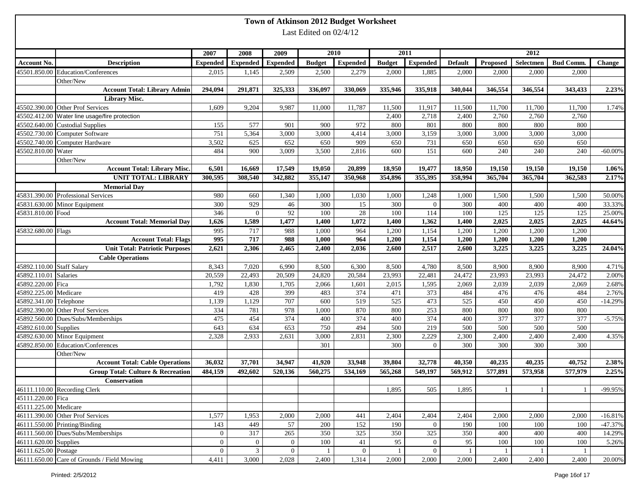|                           |                                              |                 |                           |                  |                        | Town of Atkinson 2012 Budget Worksheet |               |                  |                |              |              |                  |            |
|---------------------------|----------------------------------------------|-----------------|---------------------------|------------------|------------------------|----------------------------------------|---------------|------------------|----------------|--------------|--------------|------------------|------------|
|                           |                                              |                 |                           |                  | Last Edited on 02/4/12 |                                        |               |                  |                |              |              |                  |            |
|                           |                                              |                 |                           |                  |                        |                                        |               |                  |                |              |              |                  |            |
|                           |                                              | 2007            | 2008                      | 2009             |                        | 2010                                   |               | 2011             |                |              | 2012         |                  |            |
| Account No.               | <b>Description</b>                           | <b>Expended</b> | <b>Expended</b>           | <b>Expended</b>  | <b>Budget</b>          | <b>Expended</b>                        | <b>Budget</b> | <b>Expended</b>  | <b>Default</b> | Proposed     | Selectmen    | <b>Bud Comm.</b> | Change     |
|                           | 45501.850.00 Education/Conferences           | 2,015           | 1,145                     | 2,509            | 2,500                  | 2,279                                  | 2,000         | 1,885            | 2,000          | 2,000        | 2,000        | 2,000            |            |
|                           | Other/New                                    |                 |                           |                  |                        |                                        |               |                  |                |              |              |                  |            |
|                           | <b>Account Total: Library Admin</b>          | 294,094         | 291,871                   | 325,333          | 336,097                | 330,069                                | 335,946       | 335,918          | 340,044        | 346,554      | 346,554      | 343,433          | 2.23%      |
|                           | <b>Library Misc.</b>                         |                 |                           |                  |                        |                                        |               |                  |                |              |              |                  |            |
|                           | 45502.390.00 Other Prof Services             | 1,609           | 9,204                     | 9,987            | 11,000                 | 11,787                                 | 11,500        | 11,917           | 11,500         | 11,700       | 11,700       | 11,700           | 1.74%      |
| 45502.412.00              | Water line usage/fire protection             |                 |                           |                  |                        |                                        | 2,400         | 2,718            | 2,400          | 2,760        | 2,760        | 2,760            |            |
| 45502.640.00              | <b>Custodial Supplies</b>                    | 155             | 577                       | 901              | 900                    | 972                                    | 800           | 801              | 800            | 800          | 800          | 800              |            |
|                           | 45502.730.00 Computer Software               | 751             | 5,364                     | 3,000            | 3,000                  | 4,414                                  | 3,000         | 3,159            | 3,000          | 3,000        | 3,000        | 3,000            |            |
|                           | 45502.740.00 Computer Hardware               | 3,502           | 625                       | 652              | 650                    | 909                                    | 650           | 731              | 650            | 650          | 650          | 650              |            |
| 45502.810.00 Water        |                                              | 484             | 900                       | 3,009            | 3,500                  | 2,816                                  | 600           | 151              | 600            | 240          | 240          | 240              | $-60.00\%$ |
|                           | Other/New                                    |                 |                           |                  |                        |                                        |               |                  |                |              |              |                  |            |
|                           | <b>Account Total: Library Misc.</b>          | 6,501           | 16,669                    | 17,549           | 19,050                 | 20,899                                 | 18,950        | 19,477           | 18,950         | 19,150       | 19,150       | 19,150           | 1.06%      |
|                           | <b>UNIT TOTAL: LIBRARY</b>                   | 300,595         | 308,540                   | 342,882          | 355,147                | 350,968                                | 354,896       | 355,395          | 358,994        | 365,704      | 365,704      | 362,583          | 2.17%      |
|                           | <b>Memorial Day</b>                          |                 |                           |                  |                        |                                        |               |                  |                |              |              |                  |            |
|                           | 45831.390.00 Professional Services           | 980             | 660                       | 1,340            | 1,000                  | 1,030                                  | 1,000         | 1,248            | 1,000          | 1,500        | 1,500        | 1,500            | 50.00%     |
| 45831.630.00              |                                              | 300             | 929                       | $46\,$           | 300                    |                                        |               |                  |                |              |              | 400              |            |
|                           | Minor Equipment                              |                 |                           |                  |                        | 15                                     | 300           | $\overline{0}$   | 300            | 400          | 400          |                  | 33.33%     |
| 45831.810.00 Food         |                                              | 346             | $\overline{0}$            | 92<br>1,477      | 100                    | $28\,$<br>1,072                        | 100           | 114              | 100<br>1,400   | 125<br>2,025 | 125<br>2,025 | 125<br>2,025     | 25.00%     |
|                           | <b>Account Total: Memorial Day</b>           | 1,626           | 1,589                     |                  | 1,400                  |                                        | 1,400         | 1,362            |                |              |              |                  | 44.64%     |
| 45832.680.00 Flags        |                                              | 995             | 717                       | 988              | 1,000                  | 964                                    | 1,200         | 1,154            | 1,200          | 1,200        | 1,200        | 1,200            |            |
|                           | <b>Account Total: Flags</b>                  | 995             | 717                       | 988              | 1,000                  | 964                                    | 1,200         | 1,154            | 1,200          | 1,200        | 1,200        | 1,200            |            |
|                           | <b>Unit Total: Patriotic Purposes</b>        | 2,621           | 2,306                     | 2,465            | 2,400                  | 2,036                                  | 2,600         | 2,517            | 2,600          | 3,225        | 3,225        | 3,225            | 24.04%     |
|                           | <b>Cable Operations</b>                      |                 |                           |                  |                        |                                        |               |                  |                |              |              |                  |            |
| 45892.110.00 Staff Salary |                                              | 8,343           | 7,020                     | 6,990            | 8,500                  | 6,300                                  | 8,500         | 4,780            | 8,500          | 8,900        | 8,900        | 8,900            | 4.71%      |
| 45892.110.01              | Salaries                                     | 20,559          | 22,493                    | 20,509           | 24,820                 | 20,584                                 | 23,993        | 22,481           | 24,472         | 23,993       | 23,993       | 24,472           | 2.00%      |
| 45892.220.00 Fica         |                                              | 1,792           | 1,830                     | 1,705            | 2,066                  | 1,601                                  | 2,015         | 1,595            | 2,069          | 2,039        | 2,039        | 2,069            | 2.68%      |
| 45892.225.00 Medicare     |                                              | 419             | 428                       | 399              | 483                    | 374                                    | 471           | 373              | 484            | 476          | 476          | 484              | 2.76%      |
| 45892.341.00              | Telephone                                    | 1,139           | 1,129                     | 707              | 600                    | 519                                    | 525           | 473              | 525            | 450          | 450          | 450              | $-14.29%$  |
| 45892.390.00              | Other Prof Services                          | 334             | 781                       | 978              | 1,000                  | 870                                    | 800           | 253              | 800            | 800          | 800          | 800              |            |
|                           | 45892.560.00 Dues/Subs/Memberships           | 475             | 454                       | 374              | 400                    | 374                                    | 400           | 374              | 400            | 377          | 377          | 377              | $-5.75%$   |
| 45892.610.00              | Supplies                                     | 643             | 634                       | 653              | 750                    | 494                                    | 500           | 219              | 500            | 500          | 500          | 500              |            |
|                           | 45892.630.00 Minor Equipment                 | 2,328           | 2,933                     | 2,631            | 3,000                  | 2,831                                  | 2,300         | 2,229            | 2,300          | 2,400        | 2,400        | 2,400            | 4.35%      |
|                           | 45892.850.00 Education/Conferences           |                 |                           |                  | 301                    |                                        | 300           | $\overline{0}$   | 300            | 300          | 300          | 300              |            |
|                           | Other/New                                    |                 |                           |                  |                        |                                        |               |                  |                |              |              |                  |            |
|                           | <b>Account Total: Cable Operations</b>       | 36,032          | 37,701                    | 34,947           | 41,920                 | 33,948                                 | 39,804        | 32,778           | 40,350         | 40,235       | 40,235       | 40,752           | 2.38%      |
|                           | <b>Group Total: Culture &amp; Recreation</b> | 484,159         | 492,602                   | 520,136          | 560,275                | 534,169                                | 565,268       | 549,197          | 569,912        | 577,891      | 573,958      | 577,979          | 2.25%      |
|                           | Conservation                                 |                 |                           |                  |                        |                                        |               |                  |                |              |              |                  |            |
|                           | 46111.110.00 Recording Clerk                 |                 |                           |                  |                        |                                        | 1,895         | 505              | 1,895          |              |              |                  | -99.95%    |
| 45111.220.00 Fica         |                                              |                 |                           |                  |                        |                                        |               |                  |                |              |              |                  |            |
| 45111.225.00 Medicare     |                                              |                 |                           |                  |                        |                                        |               |                  |                |              |              |                  |            |
|                           | 46111.390.00 Other Prof Services             | 1,577           | 1,953                     | 2,000            | 2,000                  | 441                                    | 2,404         | 2,404            | 2,404          | 2,000        | 2,000        | 2,000            | $-16.81%$  |
|                           | 46111.550.00 Printing/Binding                | 143             | 449                       | 57               | 200                    | 152                                    | 190           | $\overline{0}$   | 190            | 100          | 100          | 100              | $-47.37%$  |
|                           | 46111.560.00 Dues/Subs/Memberships           | $\overline{0}$  | 317                       | 265              | 350                    | 325                                    | 350           | 325              | 350            | 400          | 400          | 400              | 14.29%     |
| 46111.620.00 Supplies     |                                              | $\overline{0}$  | $\boldsymbol{0}$          | $\boldsymbol{0}$ | 100                    | 41                                     | 95            | $\boldsymbol{0}$ | 95             | 100          | 100          | 100              | 5.26%      |
| 46111.625.00 Postage      |                                              | $\mathbf{0}$    | $\boldsymbol{\mathsf{3}}$ | $\overline{0}$   |                        | $\mathbf{0}$                           |               | $\mathbf{0}$     |                |              | -1           |                  |            |
|                           | 46111.650.00 Care of Grounds / Field Mowing  | 4,411           | 3,000                     | 2,028            | 2,400                  | 1,314                                  | 2,000         | 2,000            | 2,000          | 2,400        | 2,400        | 2,400            | 20.00%     |